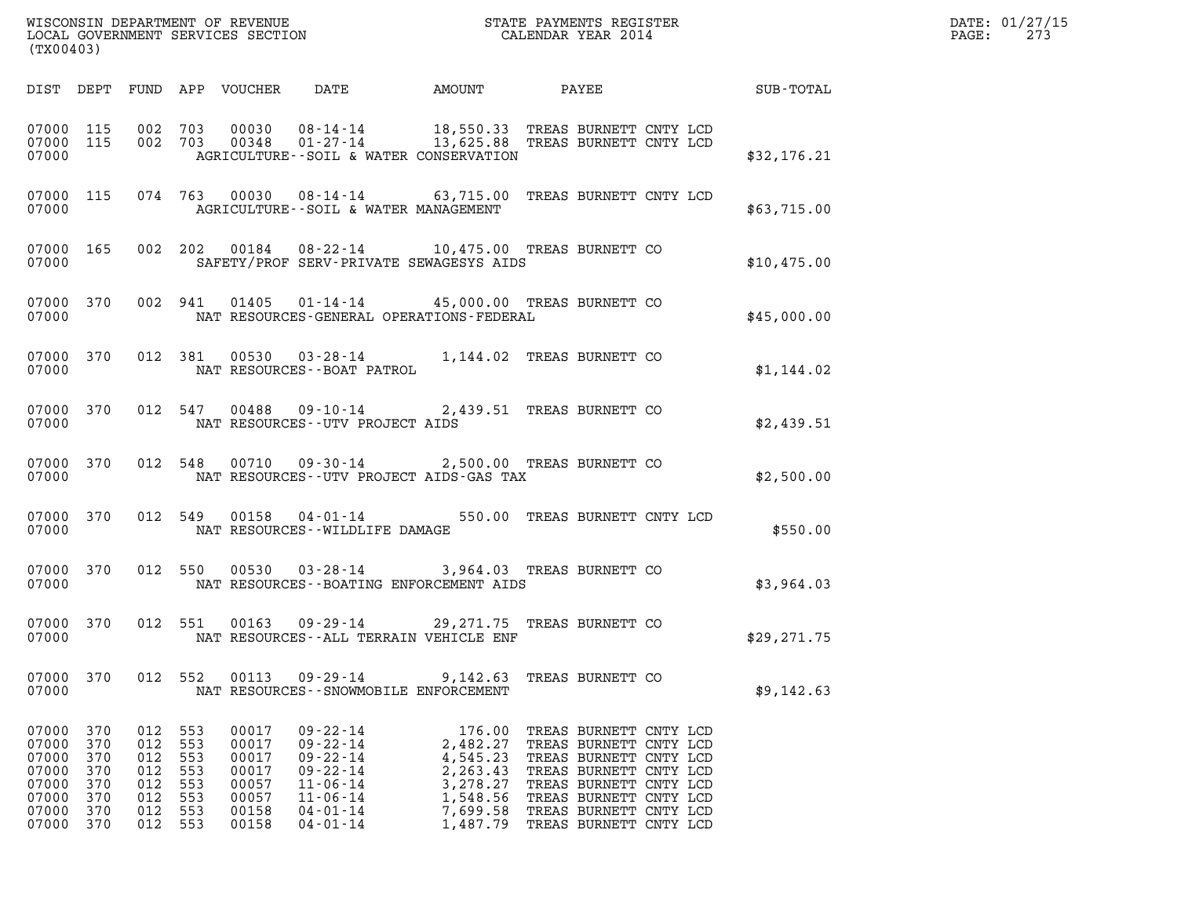| WISCONSIN DEPARTMENT OF REVENUE<br>LOCAL GOVERNMENT SERVICES SECTION<br>(TX00403) | STATE PAYMENTS REGISTER<br>CALENDAR YEAR 2014 | DATE: 01/27/15<br>273<br>PAGE: |
|-----------------------------------------------------------------------------------|-----------------------------------------------|--------------------------------|

| (TX00403)                                                                                                                    |                                                      |                                                                                                                              |                                                                                                                                              |                                                                                            |                                                                                                                                                                                                              |              |
|------------------------------------------------------------------------------------------------------------------------------|------------------------------------------------------|------------------------------------------------------------------------------------------------------------------------------|----------------------------------------------------------------------------------------------------------------------------------------------|--------------------------------------------------------------------------------------------|--------------------------------------------------------------------------------------------------------------------------------------------------------------------------------------------------------------|--------------|
| DIST<br>DEPT                                                                                                                 | FUND                                                 | APP<br>VOUCHER                                                                                                               | DATE                                                                                                                                         | AMOUNT                                                                                     | PAYEE                                                                                                                                                                                                        | SUB-TOTAL    |
| 07000<br>115<br>07000<br>115<br>07000                                                                                        | 002<br>002                                           | 703<br>00030<br>703<br>00348                                                                                                 | $08 - 14 - 14$<br>01-27-14 13,625.88 TREAS BURNETT CNTY LCD<br>AGRICULTURE -- SOIL & WATER CONSERVATION                                      |                                                                                            | 18,550.33 TREAS BURNETT CNTY LCD                                                                                                                                                                             | \$32,176.21  |
| 07000<br>115<br>07000                                                                                                        | 074 763                                              | 00030                                                                                                                        | 08-14-14 63,715.00 TREAS BURNETT CNTY LCD<br>AGRICULTURE--SOIL & WATER MANAGEMENT                                                            |                                                                                            |                                                                                                                                                                                                              | \$63,715.00  |
| 07000<br>165<br>07000                                                                                                        | 002                                                  | 202<br>00184                                                                                                                 | 08-22-14<br>SAFETY/PROF SERV-PRIVATE SEWAGESYS AIDS                                                                                          |                                                                                            | 10,475.00 TREAS BURNETT CO                                                                                                                                                                                   | \$10,475.00  |
| 370<br>07000<br>07000                                                                                                        | 002                                                  | 941<br>01405                                                                                                                 | $01 - 14 - 14$<br>NAT RESOURCES-GENERAL OPERATIONS-FEDERAL                                                                                   |                                                                                            | 45,000.00 TREAS BURNETT CO                                                                                                                                                                                   | \$45,000.00  |
| 07000<br>370<br>07000                                                                                                        | 012                                                  | 381<br>00530                                                                                                                 | $03 - 28 - 14$<br>NAT RESOURCES - - BOAT PATROL                                                                                              |                                                                                            | 1,144.02 TREAS BURNETT CO                                                                                                                                                                                    | \$1,144.02   |
| 370<br>07000<br>07000                                                                                                        | 012                                                  | 547<br>00488                                                                                                                 | 09-10-14<br>NAT RESOURCES - - UTV PROJECT AIDS                                                                                               |                                                                                            | 2,439.51 TREAS BURNETT CO                                                                                                                                                                                    | \$2,439.51   |
| 370<br>07000<br>07000                                                                                                        | 012                                                  | 548<br>00710                                                                                                                 | $09 - 30 - 14$<br>NAT RESOURCES - - UTV PROJECT AIDS - GAS TAX                                                                               |                                                                                            | 2,500.00 TREAS BURNETT CO                                                                                                                                                                                    | \$2,500.00   |
| 370<br>07000<br>07000                                                                                                        | 012                                                  | 549<br>00158                                                                                                                 | $04 - 01 - 14$<br>NAT RESOURCES - - WILDLIFE DAMAGE                                                                                          |                                                                                            | 550.00 TREAS BURNETT CNTY LCD                                                                                                                                                                                | \$550.00     |
| 370<br>07000<br>07000                                                                                                        | 012                                                  | 550<br>00530                                                                                                                 | $03 - 28 - 14$<br>NAT RESOURCES - - BOATING ENFORCEMENT AIDS                                                                                 |                                                                                            | 3,964.03 TREAS BURNETT CO                                                                                                                                                                                    | \$3,964.03   |
| 07000<br>370<br>07000                                                                                                        | 012                                                  | 551<br>00163                                                                                                                 | 09-29-14 29, 271.75 TREAS BURNETT CO<br>NAT RESOURCES -- ALL TERRAIN VEHICLE ENF                                                             |                                                                                            |                                                                                                                                                                                                              | \$29, 271.75 |
| 07000<br>370<br>07000                                                                                                        | 012                                                  | 552<br>00113                                                                                                                 | $09 - 29 - 14$<br>NAT RESOURCES - - SNOWMOBILE ENFORCEMENT                                                                                   |                                                                                            | 9,142.63 TREAS BURNETT CO                                                                                                                                                                                    | \$9,142.63   |
| 07000<br>370<br>07000<br>370<br>07000<br>370<br>07000<br>370<br>07000<br>370<br>07000<br>370<br>07000<br>370<br>07000<br>370 | 012<br>012<br>012<br>012<br>012<br>012<br>012<br>012 | 553<br>00017<br>553<br>00017<br>553<br>00017<br>553<br>00017<br>553<br>00057<br>553<br>00057<br>553<br>00158<br>553<br>00158 | $09 - 22 - 14$<br>$09 - 22 - 14$<br>$09 - 22 - 14$<br>$09 - 22 - 14$<br>$11 - 06 - 14$<br>$11 - 06 - 14$<br>$04 - 01 - 14$<br>$04 - 01 - 14$ | 176.00<br>2,482.27<br>4,545.23<br>2,263.43<br>3,278.27<br>1,548.56<br>7,699.58<br>1,487.79 | TREAS BURNETT CNTY LCD<br>TREAS BURNETT CNTY LCD<br>TREAS BURNETT CNTY LCD<br>TREAS BURNETT CNTY LCD<br>TREAS BURNETT CNTY LCD<br>TREAS BURNETT CNTY LCD<br>TREAS BURNETT CNTY LCD<br>TREAS BURNETT CNTY LCD |              |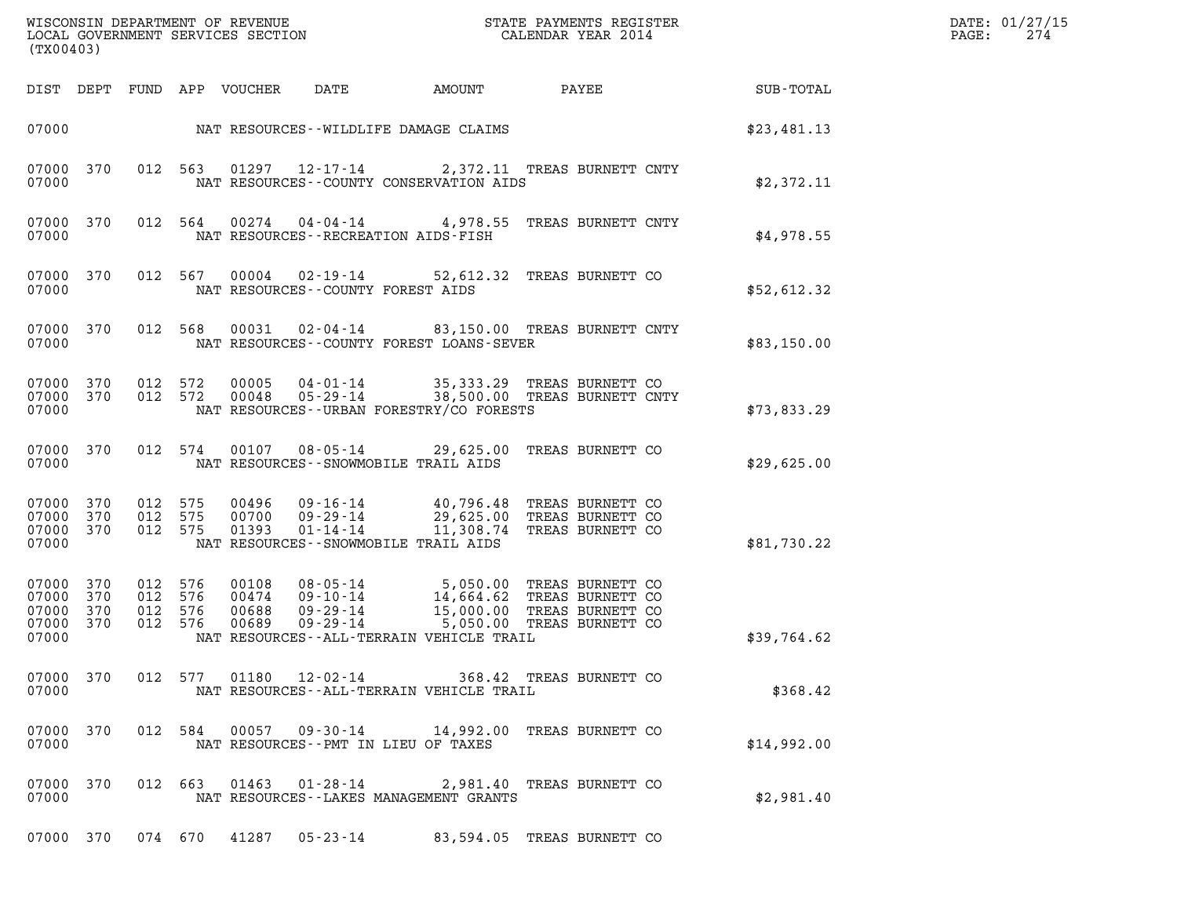| ${\tt WISCOONSIM} \begin{tabular}{lcccc} {\tt NISCOONSIM} \end{tabular} \begin{tabular}{lcccc} {\tt NISCONSIM} \end{tabular} \begin{tabular}{lcccc} {\tt NISCONSIM} \end{tabular} \begin{tabular}{lcccc} {\tt NECONSIM} \end{tabular} \begin{tabular}{lcccc} {\tt NUCAL} \end{tabular} \begin{tabular}{lcccc} {\tt NUCAL} \end{tabular} \end{tabular} \begin{tabular}{lcccc} {\tt NUCAL} \end{tabular} \begin{tabular}{lcccc} {\tt NUCAL} \end{tabular} \end{tabular} \begin{tabular}{lcccc} {\tt NUCAL} \end{tabular} \begin{tabular}{lcccc$<br>(TX00403) |             | DATE: 01/27/15<br>PAGE:<br>274 |
|------------------------------------------------------------------------------------------------------------------------------------------------------------------------------------------------------------------------------------------------------------------------------------------------------------------------------------------------------------------------------------------------------------------------------------------------------------------------------------------------------------------------------------------------------------|-------------|--------------------------------|
| <b>PAYEE</b> FOR THE STATE OF THE STATE OF THE STATE OF THE STATE OF THE STATE OF THE STATE OF THE STATE OF THE STATE OF THE STATE OF THE STATE OF THE STATE OF THE STATE OF THE STATE OF THE STATE OF THE STATE OF THE STATE OF TH<br>DIST DEPT FUND APP VOUCHER<br>DATE<br>AMOUNT                                                                                                                                                                                                                                                                        | SUB-TOTAL   |                                |
|                                                                                                                                                                                                                                                                                                                                                                                                                                                                                                                                                            | \$23,481.13 |                                |
| 01297 12-17-14<br>07000 370<br>012 563<br>2,372.11 TREAS BURNETT CNTY<br>07000<br>NAT RESOURCES - COUNTY CONSERVATION AIDS                                                                                                                                                                                                                                                                                                                                                                                                                                 | \$2,372.11  |                                |
| 04-04-14 4,978.55 TREAS BURNETT CNTY<br>07000 370<br>012 564<br>00274<br>07000<br>NAT RESOURCES - - RECREATION AIDS - FISH                                                                                                                                                                                                                                                                                                                                                                                                                                 | \$4,978.55  |                                |
| 07000 370<br>012 567<br>00004<br>$02 - 19 - 14$<br>52,612.32 TREAS BURNETT CO<br>07000<br>NAT RESOURCES - COUNTY FOREST AIDS                                                                                                                                                                                                                                                                                                                                                                                                                               | \$52,612.32 |                                |
| 02-04-14 83,150.00 TREAS BURNETT CNTY<br>07000 370<br>012 568<br>00031<br>07000<br>NAT RESOURCES--COUNTY FOREST LOANS-SEVER                                                                                                                                                                                                                                                                                                                                                                                                                                | \$83,150.00 |                                |
| 07000 370<br>012 572<br>00005<br>04-01-14 35,333.29 TREAS BURNETT CO<br>05-29-14 38,500.00 TREAS BURNETT CNTY<br>07000 370<br>012 572<br>00048<br>07000<br>NAT RESOURCES - - URBAN FORESTRY/CO FORESTS                                                                                                                                                                                                                                                                                                                                                     | \$73,833.29 |                                |
| 07000 370<br>012 574<br>00107  08-05-14  29,625.00  TREAS BURNETT CO<br>07000<br>NAT RESOURCES - - SNOWMOBILE TRAIL AIDS                                                                                                                                                                                                                                                                                                                                                                                                                                   | \$29,625.00 |                                |
| 09-16-14 40,796.48 TREAS BURNETT CO<br>07000 370<br>012 575<br>00496<br>29,625.00 TREAS BURNETT CO<br>11,308.74 TREAS BURNETT CO<br>07000<br>370<br>012 575<br>00700<br>09-29-14<br>07000 370<br>012 575<br>01393<br>$01 - 14 - 14$<br>07000<br>NAT RESOURCES -- SNOWMOBILE TRAIL AIDS                                                                                                                                                                                                                                                                     | \$81,730.22 |                                |
| 08-05-14 5,050.00 TREAS BURNETT CO<br>07000 370<br>012 576<br>00108<br>14,664.62 TREAS BURNETT CO<br>15,000.00 TREAS BURNETT CO<br>5,050.00 TREAS BURNETT CO<br>07000<br>370<br>012 576<br>00474<br>09-10-14<br>07000<br>370<br>012 576<br>00688<br>09-29-14<br>07000<br>370<br>012 576<br>00689<br>$09 - 29 - 14$<br>07000<br>NAT RESOURCES--ALL-TERRAIN VEHICLE TRAIL                                                                                                                                                                                    | \$39,764.62 |                                |
| 07000 370<br>012 577 01180<br>12-02-14 368.42 TREAS BURNETT CO<br>07000<br>NAT RESOURCES--ALL-TERRAIN VEHICLE TRAIL                                                                                                                                                                                                                                                                                                                                                                                                                                        | \$368.42    |                                |
| 07000 370<br>012 584<br>00057<br>09-30-14<br>14,992.00 TREAS BURNETT CO<br>07000<br>NAT RESOURCES -- PMT IN LIEU OF TAXES                                                                                                                                                                                                                                                                                                                                                                                                                                  | \$14,992.00 |                                |
| 012 663<br>01463<br>$01 - 28 - 14$<br>07000 370<br>2,981.40 TREAS BURNETT CO<br>07000<br>NAT RESOURCES - - LAKES MANAGEMENT GRANTS                                                                                                                                                                                                                                                                                                                                                                                                                         | \$2,981.40  |                                |
| 07000 370 074 670 41287 05-23-14<br>83,594.05 TREAS BURNETT CO                                                                                                                                                                                                                                                                                                                                                                                                                                                                                             |             |                                |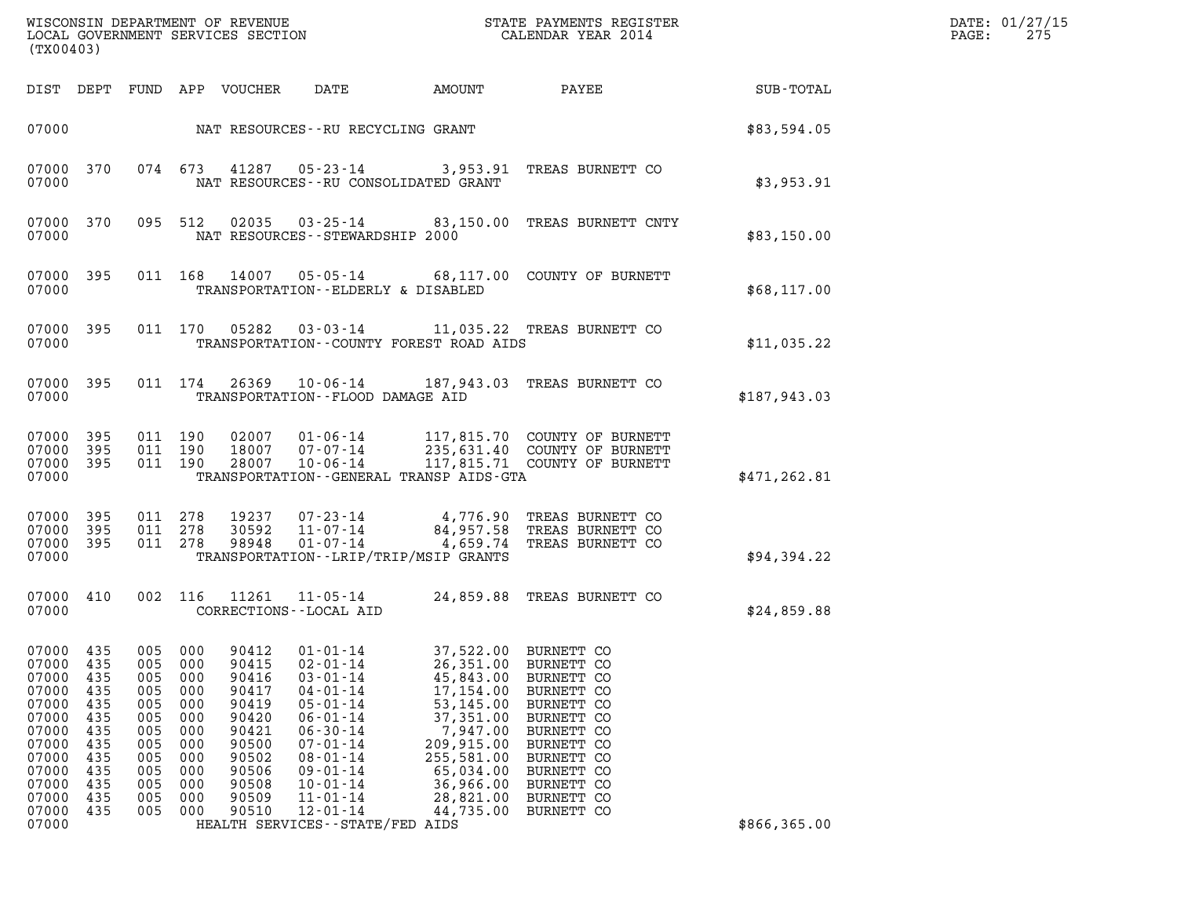| WISCONSIN DEPARTMENT OF REVENUE<br>LOCAL GOVERNMENT SERVICES SECTION<br>(TX00403)                                          |                                                                                         |                                                                                         |                                                                                         |                                                                                                                   |                                                                                                                                                                                                                                                                              |                                                                                                                                                                         | STATE PAYMENTS REGISTER<br>CALENDAR YEAR 2014                                                                                                                                      |               | DATE: 01/27/15<br>PAGE:<br>275 |
|----------------------------------------------------------------------------------------------------------------------------|-----------------------------------------------------------------------------------------|-----------------------------------------------------------------------------------------|-----------------------------------------------------------------------------------------|-------------------------------------------------------------------------------------------------------------------|------------------------------------------------------------------------------------------------------------------------------------------------------------------------------------------------------------------------------------------------------------------------------|-------------------------------------------------------------------------------------------------------------------------------------------------------------------------|------------------------------------------------------------------------------------------------------------------------------------------------------------------------------------|---------------|--------------------------------|
|                                                                                                                            |                                                                                         |                                                                                         |                                                                                         | DIST DEPT FUND APP VOUCHER                                                                                        | DATE                                                                                                                                                                                                                                                                         | AMOUNT                                                                                                                                                                  | PAYEE                                                                                                                                                                              | SUB-TOTAL     |                                |
| 07000                                                                                                                      |                                                                                         |                                                                                         |                                                                                         |                                                                                                                   | NAT RESOURCES--RU RECYCLING GRANT                                                                                                                                                                                                                                            |                                                                                                                                                                         |                                                                                                                                                                                    | \$83,594.05   |                                |
| 07000 370<br>07000                                                                                                         |                                                                                         |                                                                                         | 074 673                                                                                 |                                                                                                                   | NAT RESOURCES - - RU CONSOLIDATED GRANT                                                                                                                                                                                                                                      |                                                                                                                                                                         | 41287  05-23-14  3,953.91  TREAS BURNETT CO                                                                                                                                        | \$3,953.91    |                                |
| 07000 370<br>07000                                                                                                         |                                                                                         |                                                                                         | 095 512                                                                                 |                                                                                                                   | NAT RESOURCES - - STEWARDSHIP 2000                                                                                                                                                                                                                                           |                                                                                                                                                                         | 02035  03-25-14  83,150.00  TREAS BURNETT CNTY                                                                                                                                     | \$83,150.00   |                                |
| 07000 395<br>07000                                                                                                         |                                                                                         |                                                                                         | 011 168                                                                                 | 14007                                                                                                             | TRANSPORTATION--ELDERLY & DISABLED                                                                                                                                                                                                                                           |                                                                                                                                                                         | 05-05-14 68,117.00 COUNTY OF BURNETT                                                                                                                                               | \$68,117.00   |                                |
| 07000 395<br>07000                                                                                                         |                                                                                         |                                                                                         |                                                                                         | 011 170 05282                                                                                                     | TRANSPORTATION--COUNTY FOREST ROAD AIDS                                                                                                                                                                                                                                      |                                                                                                                                                                         | 03-03-14 11,035.22 TREAS BURNETT CO                                                                                                                                                | \$11,035.22   |                                |
| 07000 395<br>07000                                                                                                         |                                                                                         |                                                                                         | 011 174                                                                                 | 26369                                                                                                             | $10 - 06 - 14$<br>TRANSPORTATION--FLOOD DAMAGE AID                                                                                                                                                                                                                           |                                                                                                                                                                         | 187,943.03 TREAS BURNETT CO                                                                                                                                                        | \$187.943.03  |                                |
| 07000 395<br>07000 395<br>07000 395<br>07000                                                                               |                                                                                         |                                                                                         | 011 190<br>011 190<br>011 190                                                           |                                                                                                                   | 28007 10-06-14<br>TRANSPORTATION--GENERAL TRANSP AIDS-GTA                                                                                                                                                                                                                    |                                                                                                                                                                         | 02007  01-06-14  117,815.70  COUNTY OF BURNETT<br>18007  07-07-14  235,631.40  COUNTY OF BURNETT<br>117,815.71 COUNTY OF BURNETT                                                   | \$471, 262.81 |                                |
| 07000 395<br>07000 395<br>07000 395<br>07000                                                                               |                                                                                         | 011 278<br>011 278                                                                      | 011 278                                                                                 | 30592<br>98948                                                                                                    | 11-07-14<br>01-07-14<br>TRANSPORTATION - - LRIP/TRIP/MSIP GRANTS                                                                                                                                                                                                             |                                                                                                                                                                         | 4,776.90 TREAS BURNETT CO<br>84,957.58 TREAS BURNETT CO<br>4,659.74 TREAS BURNETT CO                                                                                               | \$94,394.22   |                                |
| 07000 410<br>07000                                                                                                         |                                                                                         |                                                                                         | 002 116                                                                                 |                                                                                                                   | CORRECTIONS - - LOCAL AID                                                                                                                                                                                                                                                    |                                                                                                                                                                         | 11261  11-05-14  24,859.88  TREAS BURNETT CO                                                                                                                                       | \$24,859.88   |                                |
| 07000<br>07000<br>07000<br>07000<br>07000<br>07000<br>07000<br>07000<br>07000<br>07000<br>07000<br>07000<br>07000<br>07000 | 435<br>435<br>435<br>435<br>435<br>435<br>435<br>435<br>435<br>435<br>435<br>435<br>435 | 005<br>005<br>005<br>005<br>005<br>005<br>005<br>005<br>005<br>005<br>005<br>005<br>005 | 000<br>000<br>000<br>000<br>000<br>000<br>000<br>000<br>000<br>000<br>000<br>000<br>000 | 90412<br>90415<br>90416<br>90417<br>90419<br>90420<br>90421<br>90500<br>90502<br>90506<br>90508<br>90509<br>90510 | $01 - 01 - 14$<br>$02 - 01 - 14$<br>$03 - 01 - 14$<br>$04 - 01 - 14$<br>$05 - 01 - 14$<br>$06 - 01 - 14$<br>$06 - 30 - 14$<br>$07 - 01 - 14$<br>$08 - 01 - 14$<br>$09 - 01 - 14$<br>$10 - 01 - 14$<br>$11 - 01 - 14$<br>$12 - 01 - 14$<br>HEALTH SERVICES - - STATE/FED AIDS | 37,522.00<br>26,351.00<br>45,843.00<br>17,154.00<br>53, 145.00<br>37,351.00<br>7,947.00<br>209,915.00<br>255,581.00<br>65,034.00<br>36,966.00<br>28,821.00<br>44,735.00 | BURNETT CO<br>BURNETT CO<br>BURNETT CO<br>BURNETT CO<br>BURNETT CO<br>BURNETT CO<br>BURNETT CO<br>BURNETT CO<br>BURNETT CO<br>BURNETT CO<br>BURNETT CO<br>BURNETT CO<br>BURNETT CO | \$866,365.00  |                                |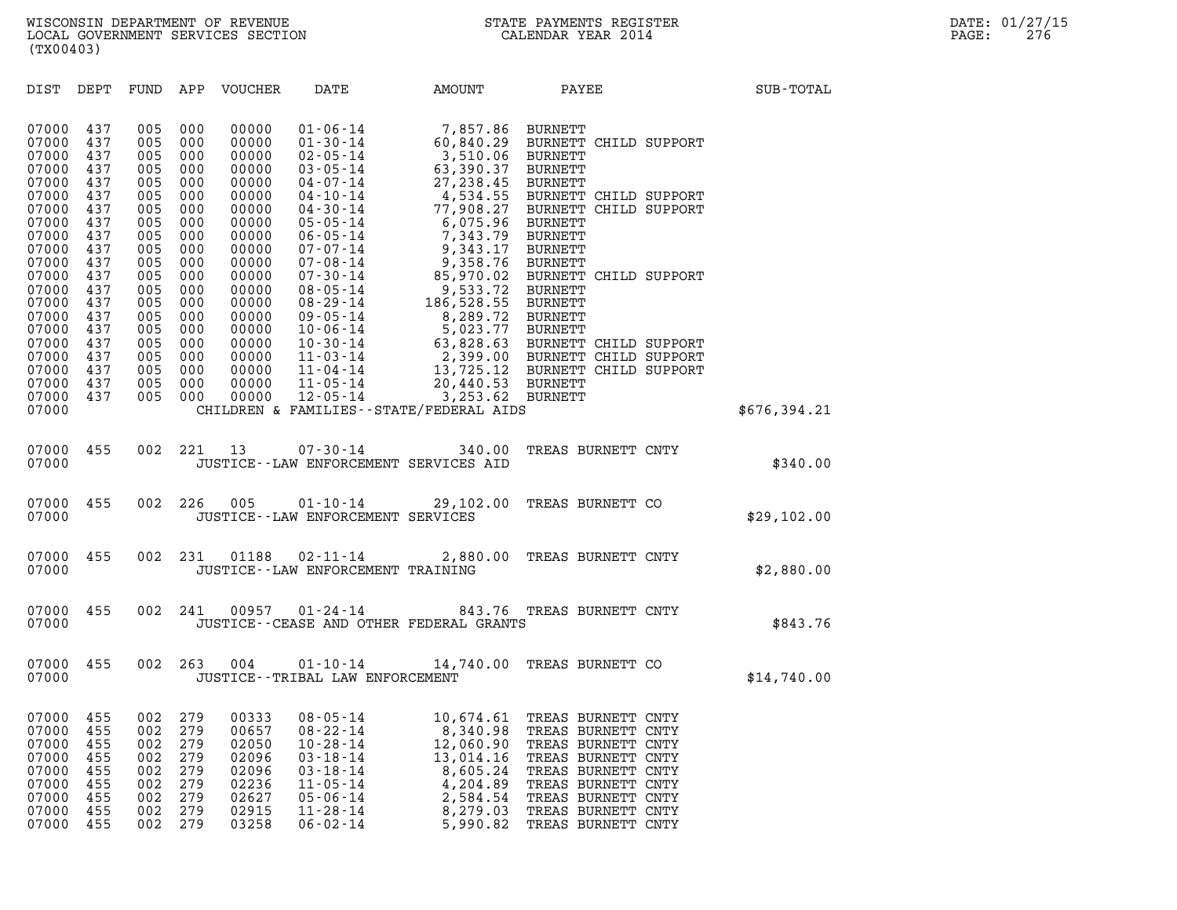(TX00403)

| (TX00403)                                                                                                |                                                                                  |                                                                                  |                                                                                  |                                                                                                          |                                                                                                                                                                                                          |                                                                                                                                                                       |                                                                                                                                                                                                    |              |
|----------------------------------------------------------------------------------------------------------|----------------------------------------------------------------------------------|----------------------------------------------------------------------------------|----------------------------------------------------------------------------------|----------------------------------------------------------------------------------------------------------|----------------------------------------------------------------------------------------------------------------------------------------------------------------------------------------------------------|-----------------------------------------------------------------------------------------------------------------------------------------------------------------------|----------------------------------------------------------------------------------------------------------------------------------------------------------------------------------------------------|--------------|
| DIST                                                                                                     | DEPT                                                                             |                                                                                  |                                                                                  | FUND APP VOUCHER                                                                                         | DATE                                                                                                                                                                                                     | <b>AMOUNT</b>                                                                                                                                                         | PAYEE                                                                                                                                                                                              | SUB-TOTAL    |
| 07000<br>07000<br>07000<br>07000<br>07000<br>07000<br>07000<br>07000<br>07000<br>07000<br>07000<br>07000 | 437<br>437<br>437<br>437<br>437<br>437<br>437<br>437<br>437<br>437<br>437<br>437 | 005<br>005<br>005<br>005<br>005<br>005<br>005<br>005<br>005<br>005<br>005<br>005 | 000<br>000<br>000<br>000<br>000<br>000<br>000<br>000<br>000<br>000<br>000<br>000 | 00000<br>00000<br>00000<br>00000<br>00000<br>00000<br>00000<br>00000<br>00000<br>00000<br>00000<br>00000 | $01 - 06 - 14$<br>$01 - 30 - 14$<br>$02 - 05 - 14$<br>$03 - 05 - 14$<br>04-07-14<br>04-10-14<br>$04 - 30 - 14$<br>$05 - 05 - 14$<br>$06 - 05 - 14$<br>$07 - 07 - 14$<br>$07 - 08 - 14$<br>$07 - 30 - 14$ | 7,857.86 BURNETT<br>3,510.06 BURNETT<br>63,390.37<br>27,238.45 BURNETT<br>6,075.96 BURNETT<br>7,343.79 BURNETT<br>9,343.17 BURNETT<br>9,358.76 BURNETT                | 60,840.29 BURNETT CHILD SUPPORT<br>BURNETT<br>4,534.55 BURNETT CHILD SUPPORT<br>77,908.27 BURNETT CHILD SUPPORT<br>85,970.02 BURNETT CHILD SUPPORT                                                 |              |
| 07000<br>07000<br>07000<br>07000<br>07000<br>07000<br>07000<br>07000<br>07000<br>07000                   | 437<br>437<br>437<br>437<br>437<br>437<br>437<br>437<br>437                      | 005<br>005<br>005<br>005<br>005<br>005<br>005<br>005<br>005                      | 000<br>000<br>000<br>000<br>000<br>000<br>000<br>000<br>000                      | 00000<br>00000<br>00000<br>00000<br>00000<br>00000<br>00000<br>00000<br>00000                            | $08 - 05 - 14$<br>08-29-14<br>09-05-14<br>$10 - 06 - 14$<br>$10 - 30 - 14$<br>$11 - 03 - 14$<br>$11 - 04 - 14$<br>$11 - 05 - 14$<br>$12 - 05 - 14$                                                       | 9,533.72 BURNETT<br>186,528.55 BURNETT<br>8,289.72 BURNETT<br>5,023.77 BURNETT<br>20,440.53 BURNETT<br>3,253.62 BURNETT<br>CHILDREN & FAMILIES - - STATE/FEDERAL AIDS | 63,828.63 BURNETT CHILD SUPPORT<br>2,399.00 BURNETT CHILD SUPPORT<br>13,725.12 BURNETT CHILD SUPPORT                                                                                               | \$676,394.21 |
| 07000<br>07000                                                                                           | 455                                                                              |                                                                                  | 002 221                                                                          | 13                                                                                                       | $07 - 30 - 14$                                                                                                                                                                                           | 340.00<br>JUSTICE -- LAW ENFORCEMENT SERVICES AID                                                                                                                     | TREAS BURNETT CNTY                                                                                                                                                                                 | \$340.00     |
| 07000<br>07000                                                                                           | 455                                                                              |                                                                                  | 002 226                                                                          | 005                                                                                                      | $01 - 10 - 14$<br>JUSTICE - - LAW ENFORCEMENT SERVICES                                                                                                                                                   | 29,102.00                                                                                                                                                             | TREAS BURNETT CO                                                                                                                                                                                   | \$29,102.00  |
| 07000<br>07000                                                                                           | 455                                                                              |                                                                                  | 002 231                                                                          | 01188                                                                                                    | $02 - 11 - 14$<br>JUSTICE - - LAW ENFORCEMENT TRAINING                                                                                                                                                   |                                                                                                                                                                       | 2,880.00 TREAS BURNETT CNTY                                                                                                                                                                        | \$2,880.00   |
| 07000<br>07000                                                                                           | 455                                                                              |                                                                                  | 002 241                                                                          | 00957                                                                                                    | $01 - 24 - 14$                                                                                                                                                                                           | JUSTICE -- CEASE AND OTHER FEDERAL GRANTS                                                                                                                             | 843.76 TREAS BURNETT CNTY                                                                                                                                                                          | \$843.76     |
| 07000<br>07000                                                                                           | 455                                                                              |                                                                                  | 002 263                                                                          | 004                                                                                                      | JUSTICE - - TRIBAL LAW ENFORCEMENT                                                                                                                                                                       |                                                                                                                                                                       | 01-10-14 14,740.00 TREAS BURNETT CO                                                                                                                                                                | \$14,740.00  |
| 07000<br>07000<br>07000<br>07000<br>07000<br>07000<br>07000<br>07000<br>07000                            | 455<br>455<br>455<br>455<br>455<br>455<br>455<br>455<br>455                      | 002<br>002<br>002<br>002<br>002<br>002<br>002<br>002<br>002                      | 279<br>279<br>279<br>279<br>279<br>279<br>279<br>279<br>279                      | 00333<br>00657<br>02050<br>02096<br>02096<br>02236<br>02627<br>02915<br>03258                            | $08 - 05 - 14$<br>$08 - 22 - 14$<br>$10 - 28 - 14$<br>$03 - 18 - 14$<br>$03 - 18 - 14$<br>$11 - 05 - 14$<br>$05 - 06 - 14$<br>$11 - 28 - 14$<br>$06 - 02 - 14$                                           | 10,674.61<br>8,340.98<br>12,060.90<br>13,014.16<br>8,605.24<br>4,204.89<br>2,584.54<br>8,279.03<br>5,990.82                                                           | TREAS BURNETT CNTY<br>TREAS BURNETT CNTY<br>TREAS BURNETT CNTY<br>TREAS BURNETT CNTY<br>TREAS BURNETT CNTY<br>TREAS BURNETT CNTY<br>TREAS BURNETT CNTY<br>TREAS BURNETT CNTY<br>TREAS BURNETT CNTY |              |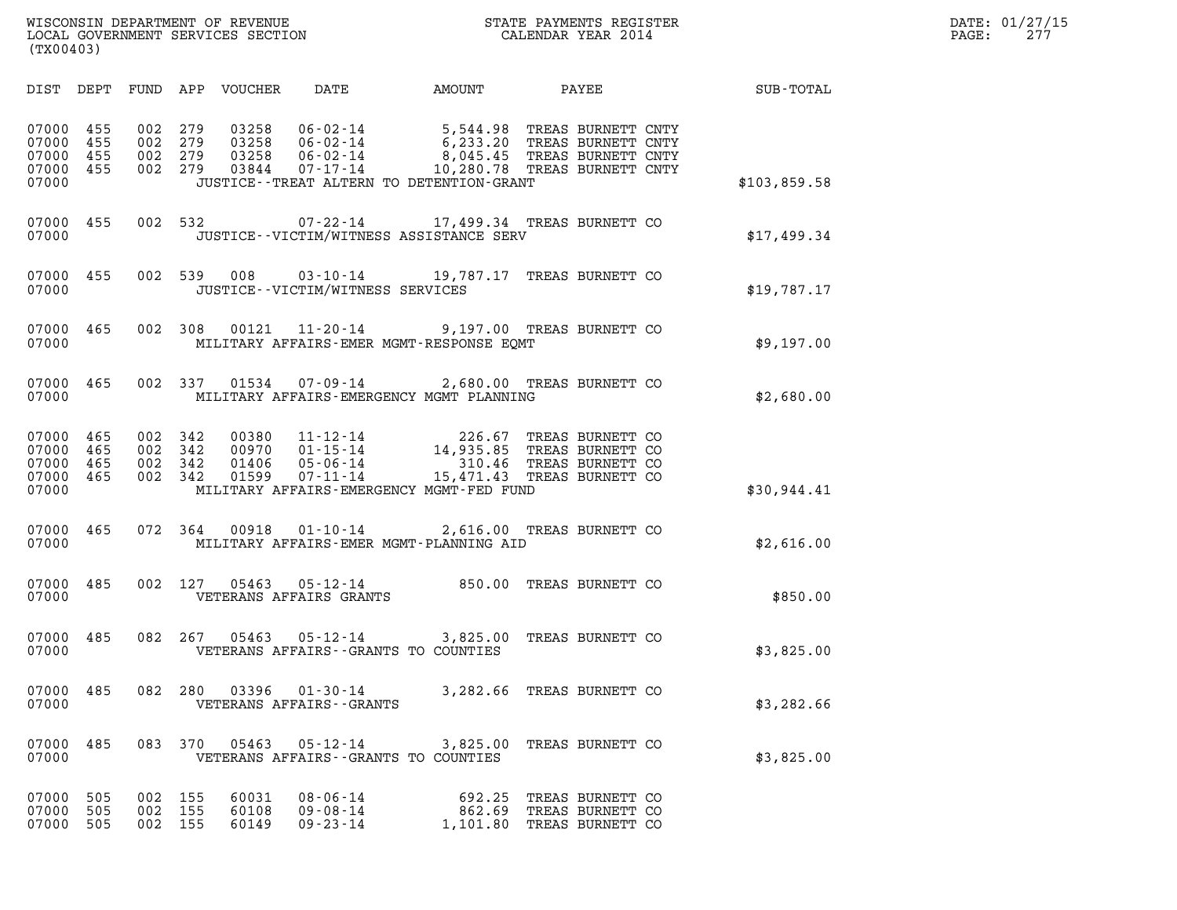| WISCONSIN DEPARTMENT OF REVENUE<br>LOCAL GOVERNMENT SERVICES SECTION<br>(TX00403) | STATE PAYMENTS REGISTER<br>CALENDAR YEAR 2014 | DATE: 01/27/15<br>27 <sub>7</sub><br>PAGE: |
|-----------------------------------------------------------------------------------|-----------------------------------------------|--------------------------------------------|

| (TX00403)                                                             |                          |                                                                                                                                                                                       |                                                                  |                                                                |              |
|-----------------------------------------------------------------------|--------------------------|---------------------------------------------------------------------------------------------------------------------------------------------------------------------------------------|------------------------------------------------------------------|----------------------------------------------------------------|--------------|
| DIST DEPT                                                             | FUND                     | DATE<br>APP<br>VOUCHER                                                                                                                                                                | AMOUNT                                                           | PAYEE                                                          | SUB-TOTAL    |
| 07000<br>455<br>07000<br>455<br>07000<br>455<br>07000<br>455<br>07000 | 002<br>002<br>002<br>002 | 279<br>03258<br>$06 - 02 - 14$<br>279<br>03258<br>$06 - 02 - 14$<br>03258<br>279<br>$06 - 02 - 14$<br>279<br>03844<br>$07 - 17 - 14$<br>JUSTICE - - TREAT ALTERN TO DETENTION - GRANT | 5,544.98<br>6,233.20<br>8,045.45<br>10,280.78 TREAS BURNETT CNTY | TREAS BURNETT CNTY<br>TREAS BURNETT CNTY<br>TREAS BURNETT CNTY | \$103,859.58 |
| 07000<br>455<br>07000                                                 | 002                      | 532<br>$07 - 22 - 14$<br>JUSTICE -- VICTIM/WITNESS ASSISTANCE SERV                                                                                                                    | 17,499.34 TREAS BURNETT CO                                       |                                                                | \$17,499.34  |
| 07000<br>455<br>07000                                                 | 002                      | 539<br>008<br>$03 - 10 - 14$<br>JUSTICE - - VICTIM/WITNESS SERVICES                                                                                                                   | 19,787.17 TREAS BURNETT CO                                       |                                                                | \$19,787.17  |
| 07000<br>465<br>07000                                                 | 002                      | 308<br>00121<br>11-20-14<br>MILITARY AFFAIRS-EMER MGMT-RESPONSE EOMT                                                                                                                  | 9,197.00 TREAS BURNETT CO                                        |                                                                | \$9,197.00   |
| 07000<br>465<br>07000                                                 | 002                      | 337<br>01534<br>07-09-14<br>MILITARY AFFAIRS-EMERGENCY MGMT PLANNING                                                                                                                  | 2,680.00 TREAS BURNETT CO                                        |                                                                | \$2,680.00   |
| 07000<br>465<br>07000<br>465<br>07000<br>465<br>07000<br>465<br>07000 | 002<br>002<br>002<br>002 | 342<br>00380<br>$11 - 12 - 14$<br>$01 - 15 - 14$<br>342<br>00970<br>342<br>01406<br>$05 - 06 - 14$<br>342<br>01599<br>$07 - 11 - 14$<br>MILITARY AFFAIRS-EMERGENCY MGMT-FED FUND      | 226.67<br>14,935.85<br>310.46<br>15,471.43 TREAS BURNETT CO      | TREAS BURNETT CO<br>TREAS BURNETT CO<br>TREAS BURNETT CO       | \$30,944.41  |
| 07000<br>465<br>07000                                                 | 072                      | $01 - 10 - 14$<br>364<br>00918<br>MILITARY AFFAIRS-EMER MGMT-PLANNING AID                                                                                                             | 2,616.00 TREAS BURNETT CO                                        |                                                                | \$2,616.00   |
| 07000<br>485<br>07000                                                 | 002                      | 127<br>05463<br>$05 - 12 - 14$<br>VETERANS AFFAIRS GRANTS                                                                                                                             | 850.00                                                           | TREAS BURNETT CO                                               | \$850.00     |
| 07000<br>485<br>07000                                                 | 082                      | 267<br>05463<br>$05 - 12 - 14$<br>VETERANS AFFAIRS -- GRANTS TO COUNTIES                                                                                                              | 3,825.00                                                         | TREAS BURNETT CO                                               | \$3,825.00   |
| 07000<br>485<br>07000                                                 | 082                      | 280<br>03396<br>$01 - 30 - 14$<br>VETERANS AFFAIRS - - GRANTS                                                                                                                         | 3,282.66                                                         | TREAS BURNETT CO                                               | \$3,282.66   |
| 485<br>07000<br>07000                                                 | 083                      | 370<br>05463<br>$05 - 12 - 14$<br>VETERANS AFFAIRS -- GRANTS TO COUNTIES                                                                                                              | 3,825.00                                                         | TREAS BURNETT CO                                               | \$3,825.00   |
| 07000<br>505<br>07000<br>505<br>07000<br>505                          | 002<br>002<br>002        | 155<br>60031<br>$08 - 06 - 14$<br>155<br>60108<br>$09 - 08 - 14$<br>155<br>60149<br>$09 - 23 - 14$                                                                                    | 692.25<br>862.69<br>1,101.80                                     | TREAS BURNETT CO<br>TREAS BURNETT CO<br>TREAS BURNETT CO       |              |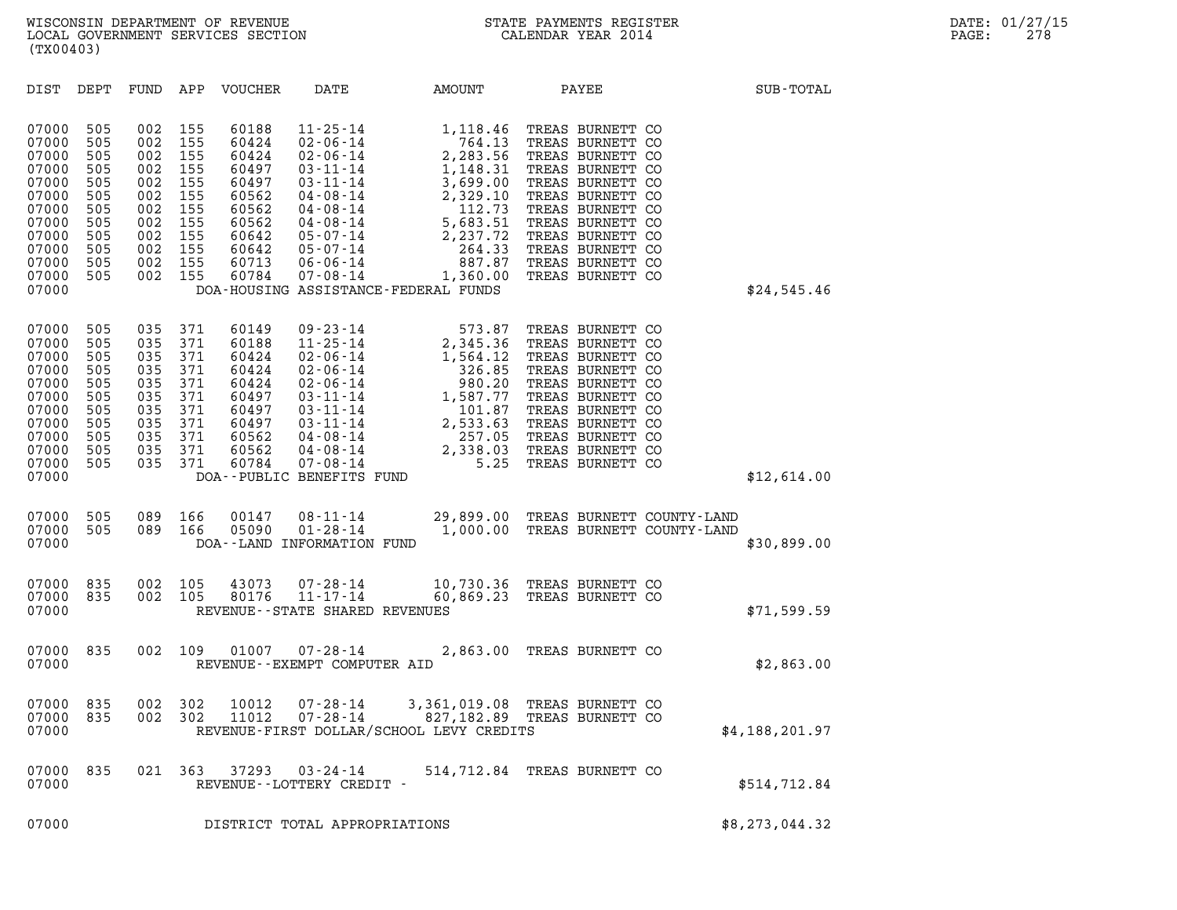| (TX00403)                                                                                                                                                                                             |                                                                                                                                                                      |                                                                                                          |                                                                                                                                                                                                                                                              |                                                                                                                                      |                                                                                                                                                                                                                                           |                   |
|-------------------------------------------------------------------------------------------------------------------------------------------------------------------------------------------------------|----------------------------------------------------------------------------------------------------------------------------------------------------------------------|----------------------------------------------------------------------------------------------------------|--------------------------------------------------------------------------------------------------------------------------------------------------------------------------------------------------------------------------------------------------------------|--------------------------------------------------------------------------------------------------------------------------------------|-------------------------------------------------------------------------------------------------------------------------------------------------------------------------------------------------------------------------------------------|-------------------|
| DIST<br>DEPT                                                                                                                                                                                          | FUND<br>APP                                                                                                                                                          | VOUCHER                                                                                                  | DATE                                                                                                                                                                                                                                                         | AMOUNT                                                                                                                               | PAYEE                                                                                                                                                                                                                                     | SUB-TOTAL         |
| 07000<br>505<br>07000<br>505<br>07000<br>505<br>07000<br>505<br>07000<br>505<br>07000<br>505<br>07000<br>505<br>07000<br>505<br>07000<br>505<br>07000<br>505<br>07000<br>505<br>07000<br>505<br>07000 | 002<br>155<br>002<br>155<br>002<br>155<br>002<br>155<br>002<br>155<br>002<br>155<br>002<br>155<br>155<br>002<br>002<br>155<br>155<br>002<br>155<br>002<br>002<br>155 | 60188<br>60424<br>60424<br>60497<br>60497<br>60562<br>60562<br>60562<br>60642<br>60642<br>60713<br>60784 | $11 - 25 - 14$<br>$02 - 06 - 14$<br>$02 - 06 - 14$<br>$03 - 11 - 14$<br>$03 - 11 - 14$<br>$04 - 08 - 14$<br>$04 - 08 - 14$<br>$04 - 08 - 14$<br>$05 - 07 - 14$<br>$05 - 07 - 14$<br>$06 - 06 - 14$<br>$07 - 08 - 14$<br>DOA-HOUSING ASSISTANCE-FEDERAL FUNDS | 1,118.46<br>764.13<br>2,283.56<br>1,148.31<br>3,699.00<br>2,329.10<br>112.73<br>5,683.51<br>2,237.72<br>264.33<br>887.87<br>1,360.00 | TREAS BURNETT CO<br>TREAS BURNETT CO<br>TREAS BURNETT CO<br>TREAS BURNETT CO<br>TREAS BURNETT CO<br>TREAS BURNETT CO<br>TREAS BURNETT CO<br>TREAS BURNETT<br>TREAS BURNETT CO<br>TREAS BURNETT CO<br>TREAS BURNETT CO<br>TREAS BURNETT CO | CO<br>\$24,545.46 |
| 07000<br>505<br>07000<br>505<br>07000<br>505<br>07000<br>505<br>07000<br>505<br>07000<br>505<br>07000<br>505<br>07000<br>505<br>07000<br>505<br>07000<br>505<br>07000<br>505<br>07000                 | 035<br>371<br>035<br>371<br>035<br>371<br>035<br>371<br>035<br>371<br>035<br>371<br>035<br>371<br>035<br>371<br>035<br>371<br>035<br>371<br>035<br>371               | 60149<br>60188<br>60424<br>60424<br>60424<br>60497<br>60497<br>60497<br>60562<br>60562<br>60784          | $09 - 23 - 14$<br>$11 - 25 - 14$<br>$02 - 06 - 14$<br>$02 - 06 - 14$<br>$02 - 06 - 14$<br>$03 - 11 - 14$<br>$03 - 11 - 14$<br>$03 - 11 - 14$<br>$04 - 08 - 14$<br>$04 - 08 - 14$<br>$07 - 08 - 14$<br>DOA--PUBLIC BENEFITS FUND                              | 573.87<br>2,345.36<br>1,564.12<br>326.85<br>980.20<br>1,587.77<br>101.87<br>2,533.63<br>257.05<br>2,338.03<br>5.25                   | TREAS BURNETT CO<br>TREAS BURNETT CO<br>TREAS BURNETT CO<br>TREAS BURNETT CO<br>TREAS BURNETT<br>TREAS BURNETT CO<br>TREAS BURNETT CO<br>TREAS BURNETT CO<br>TREAS BURNETT CO<br>TREAS BURNETT CO<br>TREAS BURNETT CO                     | CO<br>\$12,614.00 |
| 07000<br>505<br>07000<br>505<br>07000                                                                                                                                                                 | 089<br>166<br>089<br>166                                                                                                                                             | 00147<br>05090                                                                                           | $08 - 11 - 14$<br>$01 - 28 - 14$<br>DOA--LAND INFORMATION FUND                                                                                                                                                                                               | 29,899.00<br>1,000.00                                                                                                                | TREAS BURNETT COUNTY-LAND<br>TREAS BURNETT COUNTY-LAND                                                                                                                                                                                    | \$30,899.00       |
| 07000<br>835<br>07000<br>835<br>07000                                                                                                                                                                 | 002<br>105<br>002<br>105                                                                                                                                             | 43073<br>80176                                                                                           | $07 - 28 - 14$<br>$11 - 17 - 14$<br>REVENUE - - STATE SHARED REVENUES                                                                                                                                                                                        | 60,869.23                                                                                                                            | 10,730.36 TREAS BURNETT CO<br>TREAS BURNETT CO                                                                                                                                                                                            | \$71,599.59       |
| 07000<br>835<br>07000                                                                                                                                                                                 | 002<br>109                                                                                                                                                           | 01007                                                                                                    | $07 - 28 - 14$<br>REVENUE - - EXEMPT COMPUTER AID                                                                                                                                                                                                            | 2,863.00                                                                                                                             | TREAS BURNETT CO                                                                                                                                                                                                                          | \$2,863.00        |
| 07000<br>835<br>07000<br>835<br>07000                                                                                                                                                                 | 302<br>002<br>002 302                                                                                                                                                | 10012<br>11012                                                                                           | 07-28-14<br>07-28-14                                                                                                                                                                                                                                         | 3,361,019.08<br>REVENUE-FIRST DOLLAR/SCHOOL LEVY CREDITS                                                                             | TREAS BURNETT CO<br>827,182.89 TREAS BURNETT CO                                                                                                                                                                                           | \$4,188,201.97    |
| 07000<br>835<br>07000                                                                                                                                                                                 | 021 363                                                                                                                                                              | 37293                                                                                                    | 03-24-14<br>REVENUE--LOTTERY CREDIT -                                                                                                                                                                                                                        |                                                                                                                                      | 514,712.84 TREAS BURNETT CO                                                                                                                                                                                                               | \$514,712.84      |
| 07000                                                                                                                                                                                                 |                                                                                                                                                                      |                                                                                                          | DISTRICT TOTAL APPROPRIATIONS                                                                                                                                                                                                                                |                                                                                                                                      |                                                                                                                                                                                                                                           | \$8,273,044.32    |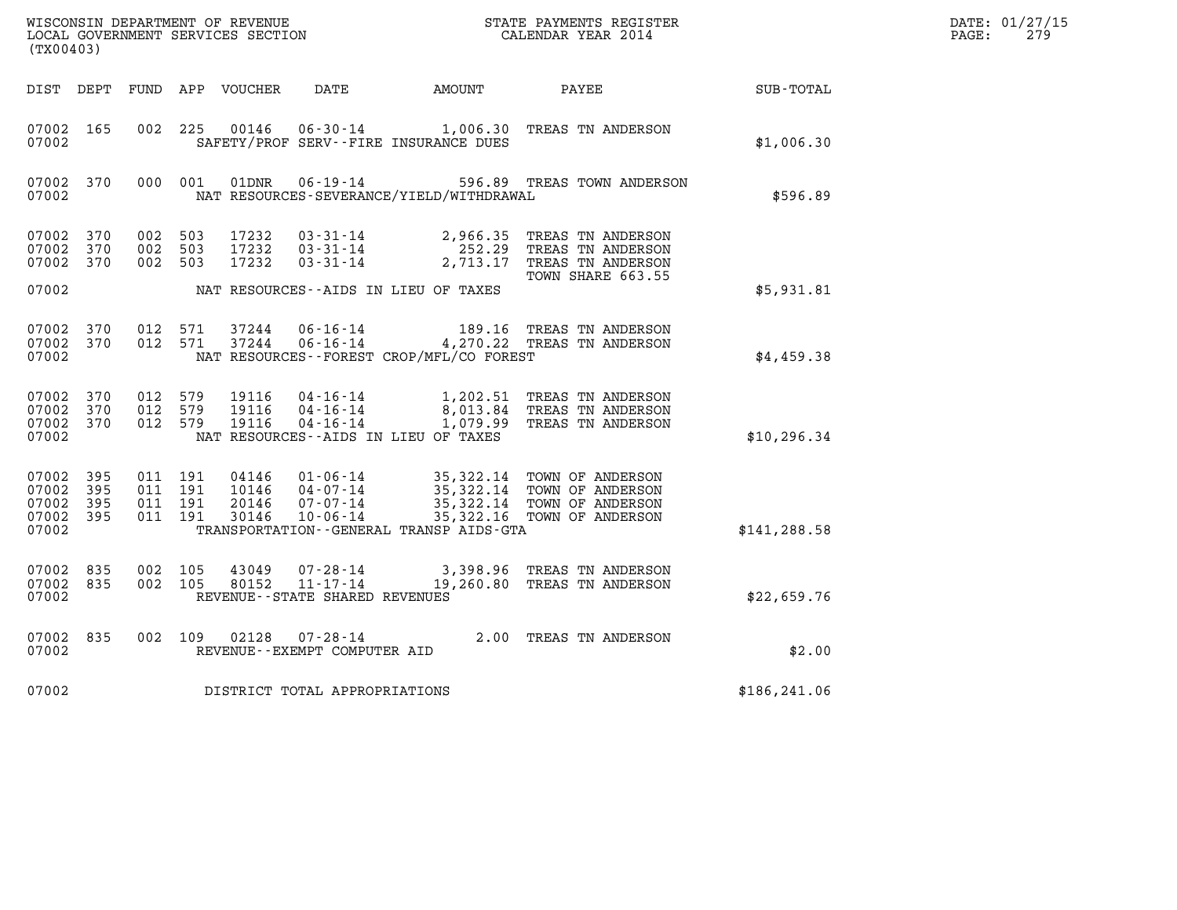| DATE: | 01/27/15 |
|-------|----------|
| PAGE: | 279      |

| WISCONSIN DEPARTMENT OF REVENUE<br>LOCAL GOVERNMENT SERVICES SECTION<br>(TX00403) |            |                               |                               |                                  |                                                                 |                                             | STATE PAYMENTS REGISTER<br>CALENDAR YEAR 2014                                                                                 |               | DATE: 01/27/15<br>PAGE:<br>279 |
|-----------------------------------------------------------------------------------|------------|-------------------------------|-------------------------------|----------------------------------|-----------------------------------------------------------------|---------------------------------------------|-------------------------------------------------------------------------------------------------------------------------------|---------------|--------------------------------|
| DIST DEPT                                                                         |            |                               |                               | FUND APP VOUCHER                 | DATE                                                            | AMOUNT                                      | PAYEE                                                                                                                         | SUB-TOTAL     |                                |
| 07002 165<br>07002                                                                |            |                               | 002 225                       | 00146                            |                                                                 | SAFETY/PROF SERV--FIRE INSURANCE DUES       | 06-30-14 1,006.30 TREAS TN ANDERSON                                                                                           | \$1,006.30    |                                |
| 07002 370<br>07002                                                                |            |                               | 000 001                       | 01DNR                            | $06 - 19 - 14$                                                  | NAT RESOURCES-SEVERANCE/YIELD/WITHDRAWAL    | 596.89 TREAS TOWN ANDERSON                                                                                                    | \$596.89      |                                |
| 07002<br>07002<br>07002 370                                                       | 370<br>370 | 002 503<br>002 503<br>002 503 |                               | 17232<br>17232<br>17232          | $03 - 31 - 14$<br>03-31-14<br>$03 - 31 - 14$                    |                                             | 2,966.35 TREAS TN ANDERSON<br>252.29 TREAS TN ANDERSON<br>2,713.17 TREAS TN ANDERSON<br>TOWN SHARE 663.55                     |               |                                |
| 07002                                                                             |            |                               |                               |                                  |                                                                 | NAT RESOURCES--AIDS IN LIEU OF TAXES        |                                                                                                                               | \$5,931.81    |                                |
| 07002 370<br>07002 370<br>07002                                                   |            | 012 571                       | 012 571                       | 37244<br>37244                   | 06-16-14<br>$06 - 16 - 14$                                      | NAT RESOURCES - - FOREST CROP/MFL/CO FOREST | 189.16 TREAS TN ANDERSON<br>4,270.22 TREAS TN ANDERSON                                                                        | \$4,459.38    |                                |
| 07002 370<br>07002 370<br>07002 370<br>07002                                      |            | 012 579<br>012 579<br>012 579 |                               | 19116<br>19116<br>19116          |                                                                 | NAT RESOURCES--AIDS IN LIEU OF TAXES        | 04-16-14 1,202.51 TREAS TN ANDERSON<br>04-16-14 8,013.84 TREAS TN ANDERSON<br>04-16-14 1,079.99 TREAS TN ANDERSON             | \$10, 296.34  |                                |
| 07002<br>07002<br>07002 395<br>07002 395<br>07002                                 | 395<br>395 | 011 191                       | 011 191<br>011 191<br>011 191 | 04146<br>10146<br>20146<br>30146 | $01 - 06 - 14$<br>$07 - 07 - 14$<br>$10 - 06 - 14$              | TRANSPORTATION--GENERAL TRANSP AIDS-GTA     | 35,322.14 TOWN OF ANDERSON<br>04-07-14 35,322.14 TOWN OF ANDERSON<br>35,322.14 TOWN OF ANDERSON<br>35,322.16 TOWN OF ANDERSON | \$141, 288.58 |                                |
| 07002 835<br>07002 835<br>07002                                                   |            | 002 105<br>002 105            |                               | 43049<br>80152                   | 07-28-14<br>$11 - 17 - 14$<br>REVENUE - - STATE SHARED REVENUES |                                             | 3,398.96 TREAS TN ANDERSON<br>19,260.80 TREAS TN ANDERSON                                                                     | \$22,659.76   |                                |
| 07002 835<br>07002                                                                |            | 002 109                       |                               | 02128                            | $07 - 28 - 14$<br>REVENUE--EXEMPT COMPUTER AID                  |                                             | 2.00 TREAS TN ANDERSON                                                                                                        | \$2.00        |                                |
| 07002                                                                             |            |                               |                               |                                  | DISTRICT TOTAL APPROPRIATIONS                                   |                                             |                                                                                                                               | \$186, 241.06 |                                |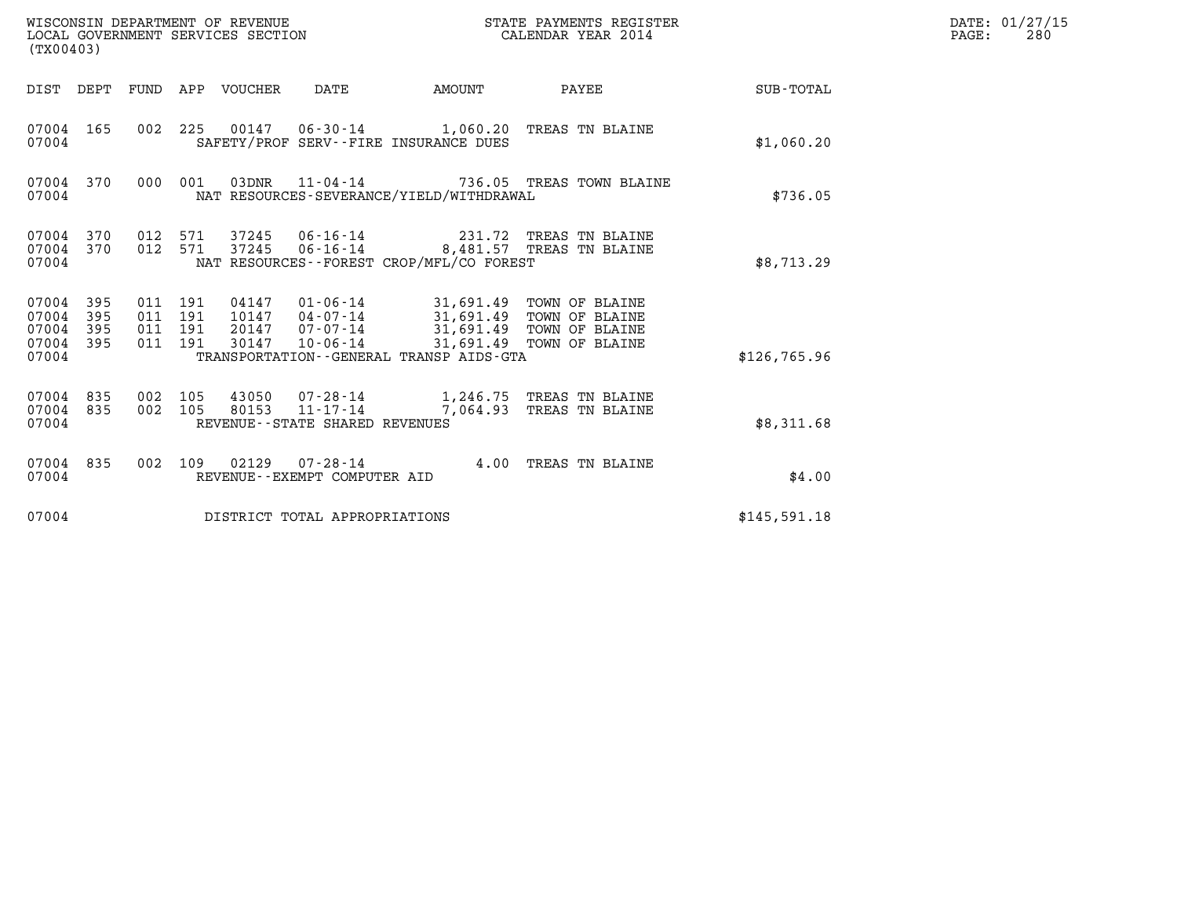| WISCONSIN DEPARTMENT OF REVENUE<br>LOCAL GOVERNMENT SERVICES SECTION<br>(TX00403) |                                          |                                  |                                |                                                                                                                                                    | STATE PAYMENTS REGISTER<br>CALENDAR YEAR 2014                                         |              | DATE: 01/27/15<br>PAGE:<br>280 |
|-----------------------------------------------------------------------------------|------------------------------------------|----------------------------------|--------------------------------|----------------------------------------------------------------------------------------------------------------------------------------------------|---------------------------------------------------------------------------------------|--------------|--------------------------------|
| DIST DEPT FUND APP VOUCHER                                                        |                                          |                                  | DATE                           |                                                                                                                                                    | AMOUNT PAYEE                                                                          | SUB-TOTAL    |                                |
| 07004 165<br>07004                                                                |                                          |                                  |                                | SAFETY/PROF SERV--FIRE INSURANCE DUES                                                                                                              | 002 225 00147 06-30-14 1,060.20 TREAS TN BLAINE                                       | \$1,060.20   |                                |
| 07004 370<br>07004                                                                | 000 001                                  |                                  | 03DNR 11-04-14                 | NAT RESOURCES-SEVERANCE/YIELD/WITHDRAWAL                                                                                                           | 736.05 TREAS TOWN BLAINE                                                              | \$736.05     |                                |
| 07004 370<br>07004 370<br>07004                                                   | 012 571<br>012 571                       |                                  |                                | NAT RESOURCES--FOREST CROP/MFL/CO FOREST                                                                                                           | 37245  06-16-14  8,481.57  TREAS TN BLAINE                                            | \$8,713.29   |                                |
| 07004 395<br>395<br>07004<br>07004<br>395<br>395<br>07004<br>07004                | 011 191<br>011 191<br>011 191<br>011 191 | 04147<br>10147<br>20147<br>30147 | $07 - 07 - 14$<br>10-06-14     | 01-06-14 31,691.49 TOWN OF BLAINE<br>04-07-14 31,691.49 TOWN OF BLAINE<br>31,691.49 TOWN OF BLAINE<br>TRANSPORTATION - - GENERAL TRANSP AIDS - GTA | 31,691.49 TOWN OF BLAINE                                                              | \$126,765.96 |                                |
| 07004 835<br>07004 835<br>07004                                                   | 002 105<br>002 105                       |                                  | REVENUE--STATE SHARED REVENUES |                                                                                                                                                    | 43050 07-28-14 1,246.75 TREAS TN BLAINE<br>80153  11-17-14  7,064.93  TREAS TN BLAINE | \$8,311.68   |                                |
| 07004 835<br>07004                                                                | 002 109                                  |                                  | REVENUE--EXEMPT COMPUTER AID   |                                                                                                                                                    | 02129  07-28-14  4.00 TREAS TN BLAINE                                                 | \$4.00       |                                |
| 07004                                                                             |                                          |                                  | DISTRICT TOTAL APPROPRIATIONS  |                                                                                                                                                    |                                                                                       | \$145,591.18 |                                |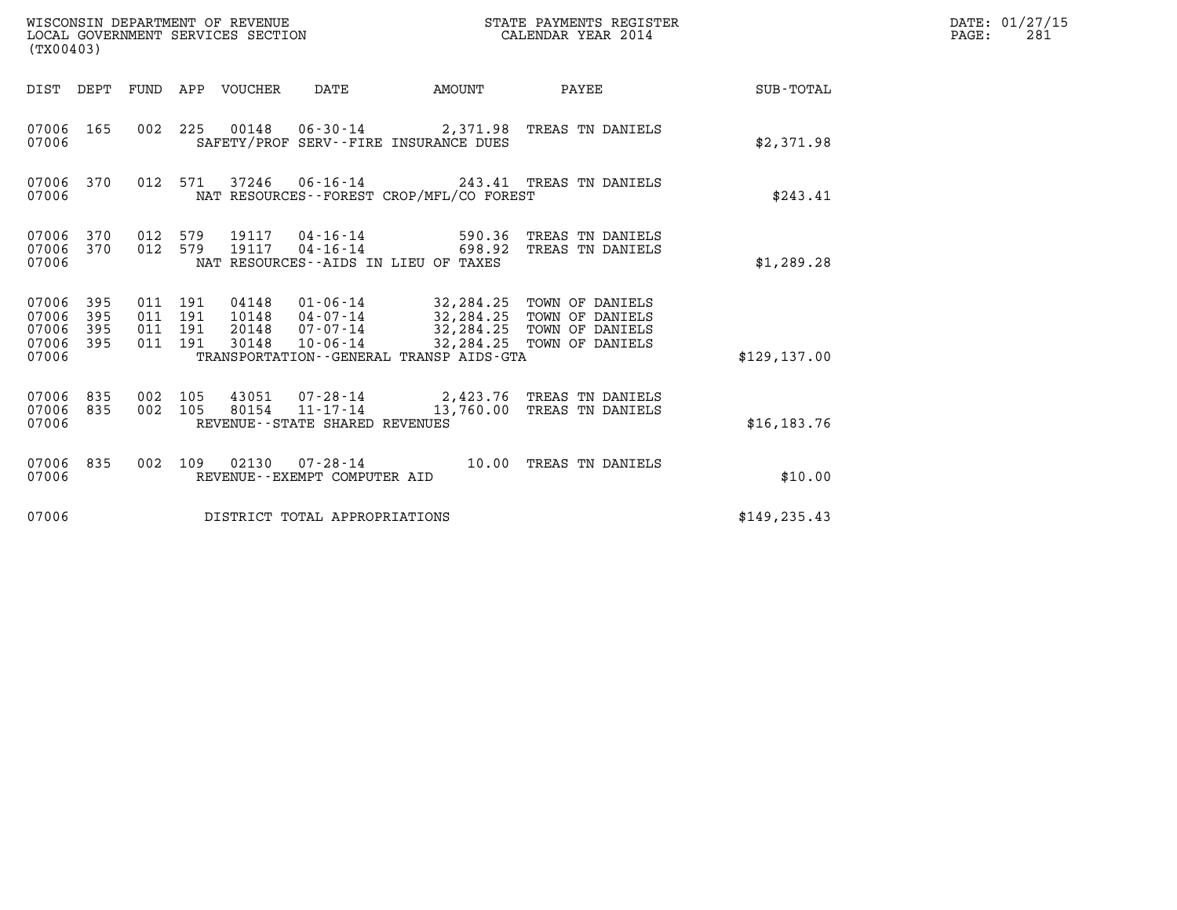| WISCONSIN DEPARTMENT OF REVENUE<br>LOCAL GOVERNMENT SERVICES SECTION<br>(TX00403) |                   |                                      |     |                                  |                                |                                                                                                                                                       | STATE PAYMENTS REGISTER<br>CALENDAR YEAR 2014                                              |               | DATE: 01/27/15<br>PAGE:<br>281 |
|-----------------------------------------------------------------------------------|-------------------|--------------------------------------|-----|----------------------------------|--------------------------------|-------------------------------------------------------------------------------------------------------------------------------------------------------|--------------------------------------------------------------------------------------------|---------------|--------------------------------|
|                                                                                   |                   |                                      |     | DIST DEPT FUND APP VOUCHER       | DATE                           | AMOUNT                                                                                                                                                | <b>PAYEE</b> FOR THE PAYEE                                                                 | SUB-TOTAL     |                                |
| 07006 165<br>07006                                                                |                   |                                      |     |                                  |                                | SAFETY/PROF SERV--FIRE INSURANCE DUES                                                                                                                 | 002 225 00148 06-30-14 2,371.98 TREAS TN DANIELS                                           | \$2,371.98    |                                |
| 07006 370<br>07006                                                                |                   |                                      |     |                                  |                                | NAT RESOURCES - - FOREST CROP/MFL/CO FOREST                                                                                                           | 012 571 37246 06-16-14 243.41 TREAS TN DANIELS                                             | \$243.41      |                                |
| 07006 370<br>07006 370<br>07006                                                   |                   | 012 579<br>012 579                   |     | 19117<br>19117                   | $04 - 16 - 14$                 | 590.36<br>NAT RESOURCES--AIDS IN LIEU OF TAXES                                                                                                        | TREAS TN DANIELS<br>04-16-14 698.92 TREAS TN DANIELS                                       | \$1,289.28    |                                |
| 07006 395<br>07006<br>07006<br>07006<br>07006                                     | 395<br>395<br>395 | 011 191<br>011 191<br>011<br>011 191 | 191 | 04148<br>10148<br>20148<br>30148 | 07-07-14<br>10-06-14           | 01-06-14 32,284.25 TOWN OF DANIELS<br>04-07-14 32,284.25 TOWN OF DANIELS<br>32,284.25 TOWN OF DANIELS<br>TRANSPORTATION - - GENERAL TRANSP AIDS - GTA | 32,284.25 TOWN OF DANIELS                                                                  | \$129, 137.00 |                                |
| 07006 835<br>07006 835<br>07006                                                   |                   | 002<br>002 105                       | 105 |                                  | REVENUE--STATE SHARED REVENUES |                                                                                                                                                       | 43051  07-28-14  2,423.76  TREAS TN DANIELS<br>80154  11-17-14  13,760.00 TREAS TN DANIELS | \$16, 183.76  |                                |
| 07006 835<br>07006                                                                |                   | 002 109                              |     |                                  | REVENUE--EXEMPT COMPUTER AID   |                                                                                                                                                       |                                                                                            | \$10.00       |                                |
| 07006                                                                             |                   |                                      |     |                                  | DISTRICT TOTAL APPROPRIATIONS  |                                                                                                                                                       |                                                                                            | \$149, 235.43 |                                |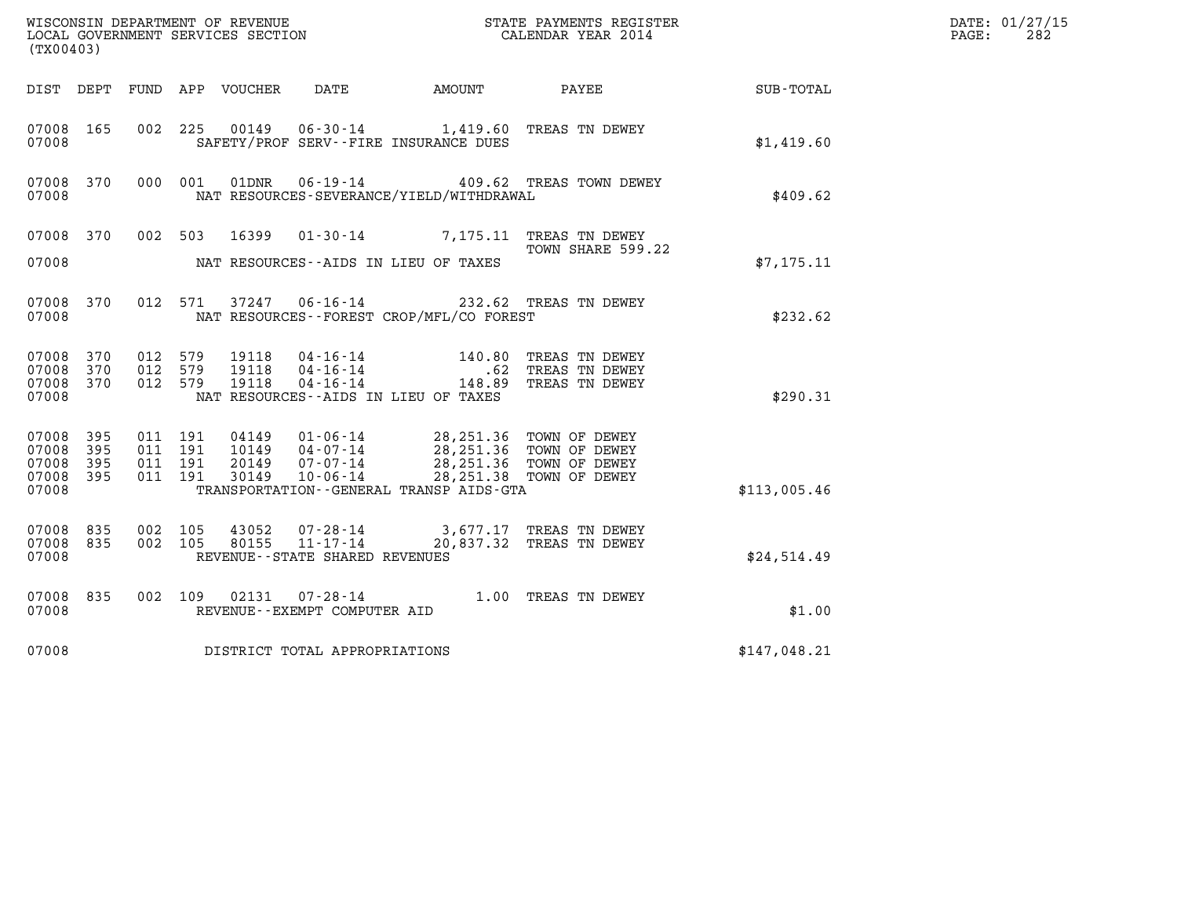| (TX00403)                                |            |                           |         |                         |                                                              |                                                                               |                                                                                |              | DATE: 01/27/15<br>282<br>$\mathtt{PAGE}$ : |
|------------------------------------------|------------|---------------------------|---------|-------------------------|--------------------------------------------------------------|-------------------------------------------------------------------------------|--------------------------------------------------------------------------------|--------------|--------------------------------------------|
| DIST DEPT                                |            |                           |         | FUND APP VOUCHER DATE   |                                                              | <b>AMOUNT</b>                                                                 | PAYEE                                                                          | SUB-TOTAL    |                                            |
| 07008 165<br>07008                       |            | 002 225                   |         | 00149                   |                                                              | 06-30-14 1,419.60 TREAS TN DEWEY<br>SAFETY/PROF SERV--FIRE INSURANCE DUES     |                                                                                | \$1,419.60   |                                            |
| 07008 370<br>07008                       |            |                           | 000 001 | 01DNR                   | $06 - 19 - 14$                                               | NAT RESOURCES-SEVERANCE/YIELD/WITHDRAWAL                                      | 409.62 TREAS TOWN DEWEY                                                        | \$409.62     |                                            |
| 07008 370                                |            |                           | 002 503 | 16399                   |                                                              | 01-30-14 7,175.11 TREAS TN DEWEY                                              | TOWN SHARE 599.22                                                              |              |                                            |
| 07008                                    |            |                           |         |                         |                                                              | NAT RESOURCES -- AIDS IN LIEU OF TAXES                                        |                                                                                | \$7, 175.11  |                                            |
| 07008 370<br>07008                       |            | 012 571                   |         | 37247                   |                                                              | 06-16-14 232.62 TREAS TN DEWEY<br>NAT RESOURCES - - FOREST CROP/MFL/CO FOREST |                                                                                | \$232.62     |                                            |
| 07008 370<br>07008<br>07008 370<br>07008 | 370        | 012 579<br>012<br>012 579 | 579     | 19118<br>19118<br>19118 | 04 - 16 - 14<br>04 - 16 - 14<br>04 - 16 - 14                 | NAT RESOURCES -- AIDS IN LIEU OF TAXES                                        | 140.80 TREAS TN DEWEY<br>.62 TREAS TN DEWEY<br>148.89 TREAS TN DEWEY           | \$290.31     |                                            |
| 07008 395                                |            |                           | 011 191 | 04149                   | 01-06-14                                                     | 28,251.36 TOWN OF DEWEY                                                       |                                                                                |              |                                            |
| 07008<br>07008<br>07008 395              | 395<br>395 | 011<br>011 191<br>011 191 | 191     | 10149<br>20149<br>30149 | $04 - 07 - 14$<br>$07 - 07 - 14$<br>$10 - 06 - 14$           |                                                                               | 28,251.36 TOWN OF DEWEY<br>28,251.36 TOWN OF DEWEY<br>28, 251.38 TOWN OF DEWEY |              |                                            |
| 07008                                    |            |                           |         |                         |                                                              | TRANSPORTATION - - GENERAL TRANSP AIDS - GTA                                  |                                                                                | \$113,005.46 |                                            |
| 07008 835<br>07008 835<br>07008          |            | 002 105<br>002 105        |         | 43052<br>80155          | 07-28-14<br>$11 - 17 - 14$<br>REVENUE--STATE SHARED REVENUES |                                                                               | 3,677.17 TREAS TN DEWEY<br>20,837.32 TREAS TN DEWEY                            | \$24,514.49  |                                            |
| 07008<br>07008                           | 835        |                           | 002 109 | 02131                   | 07-28-14<br>REVENUE--EXEMPT COMPUTER AID                     |                                                                               | 1.00 TREAS TN DEWEY                                                            | \$1.00       |                                            |
| 07008                                    |            |                           |         |                         | DISTRICT TOTAL APPROPRIATIONS                                |                                                                               |                                                                                | \$147,048.21 |                                            |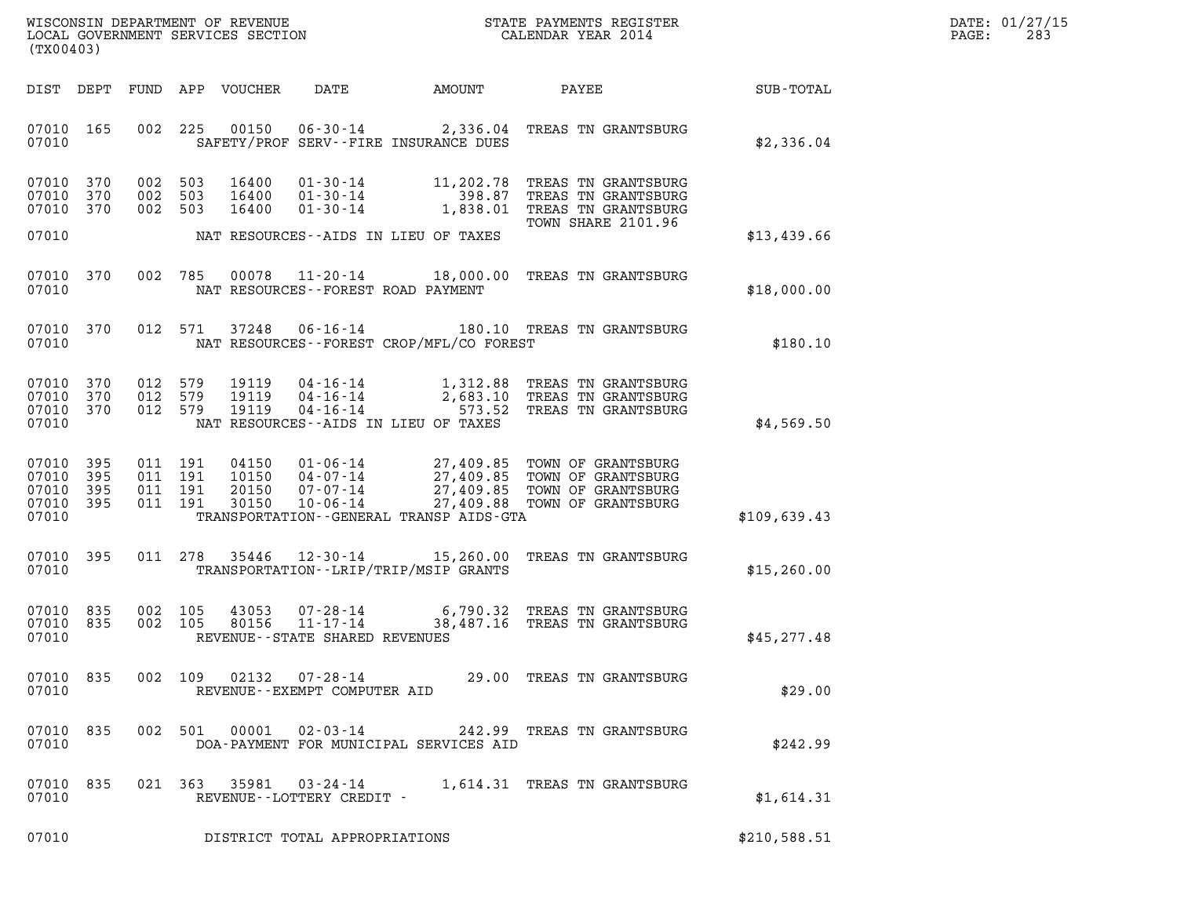| WISCONSIN DEPARTMENT OF REVENUE   | STATE PAYMENTS REGISTER | DATE: 01/27/15 |
|-----------------------------------|-------------------------|----------------|
| LOCAL GOVERNMENT SERVICES SECTION | CALENDAR YEAR 2014      | 283<br>PAGE:   |

| (TX00403)                                             |     |         |                                          |                                                          | WISCONSIN DEPARTMENT OF REVENUE<br>LOCAL GOVERNMENT SERVICES SECTION<br>CALENDAR YEAR 2014 |                                                                                                                                                                                                      | DATE: 01/27/15<br>$\mathtt{PAGE:}$<br>283 |  |
|-------------------------------------------------------|-----|---------|------------------------------------------|----------------------------------------------------------|--------------------------------------------------------------------------------------------|------------------------------------------------------------------------------------------------------------------------------------------------------------------------------------------------------|-------------------------------------------|--|
|                                                       |     |         |                                          |                                                          |                                                                                            | DIST DEPT FUND APP VOUCHER DATE AMOUNT PAYEE                                                                                                                                                         | SUB-TOTAL                                 |  |
| 07010 165<br>07010                                    |     |         |                                          | SAFETY/PROF SERV--FIRE INSURANCE DUES                    |                                                                                            | 002 225 00150 06-30-14 2,336.04 TREAS TN GRANTSBURG                                                                                                                                                  | \$2,336.04                                |  |
| 07010 370<br>07010 370<br>07010 370                   |     |         | 002 503 16400<br>002 503<br>002 503      |                                                          |                                                                                            | 16400  01-30-14  11,202.78  TREAS TN GRANTSBURG<br>16400  01-30-14  198.87  TREAS TN GRANTSBURG<br>16400  01-30-14  1,838.01  TREAS TN GRANTSBURG                                                    |                                           |  |
| 07010                                                 |     |         |                                          | NAT RESOURCES--AIDS IN LIEU OF TAXES                     |                                                                                            | TOWN SHARE 2101.96                                                                                                                                                                                   | \$13,439.66                               |  |
| 07010 370<br>07010                                    |     |         |                                          | NAT RESOURCES--FOREST ROAD PAYMENT                       |                                                                                            | 002 785 00078 11-20-14 18,000.00 TREAS TN GRANTSBURG                                                                                                                                                 | \$18,000.00                               |  |
| 07010                                                 |     |         |                                          | NAT RESOURCES - - FOREST CROP/MFL/CO FOREST              |                                                                                            | 07010 370 012 571 37248 06-16-14 180.10 TREAS TN GRANTSBURG                                                                                                                                          | \$180.10                                  |  |
| 07010 370<br>07010 370<br>07010 370<br>07010          |     |         |                                          | NAT RESOURCES--AIDS IN LIEU OF TAXES                     |                                                                                            | 012 579 19119 04-16-14 1,312.88 TREAS TN GRANTSBURG<br>012 579 19119 04-16-14 2,683.10 TREAS TN GRANTSBURG<br>012 579 19119 04-16-14 573.52 TREAS TN GRANTSBURG                                      | \$4,569.50                                |  |
| 07010 395<br>07010<br>07010 395<br>07010 395<br>07010 | 395 |         | 011 191<br>011 191<br>011 191<br>011 191 | TRANSPORTATION--GENERAL TRANSP AIDS-GTA                  |                                                                                            | 04150  01-06-14  27,409.85  TOWN OF GRANTSBURG<br>10150  04-07-14  27,409.85  TOWN OF GRANTSBURG<br>20150  07-07-14  27,409.85  TOWN OF GRANTSBURG<br>30150  10-06-14  27,409.88  TOWN OF GRANTSBURG | \$109,639.43                              |  |
| 07010 395<br>07010                                    |     |         |                                          | TRANSPORTATION--LRIP/TRIP/MSIP GRANTS                    |                                                                                            | 011 278 35446 12-30-14 15,260.00 TREAS TN GRANTSBURG                                                                                                                                                 | \$15,260.00                               |  |
| 07010 835<br>07010 835<br>07010                       |     | 002 105 | 43053<br>002 105 80156                   | REVENUE--STATE SHARED REVENUES                           |                                                                                            | 07-28-14 6,790.32 TREAS TN GRANTSBURG<br>11-17-14 38,487.16 TREAS TN GRANTSBURG                                                                                                                      | \$45,277.48                               |  |
| 07010<br>07010                                        | 835 |         | 002 109 02132                            | $07 - 28 - 14$<br>REVENUE--EXEMPT COMPUTER AID           |                                                                                            | 29.00 TREAS TN GRANTSBURG                                                                                                                                                                            | \$29.00                                   |  |
| 07010<br>07010                                        | 835 |         | 002 501 00001                            | $02 - 03 - 14$<br>DOA-PAYMENT FOR MUNICIPAL SERVICES AID |                                                                                            | 242.99 TREAS TN GRANTSBURG                                                                                                                                                                           | \$242.99                                  |  |
| 07010<br>07010                                        | 835 |         |                                          | 021 363 35981 03-24-14<br>REVENUE - - LOTTERY CREDIT -   |                                                                                            | 1,614.31 TREAS TN GRANTSBURG                                                                                                                                                                         | \$1,614.31                                |  |
| 07010                                                 |     |         |                                          | DISTRICT TOTAL APPROPRIATIONS                            |                                                                                            |                                                                                                                                                                                                      | \$210,588.51                              |  |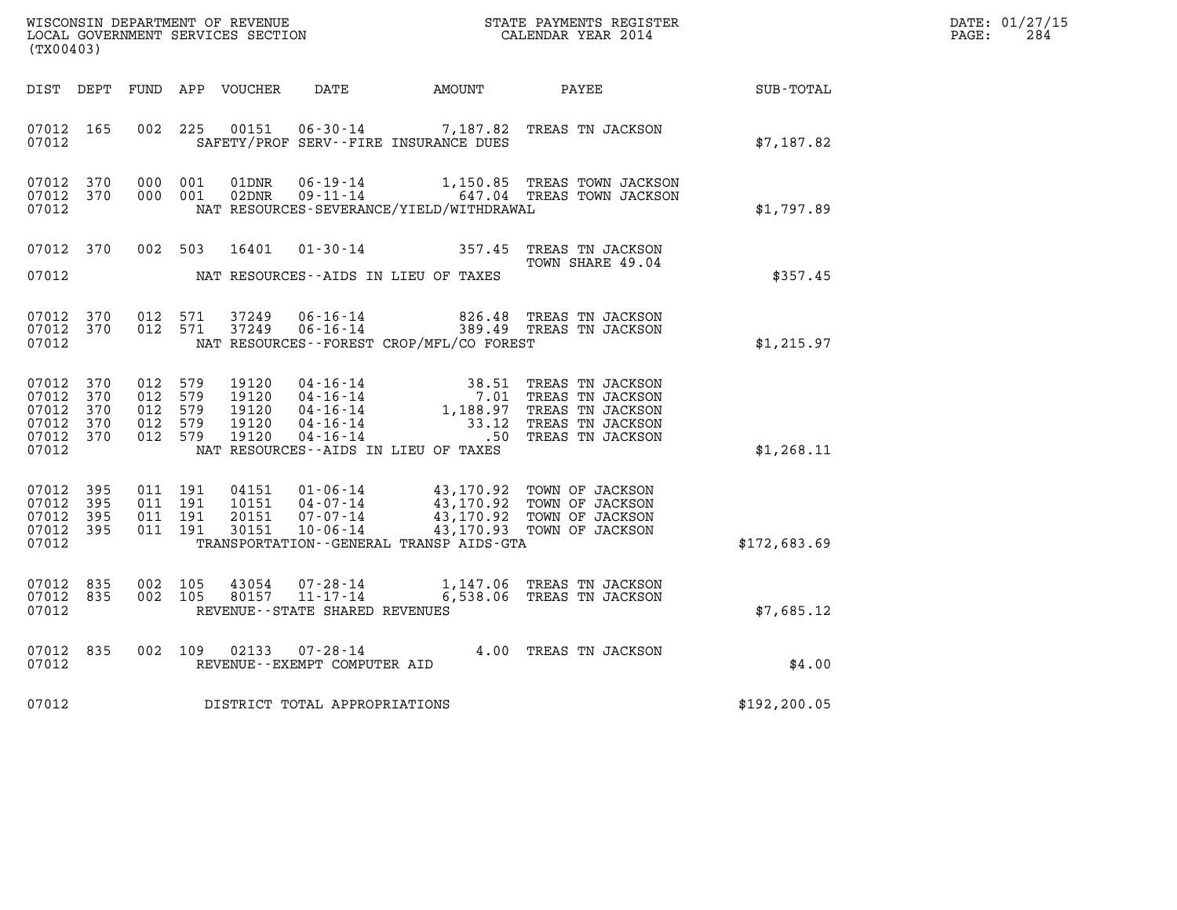| DATE: | 01/27/15 |
|-------|----------|
| PAGE: | 284      |

|                                                            |                   |                                                     |                    |                                           |                                   |                                              | WISCONSIN DEPARTMENT OF REVENUE<br>LOCAL GOVERNMENT SERVICES SECTION<br>CALENDAR YEAR 2014                                                                                       |               | DATE: 01/27/15<br>$\mathtt{PAGE}$ :<br>284 |
|------------------------------------------------------------|-------------------|-----------------------------------------------------|--------------------|-------------------------------------------|-----------------------------------|----------------------------------------------|----------------------------------------------------------------------------------------------------------------------------------------------------------------------------------|---------------|--------------------------------------------|
| (TX00403)                                                  |                   |                                                     |                    |                                           |                                   |                                              |                                                                                                                                                                                  |               |                                            |
| DIST DEPT                                                  |                   |                                                     |                    |                                           |                                   |                                              |                                                                                                                                                                                  |               |                                            |
| 07012 165<br>07012                                         |                   | 002 225                                             |                    | 00151                                     |                                   | SAFETY/PROF SERV--FIRE INSURANCE DUES        | 06-30-14 7,187.82 TREAS TN JACKSON                                                                                                                                               | \$7,187.82    |                                            |
| 07012<br>07012 370<br>07012                                | 370               |                                                     | 000 001<br>000 001 | 01DNR<br>02DNR                            |                                   | NAT RESOURCES-SEVERANCE/YIELD/WITHDRAWAL     | 06-19-14 1,150.85 TREAS TOWN JACKSON<br>09-11-14 647.04 TREAS TOWN JACKSON                                                                                                       | \$1,797.89    |                                            |
| 07012                                                      | 07012 370         |                                                     | 002 503            | 16401                                     |                                   | NAT RESOURCES--AIDS IN LIEU OF TAXES         | 01-30-14 357.45 TREAS TN JACKSON<br>TOWN SHARE 49.04                                                                                                                             | \$357.45      |                                            |
| 07012 370<br>07012                                         | 07012 370         | 012 571                                             | 012 571            | 37249<br>37249                            | 06-16-14<br>$06 - 16 - 14$        | NAT RESOURCES - - FOREST CROP/MFL/CO FOREST  | 826.48 TREAS TN JACKSON<br>389.49 TREAS TN JACKSON                                                                                                                               | \$1,215.97    |                                            |
| 07012<br>07012<br>07012<br>07012 370<br>07012 370<br>07012 | 370<br>370<br>370 | 012 579<br>012 579<br>012 579<br>012 579<br>012 579 |                    | 19120<br>19120<br>19120<br>19120<br>19120 |                                   | NAT RESOURCES--AIDS IN LIEU OF TAXES         | 04-16-14<br>04-16-14<br>04-16-14<br>04-16-14<br>04-16-14<br>04-16-14<br>04-16-14<br>04-16-14<br>04-16-14<br>04-16-14<br>04-16-14<br>04-16-14<br>04-16-14<br>04-16-14<br>04-16-14 | \$1,268.11    |                                            |
| 07012 395<br>07012<br>07012<br>07012 395<br>07012          | 395<br>395        | 011 191<br>011 191<br>011 191                       | 011 191            | 04151                                     |                                   | TRANSPORTATION - - GENERAL TRANSP AIDS - GTA | 01-06-14 43,170.92 TOWN OF JACKSON                                                                                                                                               | \$172,683.69  |                                            |
| 07012 835<br>07012 835<br>07012                            |                   | 002 105<br>002 105                                  |                    |                                           | REVENUE - - STATE SHARED REVENUES |                                              | $\begin{array}{cccc} 43054 & 07\cdot 28\cdot 14 & 1,147.06 & \text{TREAS TN JACKSON} \\ 80157 & 11\cdot 17\cdot 14 & 6,538.06 & \text{TREAS TN JACKSON} \end{array}$             | \$7,685.12    |                                            |
| 07012 835<br>07012                                         |                   |                                                     |                    | 002 109 02133                             | REVENUE--EXEMPT COMPUTER AID      |                                              | 07-28-14 4.00 TREAS TN JACKSON                                                                                                                                                   | \$4.00        |                                            |
| 07012                                                      |                   |                                                     |                    |                                           | DISTRICT TOTAL APPROPRIATIONS     |                                              |                                                                                                                                                                                  | \$192, 200.05 |                                            |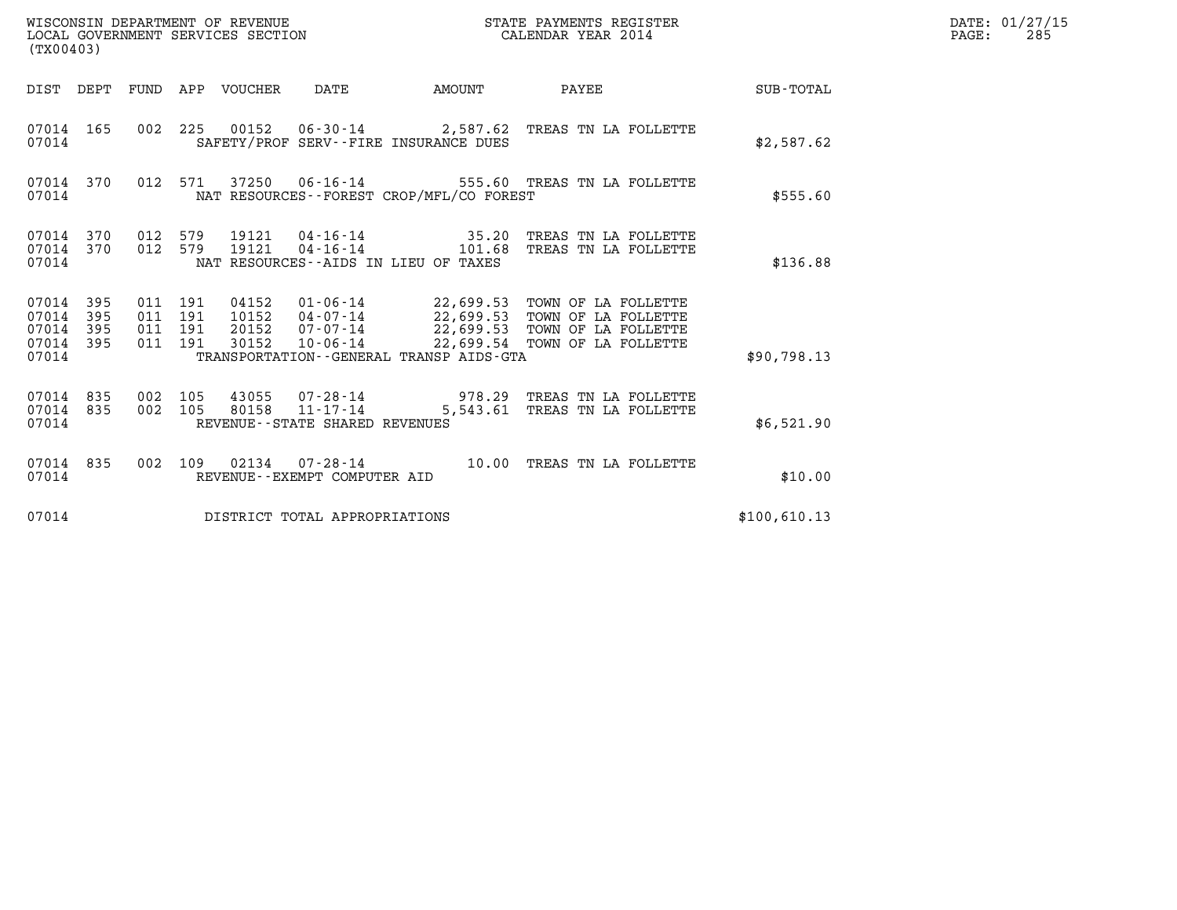| WISCONSIN DEPARTMENT OF REVENUE<br>LOCAL GOVERNMENT SERVICES SECTION<br>(TX00403) |                |                           |                                  |                                |                                              | STATE PAYMENTS REGISTER<br>CALENDAR YEAR 2014                                                                                                      |              | DATE: 01/27/15<br>PAGE:<br>285 |
|-----------------------------------------------------------------------------------|----------------|---------------------------|----------------------------------|--------------------------------|----------------------------------------------|----------------------------------------------------------------------------------------------------------------------------------------------------|--------------|--------------------------------|
| DIST DEPT FUND APP VOUCHER                                                        |                |                           |                                  | DATE                           | AMOUNT                                       | <b>PAYEE</b>                                                                                                                                       | SUB-TOTAL    |                                |
| 07014 165<br>07014                                                                |                |                           |                                  |                                | SAFETY/PROF SERV--FIRE INSURANCE DUES        | 002 225 00152 06-30-14 2,587.62 TREAS TN LA FOLLETTE                                                                                               | \$2,587.62   |                                |
| 07014 370<br>07014                                                                | 012            | 571                       |                                  |                                | NAT RESOURCES--FOREST CROP/MFL/CO FOREST     | 37250  06-16-14  555.60  TREAS TN LA FOLLETTE                                                                                                      | \$555.60     |                                |
| 07014 370<br>370<br>07014<br>07014                                                | 012<br>012     | 579<br>579                | 19121<br>19121                   |                                | NAT RESOURCES - - AIDS IN LIEU OF TAXES      | 04-16-14 101.68 TREAS TN LA FOLLETTE                                                                                                               | \$136.88     |                                |
| 07014<br>395<br>395<br>07014<br>07014<br>395<br>395<br>07014<br>07014             | 011 191<br>011 | 011 191<br>191<br>011 191 | 04152<br>10152<br>20152<br>30152 | 07-07-14<br>10-06-14           | TRANSPORTATION - - GENERAL TRANSP AIDS - GTA | 01-06-14 22,699.53 TOWN OF LA FOLLETTE<br>04-07-14 22,699.53 TOWN OF LA FOLLETTE<br>22,699.53 TOWN OF LA FOLLETTE<br>22,699.54 TOWN OF LA FOLLETTE | \$90,798.13  |                                |
| 07014<br>835<br>835<br>07014<br>07014                                             | 002<br>002 105 | 105                       | 43055<br>80158                   | REVENUE--STATE SHARED REVENUES |                                              | 07-28-14 978.29 TREAS TN LA FOLLETTE<br>11-17-14 5,543.61 TREAS TN LA FOLLETTE                                                                     | \$6,521.90   |                                |
| 07014<br>835<br>07014                                                             | 002 109        |                           |                                  | REVENUE--EXEMPT COMPUTER AID   |                                              | 02134  07-28-14  10.00 TREAS TN LA FOLLETTE                                                                                                        | \$10.00      |                                |
| 07014                                                                             |                |                           |                                  | DISTRICT TOTAL APPROPRIATIONS  |                                              |                                                                                                                                                    | \$100,610.13 |                                |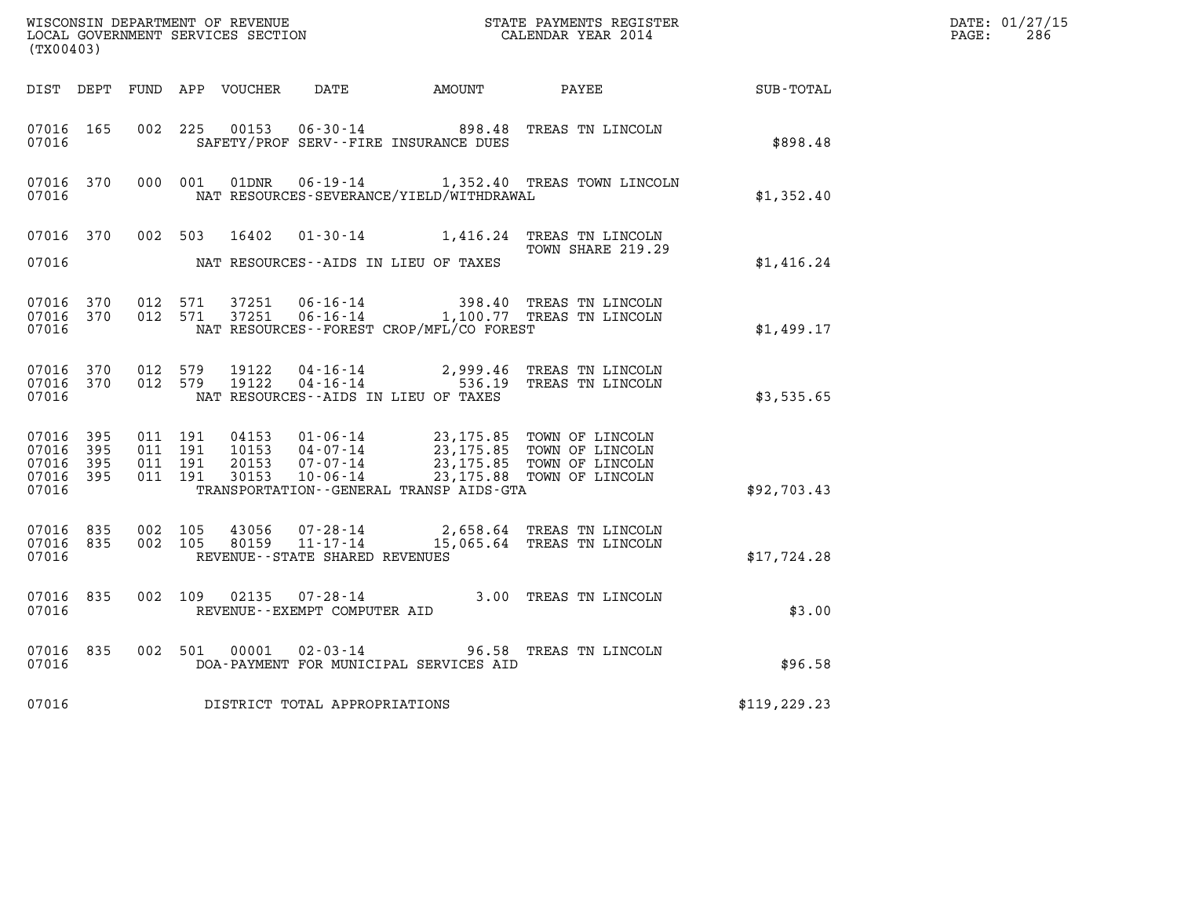| (TX00403)                                |                        |                    |                    |                |                                                  |                                              | WISCONSIN DEPARTMENT OF REVENUE<br>LOCAL GOVERNMENT SERVICES SECTION<br>CALENDAR YEAR 2014                                                                                                                                                                                                                                     |               | DATE: 01/27/15<br>$\mathtt{PAGE}$ :<br>286 |
|------------------------------------------|------------------------|--------------------|--------------------|----------------|--------------------------------------------------|----------------------------------------------|--------------------------------------------------------------------------------------------------------------------------------------------------------------------------------------------------------------------------------------------------------------------------------------------------------------------------------|---------------|--------------------------------------------|
|                                          |                        |                    |                    |                |                                                  |                                              | DIST DEPT FUND APP VOUCHER DATE AMOUNT PAYEE SUB-TOTAL                                                                                                                                                                                                                                                                         |               |                                            |
| 07016 165<br>07016                       |                        | 002 225            |                    |                |                                                  | SAFETY/PROF SERV--FIRE INSURANCE DUES        | 00153  06-30-14  898.48  TREAS TN LINCOLN                                                                                                                                                                                                                                                                                      | \$898.48      |                                            |
| 07016 370<br>07016                       |                        | 000 001            |                    |                |                                                  | NAT RESOURCES-SEVERANCE/YIELD/WITHDRAWAL     | 01DNR  06-19-14   1,352.40 TREAS TOWN LINCOLN                                                                                                                                                                                                                                                                                  | \$1,352.40    |                                            |
| 07016                                    |                        |                    |                    |                |                                                  | NAT RESOURCES--AIDS IN LIEU OF TAXES         | 07016 370 002 503 16402 01-30-14 1,416.24 TREAS TN LINCOLN<br>TOWN SHARE 219.29                                                                                                                                                                                                                                                | \$1,416.24    |                                            |
| 07016                                    | 07016 370<br>07016 370 | 012 571            | 012 571            | 37251<br>37251 |                                                  | NAT RESOURCES - - FOREST CROP/MFL/CO FOREST  | 06-16-14 398.40 TREAS TN LINCOLN<br>06-16-14 1,100.77 TREAS TN LINCOLN                                                                                                                                                                                                                                                         | \$1,499.17    |                                            |
| 07016                                    | 07016 370<br>07016 370 | 012 579<br>012 579 |                    |                |                                                  | NAT RESOURCES--AIDS IN LIEU OF TAXES         | 19122  04-16-14  2,999.46  TREAS TN LINCOLN<br>19122  04-16-14  536.19  TREAS TN LINCOLN                                                                                                                                                                                                                                       | \$3,535.65    |                                            |
| 07016 395<br>07016<br>07016 395<br>07016 | 395<br>07016 395       | 011 191<br>011 191 | 011 191<br>011 191 |                |                                                  | TRANSPORTATION - - GENERAL TRANSP AIDS - GTA | $\begin{array}{cccc} 04153 & 01\cdot 06\cdot 14 & 23\,, 175\,.85 & \text{TOWN OF LINCOLN} \\ 10153 & 04\cdot 07\cdot 14 & 23\,, 175\,.85 & \text{TOWN OF LINCOLN} \\ 20153 & 07\cdot 07\cdot 14 & 23\,, 175\,.85 & \text{TOWN OF LINCOLN} \\ 30153 & 10\cdot 06\cdot 14 & 23\,, 175\,.88 & \text{TOWN OF LINCOLN} \end{array}$ | \$92,703.43   |                                            |
| 07016 835<br>07016 835<br>07016          |                        | 002 105            | 002 105            | 43056<br>80159 | $11 - 17 - 14$<br>REVENUE--STATE SHARED REVENUES |                                              | 07-28-14 2,658.64 TREAS TN LINCOLN<br>15,065.64 TREAS TN LINCOLN                                                                                                                                                                                                                                                               | \$17,724.28   |                                            |
| 07016 835<br>07016                       |                        |                    | 002 109            |                | REVENUE--EXEMPT COMPUTER AID                     |                                              | 02135 07-28-14 3.00 TREAS TN LINCOLN                                                                                                                                                                                                                                                                                           | \$3.00        |                                            |
| 07016                                    | 07016 835              |                    |                    |                |                                                  | DOA-PAYMENT FOR MUNICIPAL SERVICES AID       | 002 501 00001 02-03-14 96.58 TREAS TN LINCOLN                                                                                                                                                                                                                                                                                  | \$96.58       |                                            |
| 07016                                    |                        |                    |                    |                | DISTRICT TOTAL APPROPRIATIONS                    |                                              |                                                                                                                                                                                                                                                                                                                                | \$119, 229.23 |                                            |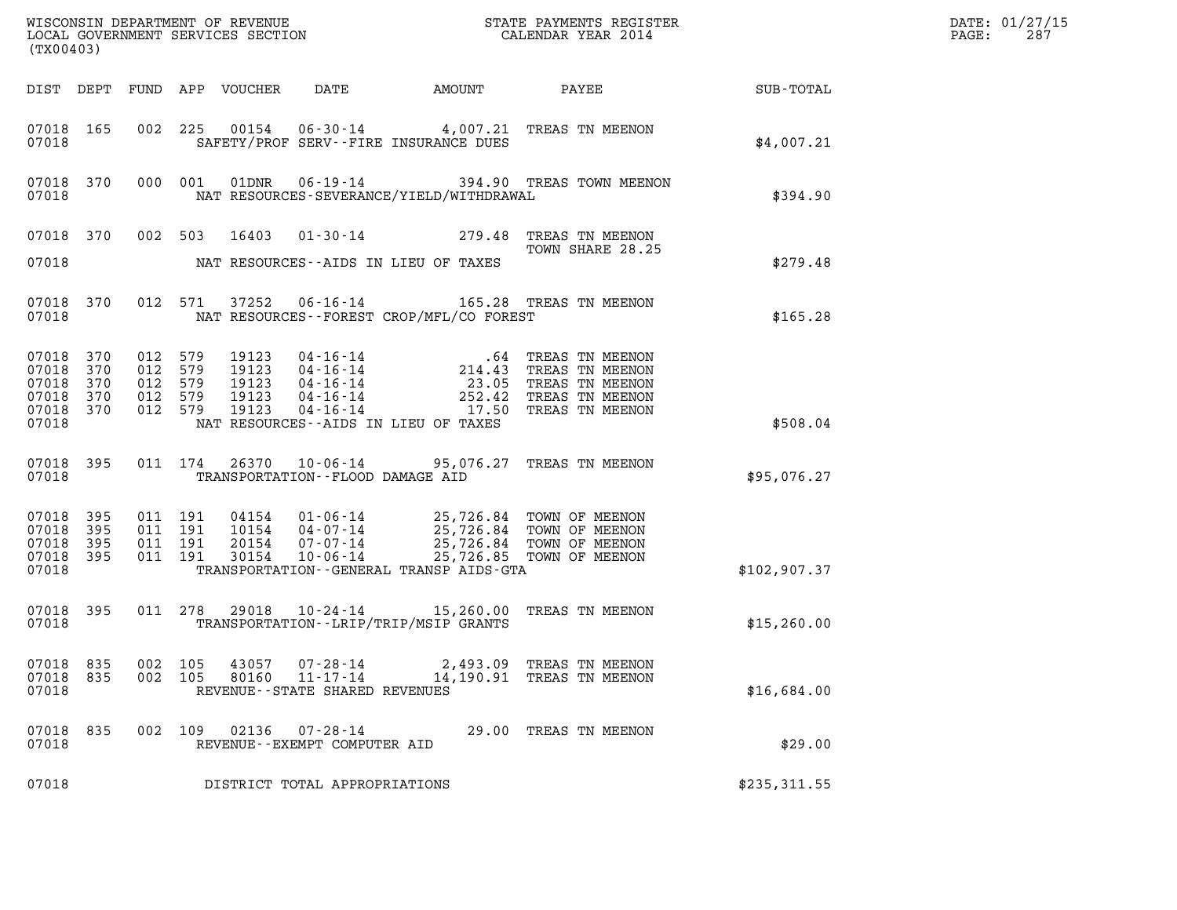| (TX00403)                                              |                          |                                                 |         |                            |                                                                       |                                                                                                                                                                                                                                 |                                                       |              | DATE: 01/27/15<br>PAGE:<br>287 |
|--------------------------------------------------------|--------------------------|-------------------------------------------------|---------|----------------------------|-----------------------------------------------------------------------|---------------------------------------------------------------------------------------------------------------------------------------------------------------------------------------------------------------------------------|-------------------------------------------------------|--------------|--------------------------------|
|                                                        |                          |                                                 |         | DIST DEPT FUND APP VOUCHER | DATE                                                                  | AMOUNT                                                                                                                                                                                                                          | PAYEE                                                 | SUB-TOTAL    |                                |
| 07018 165<br>07018                                     |                          |                                                 |         |                            |                                                                       | SAFETY/PROF SERV--FIRE INSURANCE DUES                                                                                                                                                                                           | 002 225 00154 06-30-14 4,007.21 TREAS TN MEENON       | \$4,007.21   |                                |
| 07018 370<br>07018                                     |                          |                                                 | 000 001 | 01DNR                      |                                                                       | NAT RESOURCES-SEVERANCE/YIELD/WITHDRAWAL                                                                                                                                                                                        | 06-19-14 394.90 TREAS TOWN MEENON                     | \$394.90     |                                |
|                                                        |                          | 07018 370 002 503                               |         | 16403                      |                                                                       |                                                                                                                                                                                                                                 | 01-30-14 279.48 TREAS TN MEENON<br>TOWN SHARE 28.25   |              |                                |
| 07018                                                  |                          |                                                 |         |                            |                                                                       | NAT RESOURCES--AIDS IN LIEU OF TAXES                                                                                                                                                                                            |                                                       | \$279.48     |                                |
| 07018 370<br>07018                                     |                          |                                                 | 012 571 |                            |                                                                       | NAT RESOURCES - - FOREST CROP/MFL/CO FOREST                                                                                                                                                                                     | 37252  06-16-14    165.28    TREAS TN MEENON          | \$165.28     |                                |
| 07018<br>07018<br>07018<br>07018<br>07018 370<br>07018 | 370<br>370<br>370<br>370 | 012<br>012 579<br>012 579<br>012 579<br>012 579 | 579     |                            |                                                                       | NAT RESOURCES--AIDS IN LIEU OF TAXES                                                                                                                                                                                            |                                                       | \$508.04     |                                |
| 07018 395<br>07018                                     |                          |                                                 | 011 174 |                            |                                                                       | TRANSPORTATION--FLOOD DAMAGE AID                                                                                                                                                                                                | 26370  10-06-14  95,076.27  TREAS TN MEENON           | \$95,076.27  |                                |
| 07018<br>07018<br>07018<br>07018 395<br>07018          | 395<br>395<br>395        | 011 191<br>011 191<br>011 191                   | 011 191 |                            |                                                                       | 04154  01-06-14  25,726.84  TOWN OF MEENON<br>10154  04-07-14  25,726.84  TOWN OF MEENON<br>20154  07-07-14  25,726.84  TOWN OF MEENON<br>30154  10-06-14  25,726.85  TOWN OF MEENON<br>TRANSPORTATION--GENERAL TRANSP AIDS-GTA |                                                       | \$102,907.37 |                                |
| 07018 395<br>07018                                     |                          |                                                 |         |                            |                                                                       | 011 278 29018 10-24-14 15,260.00 TREAS TN MEENON<br>TRANSPORTATION - - LRIP/TRIP/MSIP GRANTS                                                                                                                                    |                                                       | \$15, 260.00 |                                |
| 07018 835<br>07018<br>07018                            | 835                      | 002 105<br>002 105                              |         | 43057<br>80160             | $07 - 28 - 14$<br>$11 - 17 - 14$<br>REVENUE - - STATE SHARED REVENUES |                                                                                                                                                                                                                                 | 2,493.09 TREAS TN MEENON<br>14,190.91 TREAS TN MEENON | \$16,684.00  |                                |
| 07018<br>07018                                         | 835                      | 002 109                                         |         | 02136                      | $07 - 28 - 14$<br>REVENUE--EXEMPT COMPUTER AID                        |                                                                                                                                                                                                                                 | 29.00 TREAS TN MEENON                                 | \$29.00      |                                |
| 07018                                                  |                          |                                                 |         |                            | DISTRICT TOTAL APPROPRIATIONS                                         |                                                                                                                                                                                                                                 |                                                       | \$235,311.55 |                                |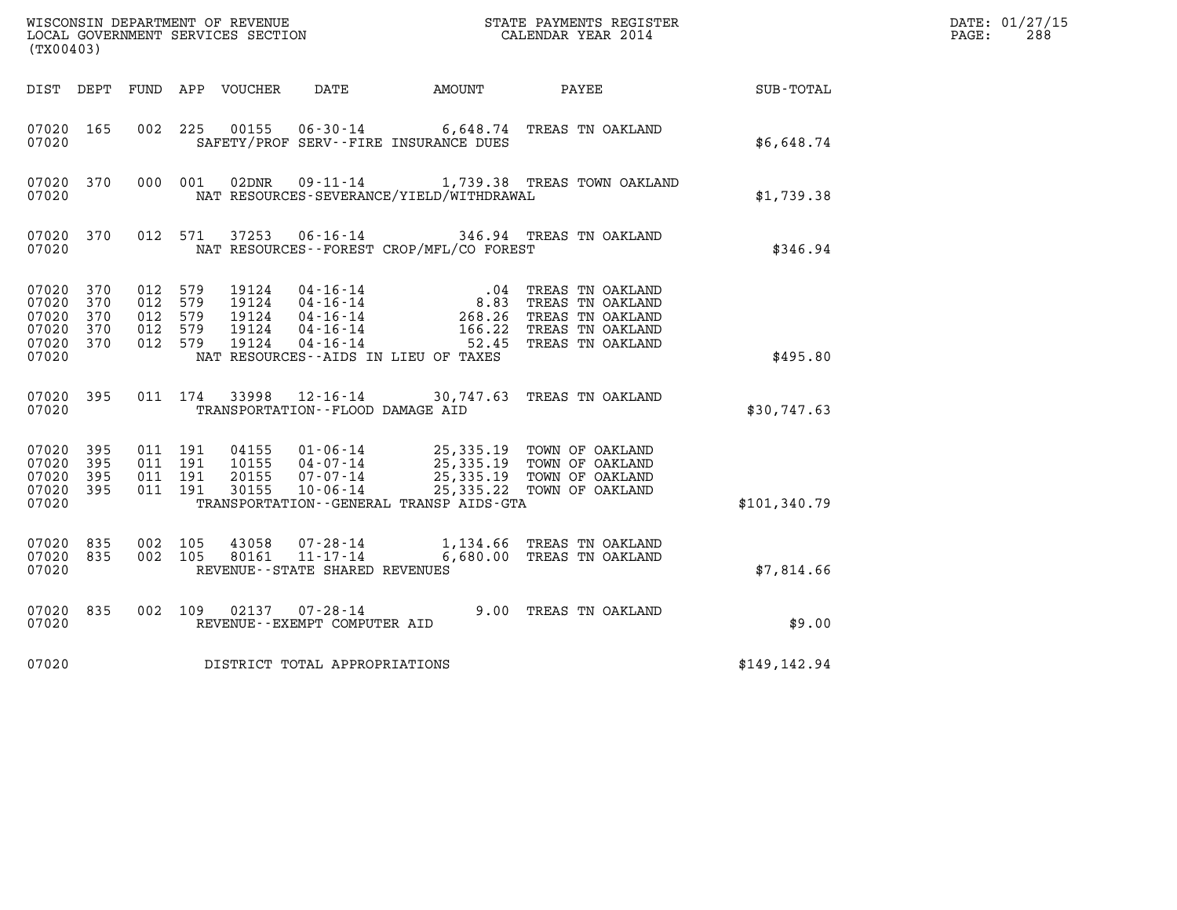| (TX00403)                                              |                           |                                                     |                                           |                                                                      |                                               |                                                                                                                                                                                          |               | DATE: 01/27/15<br>PAGE:<br>288 |
|--------------------------------------------------------|---------------------------|-----------------------------------------------------|-------------------------------------------|----------------------------------------------------------------------|-----------------------------------------------|------------------------------------------------------------------------------------------------------------------------------------------------------------------------------------------|---------------|--------------------------------|
|                                                        |                           |                                                     |                                           |                                                                      | DIST DEPT FUND APP VOUCHER DATE AMOUNT        | PAYEE                                                                                                                                                                                    | SUB-TOTAL     |                                |
| 07020 165<br>07020                                     |                           | 002 225                                             |                                           |                                                                      | SAFETY/PROF SERV--FIRE INSURANCE DUES         | 00155  06-30-14  6,648.74  TREAS TN OAKLAND                                                                                                                                              | \$6,648.74    |                                |
| 07020 370<br>07020                                     |                           | 000 001                                             | 02DNR                                     |                                                                      | NAT RESOURCES-SEVERANCE/YIELD/WITHDRAWAL      | 09-11-14 1,739.38 TREAS TOWN OAKLAND                                                                                                                                                     | \$1,739.38    |                                |
| 07020 370<br>07020                                     |                           | 012 571                                             | 37253                                     |                                                                      | NAT RESOURCES--FOREST CROP/MFL/CO FOREST      | 06-16-14 346.94 TREAS TN OAKLAND                                                                                                                                                         | \$346.94      |                                |
| 07020 370<br>07020<br>07020<br>07020<br>07020<br>07020 | 370<br>370<br>370<br>370  | 012 579<br>012 579<br>012 579<br>012 579<br>012 579 | 19124<br>19124<br>19124<br>19124<br>19124 | 04-16-14<br>04-16-14<br>04-16-14<br>$04 - 16 - 14$<br>$04 - 16 - 14$ | .04<br>NAT RESOURCES -- AIDS IN LIEU OF TAXES | TREAS TN OAKLAND<br>8.83 TREAS TN OAKLAND<br>268.26 TREAS TN OAKLAND<br>166.22 TREAS TN OAKLAND<br>52.45 TREAS TN OAKLAND                                                                | \$495.80      |                                |
| 07020 395<br>07020                                     |                           | 011 174                                             |                                           | TRANSPORTATION - - FLOOD DAMAGE AID                                  |                                               | 33998 12-16-14 30,747.63 TREAS TN OAKLAND                                                                                                                                                | \$30,747.63   |                                |
| 07020<br>07020<br>07020<br>07020<br>07020              | 395<br>395<br>-395<br>395 | 011 191<br>011 191<br>011 191<br>011 191            |                                           |                                                                      | TRANSPORTATION - - GENERAL TRANSP AIDS - GTA  | 04155  01-06-14  25,335.19  TOWN OF OAKLAND<br>10155  04-07-14  25,335.19  TOWN OF OAKLAND<br>20155  07-07-14  25,335.19  TOWN OF OAKLAND<br>30155  10-06-14  25,335.22  TOWN OF OAKLAND | \$101,340.79  |                                |
| 07020<br>07020<br>07020                                | 835<br>835                | 002 105<br>002 105                                  | 43058<br>80161                            | 07-28-14<br>$11 - 17 - 14$<br>REVENUE - - STATE SHARED REVENUES      |                                               | 1,134.66 TREAS TN OAKLAND<br>6,680.00 TREAS TN OAKLAND                                                                                                                                   | \$7,814.66    |                                |
| 07020 835<br>07020                                     |                           | 002 109                                             |                                           | $02137$ $07 - 28 - 14$<br>REVENUE--EXEMPT COMPUTER AID               |                                               | 9.00 TREAS TN OAKLAND                                                                                                                                                                    | \$9.00        |                                |
| 07020                                                  |                           |                                                     |                                           | DISTRICT TOTAL APPROPRIATIONS                                        |                                               |                                                                                                                                                                                          | \$149, 142.94 |                                |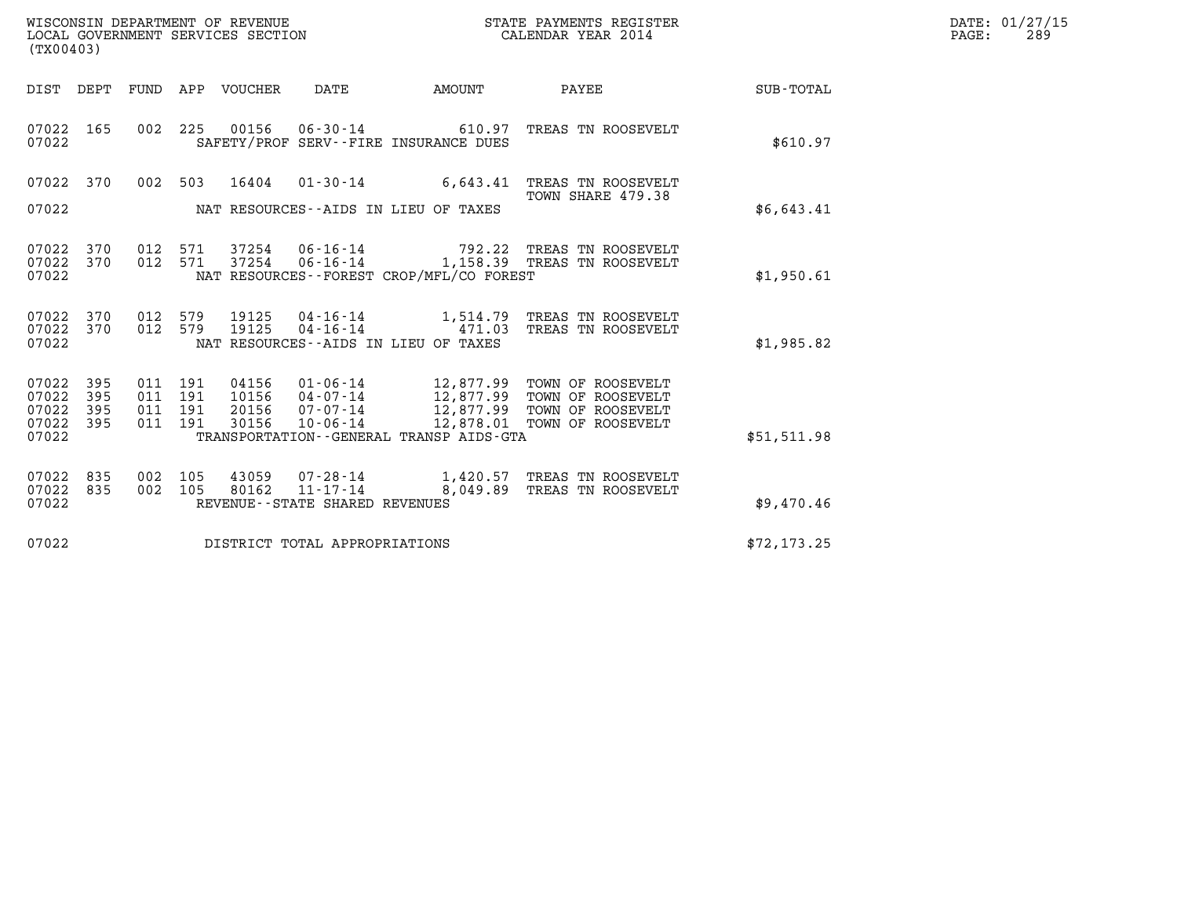| WISCONSIN DEPARTMENT OF REVENUE   | STATE PAYMENTS REGISTER | DATE: 01/27/15 |
|-----------------------------------|-------------------------|----------------|
| LOCAL GOVERNMENT SERVICES SECTION | CALENDAR YEAR 2014      | 289<br>PAGE:   |

| (TX00403)                                 |                          |                          |                          |                                  |                                                                |                                                                        |                                                                                                      |              |
|-------------------------------------------|--------------------------|--------------------------|--------------------------|----------------------------------|----------------------------------------------------------------|------------------------------------------------------------------------|------------------------------------------------------------------------------------------------------|--------------|
| DIST                                      | DEPT                     | FUND                     | APP                      | VOUCHER                          | DATE                                                           | <b>AMOUNT</b>                                                          | PAYEE                                                                                                | SUB-TOTAL    |
| 07022<br>07022                            | 165                      | 002                      | 225                      |                                  |                                                                | 00156 06-30-14 610.97<br>SAFETY/PROF SERV--FIRE INSURANCE DUES         | TREAS TN ROOSEVELT                                                                                   | \$610.97     |
| 07022<br>07022                            | 370                      | 002                      | 503                      | 16404                            | $01 - 30 - 14$                                                 | 6,643.41<br>NAT RESOURCES--AIDS IN LIEU OF TAXES                       | TREAS TN ROOSEVELT<br>TOWN SHARE 479.38                                                              | \$6,643.41   |
| 07022<br>07022<br>07022                   | 370<br>370               | 012<br>012               | 571<br>571               | 37254                            | 06-16-14                                                       | NAT RESOURCES - - FOREST CROP/MFL/CO FOREST                            | 792.22 TREAS TN ROOSEVELT<br>37254  06-16-14  1,158.39  TREAS  TN ROOSEVELT                          | \$1,950.61   |
| 07022<br>07022<br>07022                   | 370<br>370               | 012<br>012               | 579<br>579               |                                  | 19125   04-16-14<br>19125 04-16-14                             | 471.03<br>NAT RESOURCES--AIDS IN LIEU OF TAXES                         | 1,514.79 TREAS TN ROOSEVELT<br>TREAS TN ROOSEVELT                                                    | \$1,985.82   |
| 07022<br>07022<br>07022<br>07022<br>07022 | 395<br>395<br>395<br>395 | 011<br>011<br>011<br>011 | 191<br>191<br>191<br>191 | 04156<br>10156<br>20156<br>30156 | $01 - 06 - 14$<br>$04 - 07 - 14$<br>07-07-14<br>$10 - 06 - 14$ | 12,877.99<br>12,877.99<br>TRANSPORTATION - - GENERAL TRANSP AIDS - GTA | TOWN OF ROOSEVELT<br>TOWN OF ROOSEVELT<br>12,877.99 TOWN OF ROOSEVELT<br>12,878.01 TOWN OF ROOSEVELT | \$51,511.98  |
| 07022<br>07022<br>07022                   | 835<br>835               | 002<br>002               | 105<br>105               | 43059<br>80162                   | $11 - 17 - 14$<br>REVENUE - - STATE SHARED REVENUES            | 8,049.89                                                               | 07-28-14 1,420.57 TREAS TN ROOSEVELT<br>TREAS TN ROOSEVELT                                           | \$9,470.46   |
| 07022                                     |                          |                          |                          |                                  | DISTRICT TOTAL APPROPRIATIONS                                  |                                                                        |                                                                                                      | \$72, 173.25 |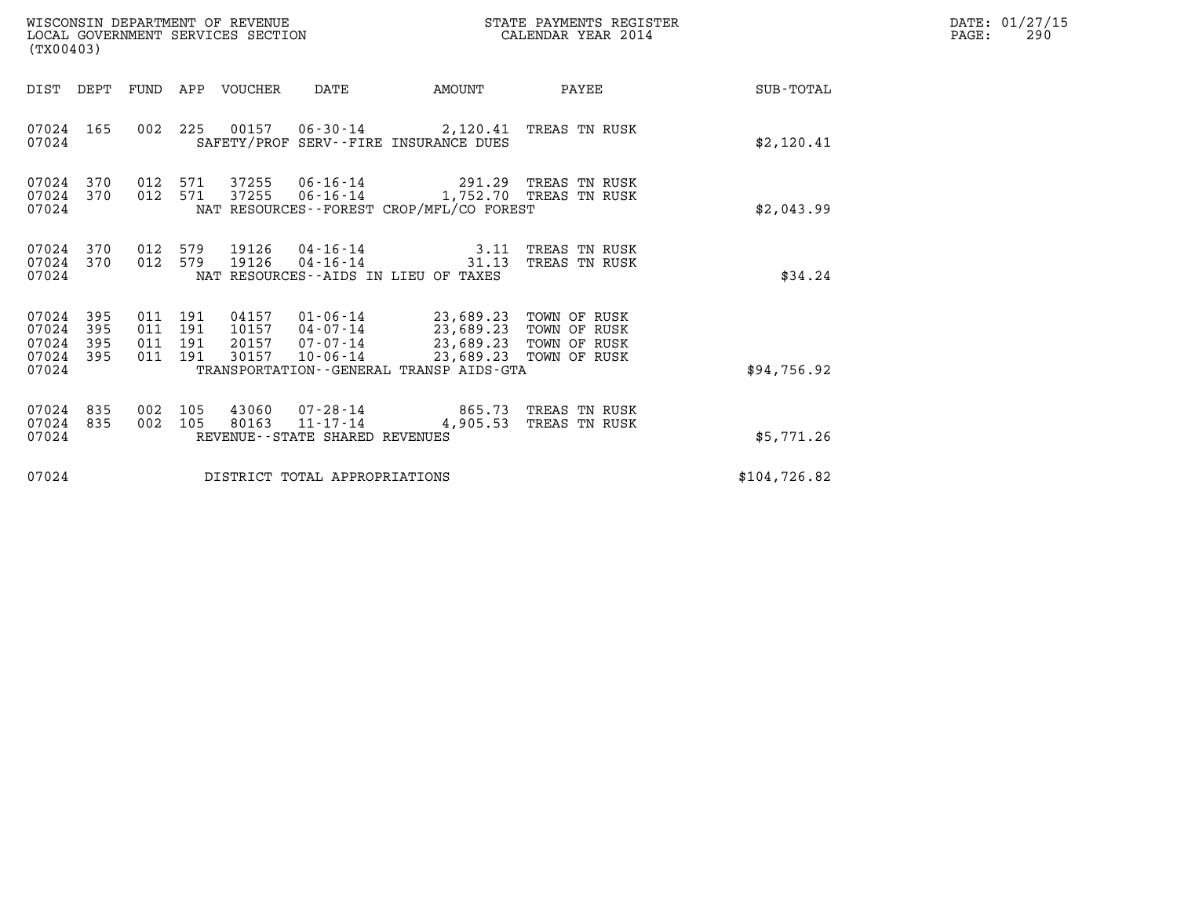| (TX00403)                                 |                          |                              |                   | WISCONSIN DEPARTMENT OF REVENUE<br>LOCAL GOVERNMENT SERVICES SECTION |                                                  | STATE PAYMENTS REGISTER<br>CALENDAR YEAR 2014                                                                                  |                                                  |              | DATE: 01/27/15<br>PAGE:<br>290 |
|-------------------------------------------|--------------------------|------------------------------|-------------------|----------------------------------------------------------------------|--------------------------------------------------|--------------------------------------------------------------------------------------------------------------------------------|--------------------------------------------------|--------------|--------------------------------|
|                                           |                          |                              |                   | DIST DEPT FUND APP VOUCHER                                           | DATE                                             | AMOUNT                                                                                                                         | PAYEE                                            | SUB-TOTAL    |                                |
| 07024 165<br>07024                        |                          |                              |                   |                                                                      |                                                  | 002 225 00157 06-30-14 2,120.41 TREAS TN RUSK<br>SAFETY/PROF SERV--FIRE INSURANCE DUES                                         |                                                  | \$2,120.41   |                                |
| 07024 370<br>07024<br>07024               | 370                      | 012 571<br>012 571           |                   | 37255<br>37255                                                       | $06 - 16 - 14$                                   | 06-16-14 291.29 TREAS TN RUSK<br>NAT RESOURCES--FOREST CROP/MFL/CO FOREST                                                      | 1,752.70 TREAS TN RUSK                           | \$2,043.99   |                                |
| 07024 370<br>07024<br>07024               | 370                      | 012 579<br>012 579           |                   | 19126                                                                | 04-16-14                                         | 19126  04-16-14  3.11 TREAS TN RUSK<br>31.13<br>NAT RESOURCES--AIDS IN LIEU OF TAXES                                           | TREAS TN RUSK                                    | \$34.24      |                                |
| 07024<br>07024<br>07024<br>07024<br>07024 | 395<br>395<br>395<br>395 | 011<br>011<br>011<br>011 191 | 191<br>191<br>191 | 20157<br>30157                                                       | 07-07-14<br>$10 - 06 - 14$                       | 04157 01-06-14 23,689.23 TOWN OF RUSK<br>10157 04-07-14 23,689.23 TOWN OF RUSK<br>TRANSPORTATION - - GENERAL TRANSP AIDS - GTA | 23,689.23 TOWN OF RUSK<br>23,689.23 TOWN OF RUSK | \$94,756.92  |                                |
| 07024 835<br>07024 835<br>07024           |                          | 002 105<br>002 105           |                   | 80163                                                                | $11 - 17 - 14$<br>REVENUE--STATE SHARED REVENUES | 43060  07-28-14  865.73  TREAS TN RUSK                                                                                         | 4,905.53 TREAS TN RUSK                           | \$5,771.26   |                                |
| 07024                                     |                          |                              |                   |                                                                      | DISTRICT TOTAL APPROPRIATIONS                    |                                                                                                                                |                                                  | \$104,726.82 |                                |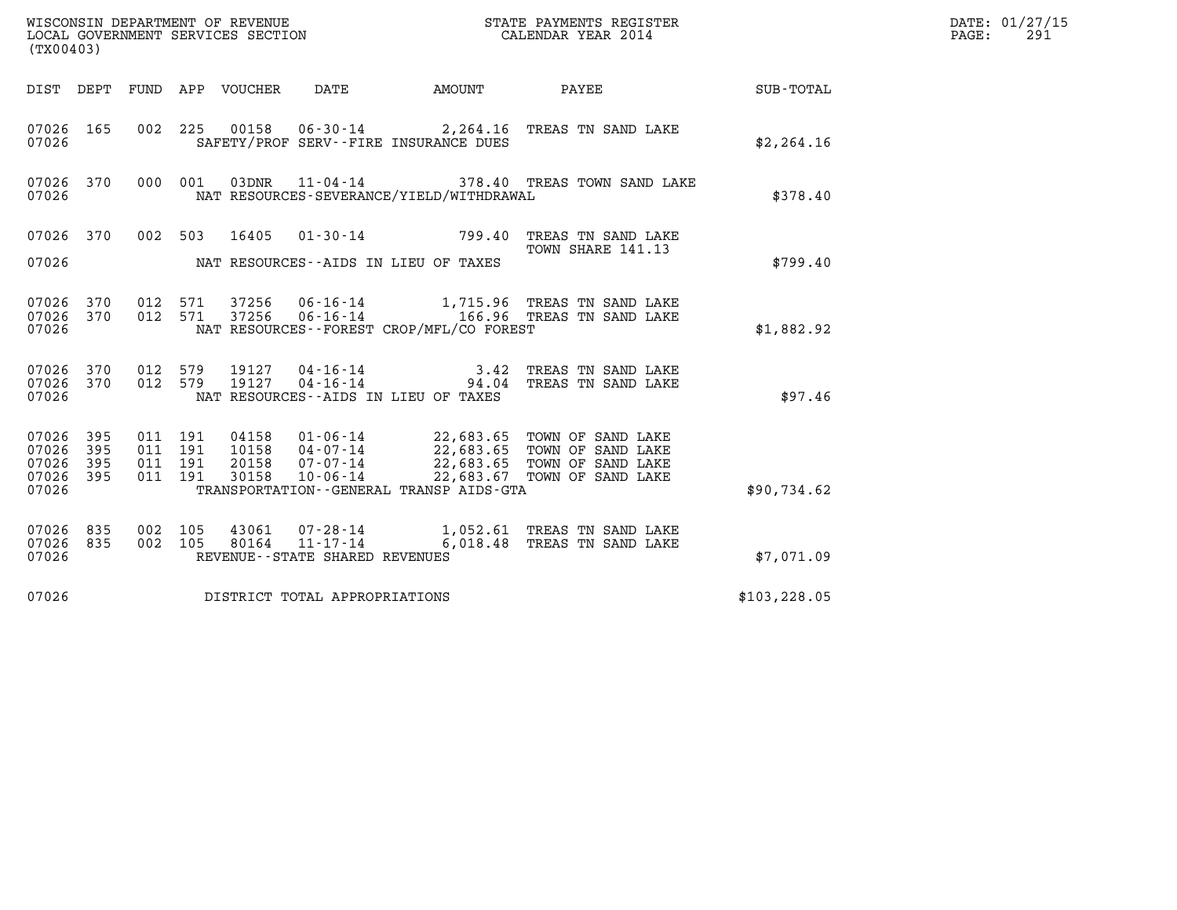| (TX00403)                                         |            |                                          |  |                                      |                                          | WISCONSIN DEPARTMENT OF REVENUE<br>LOCAL GOVERNMENT SERVICES SECTION<br>LOCAL GOVERNMENT SERVICES SECTION<br>CALENDAR YEAR 2014                                                                  |               | DATE: 01/27/15<br>$\mathtt{PAGE:}$<br>291 |
|---------------------------------------------------|------------|------------------------------------------|--|--------------------------------------|------------------------------------------|--------------------------------------------------------------------------------------------------------------------------------------------------------------------------------------------------|---------------|-------------------------------------------|
|                                                   |            |                                          |  |                                      |                                          | DIST DEPT FUND APP VOUCHER DATE AMOUNT PAYEE TOTAL                                                                                                                                               |               |                                           |
| 07026 165<br>07026                                |            |                                          |  |                                      | SAFETY/PROF SERV--FIRE INSURANCE DUES    | 002 225 00158 06-30-14 2,264.16 TREAS TN SAND LAKE                                                                                                                                               | \$2, 264.16   |                                           |
| 07026 370<br>07026                                |            |                                          |  |                                      | NAT RESOURCES-SEVERANCE/YIELD/WITHDRAWAL | 000 001 03DNR 11-04-14 378.40 TREAS TOWN SAND LAKE                                                                                                                                               | \$378.40      |                                           |
| 07026 370<br>07026                                |            |                                          |  | NAT RESOURCES--AIDS IN LIEU OF TAXES |                                          | 002 503 16405 01-30-14 799.40 TREAS TN SAND LAKE<br>TOWN SHARE 141.13                                                                                                                            | \$799.40      |                                           |
| 07026 370<br>07026                                |            | 012 571<br>07026 370 012 571             |  |                                      | NAT RESOURCES--FOREST CROP/MFL/CO FOREST |                                                                                                                                                                                                  | \$1,882.92    |                                           |
| 07026 370<br>07026                                |            | 07026 370 012 579<br>012 579             |  | NAT RESOURCES--AIDS IN LIEU OF TAXES |                                          | 19127  04-16-14   3.42 TREAS TN SAND LAKE<br>19127  04-16-14   94.04 TREAS TN SAND LAKE                                                                                                          | \$97.46       |                                           |
| 07026 395<br>07026<br>07026<br>07026 395<br>07026 | 395<br>395 | 011 191<br>011 191<br>011 191<br>011 191 |  |                                      | TRANSPORTATION--GENERAL TRANSP AIDS-GTA  | 04158  01-06-14  22,683.65  TOWN OF SAND LAKE<br>10158  04-07-14  22,683.65  TOWN OF SAND LAKE<br>20158  07-07-14  22,683.65  TOWN OF SAND LAKE<br>30158  10-06-14  22,683.67  TOWN OF SAND LAKE | \$90,734.62   |                                           |
| 07026 835<br>07026 835<br>07026                   |            | 002 105<br>002 105                       |  | REVENUE - - STATE SHARED REVENUES    |                                          | 43061  07-28-14   1,052.61 TREAS TN SAND LAKE<br>80164  11-17-14   6,018.48 TREAS TN SAND LAKE                                                                                                   | \$7,071.09    |                                           |
| 07026                                             |            |                                          |  | DISTRICT TOTAL APPROPRIATIONS        |                                          |                                                                                                                                                                                                  | \$103, 228.05 |                                           |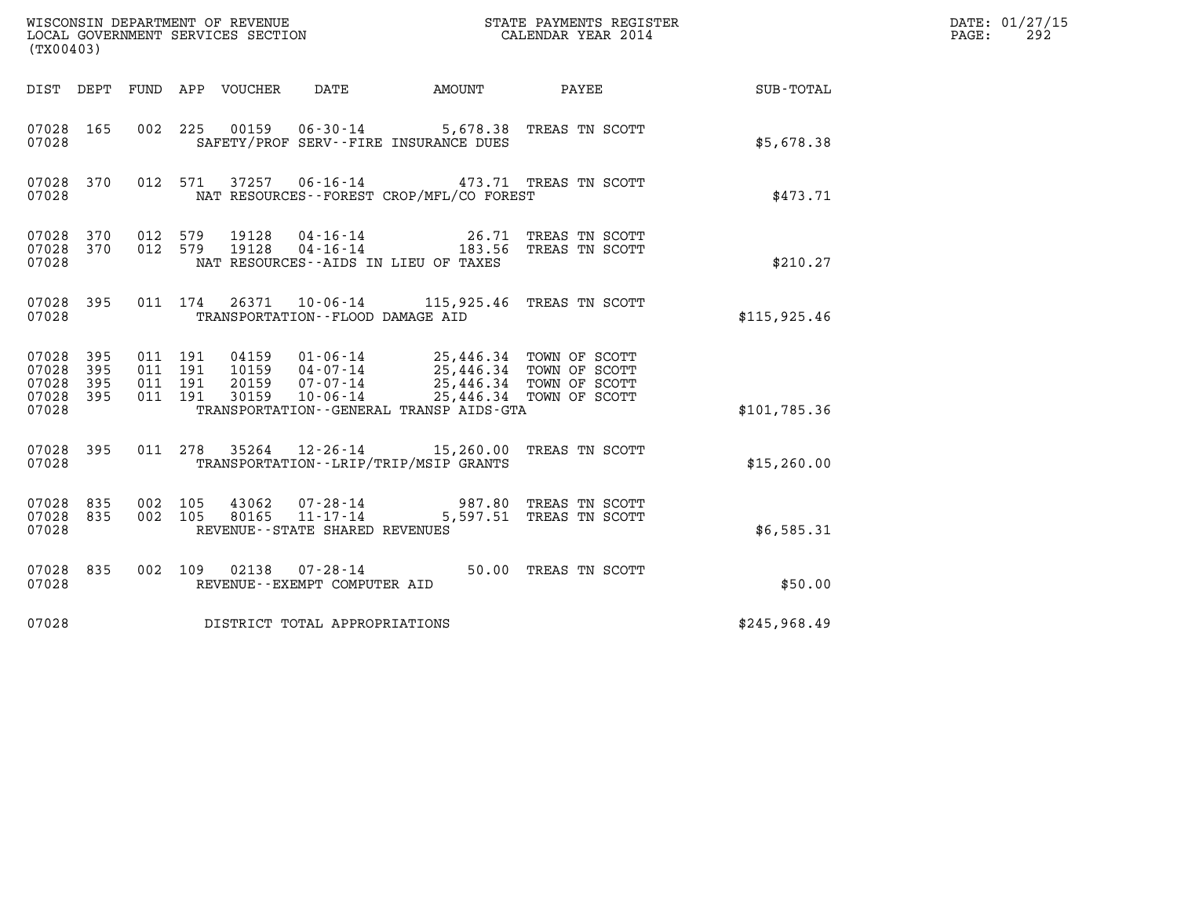| (TX00403)                                     |                   |                                          |                            | WISCONSIN DEPARTMENT OF REVENUE<br>LOCAL GOVERNMENT SERVICES SECTION                                 |                                                                                                           | STATE PAYMENTS REGISTER<br>CALENDAR YEAR 2014                                                            |              | DATE: 01/27/15<br>292<br>PAGE: |
|-----------------------------------------------|-------------------|------------------------------------------|----------------------------|------------------------------------------------------------------------------------------------------|-----------------------------------------------------------------------------------------------------------|----------------------------------------------------------------------------------------------------------|--------------|--------------------------------|
|                                               |                   |                                          | DIST DEPT FUND APP VOUCHER | DATE                                                                                                 | AMOUNT                                                                                                    | PAYEE                                                                                                    | SUB-TOTAL    |                                |
| 07028 165<br>07028                            |                   |                                          |                            |                                                                                                      | 002 225 00159 06-30-14 5,678.38 TREAS TN SCOTT<br>SAFETY/PROF SERV--FIRE INSURANCE DUES                   |                                                                                                          | \$5,678.38   |                                |
| 07028 370<br>07028                            |                   |                                          | 012 571                    |                                                                                                      | 37257 06-16-14 473.71 TREAS TN SCOTT<br>NAT RESOURCES - - FOREST CROP/MFL/CO FOREST                       |                                                                                                          | \$473.71     |                                |
| 07028 370<br>07028 370<br>07028               |                   | 012 579<br>012 579                       |                            | 19128<br>19128                                                                                       | 04-16-14 26.71 TREAS TN SCOTT<br>04-16-14 183.56 TREAS TN SCOTT<br>NAT RESOURCES -- AIDS IN LIEU OF TAXES |                                                                                                          | \$210.27     |                                |
| 07028 395<br>07028                            |                   |                                          | 011 174                    | TRANSPORTATION--FLOOD DAMAGE AID                                                                     | 26371 10-06-14 115,925.46 TREAS TN SCOTT                                                                  |                                                                                                          | \$115,925.46 |                                |
| 07028 395<br>07028<br>07028<br>07028<br>07028 | 395<br>395<br>395 | 011 191<br>011 191<br>011 191<br>011 191 |                            | 04159<br>$01 - 06 - 14$<br>10159  04 - 07 - 14<br>$07 - 07 - 14$<br>20159<br>$10 - 06 - 14$<br>30159 | TRANSPORTATION--GENERAL TRANSP AIDS-GTA                                                                   | 25,446.34 TOWN OF SCOTT<br>25,446.34 TOWN OF SCOTT<br>25,446.34 TOWN OF SCOTT<br>25,446.34 TOWN OF SCOTT | \$101,785.36 |                                |
| 07028 395<br>07028                            |                   | 011 278                                  |                            |                                                                                                      | 35264 12-26-14 15,260.00 TREAS TN SCOTT<br>TRANSPORTATION - - LRIP/TRIP/MSIP GRANTS                       |                                                                                                          | \$15, 260.00 |                                |
| 07028 835<br>07028 835<br>07028               |                   | 002 105<br>002 105                       |                            | 43062<br>$07 - 28 - 14$<br>$11 - 17 - 14$<br>80165<br>REVENUE - - STATE SHARED REVENUES              |                                                                                                           | 987.80 TREAS TN SCOTT<br>5,597.51 TREAS TN SCOTT                                                         | \$6,585.31   |                                |
| 07028 835<br>07028                            |                   |                                          |                            | 002 109 02138 07-28-14<br>REVENUE--EXEMPT COMPUTER AID                                               |                                                                                                           | 50.00 TREAS TN SCOTT                                                                                     | \$50.00      |                                |
| 07028                                         |                   |                                          |                            | DISTRICT TOTAL APPROPRIATIONS                                                                        |                                                                                                           |                                                                                                          | \$245,968.49 |                                |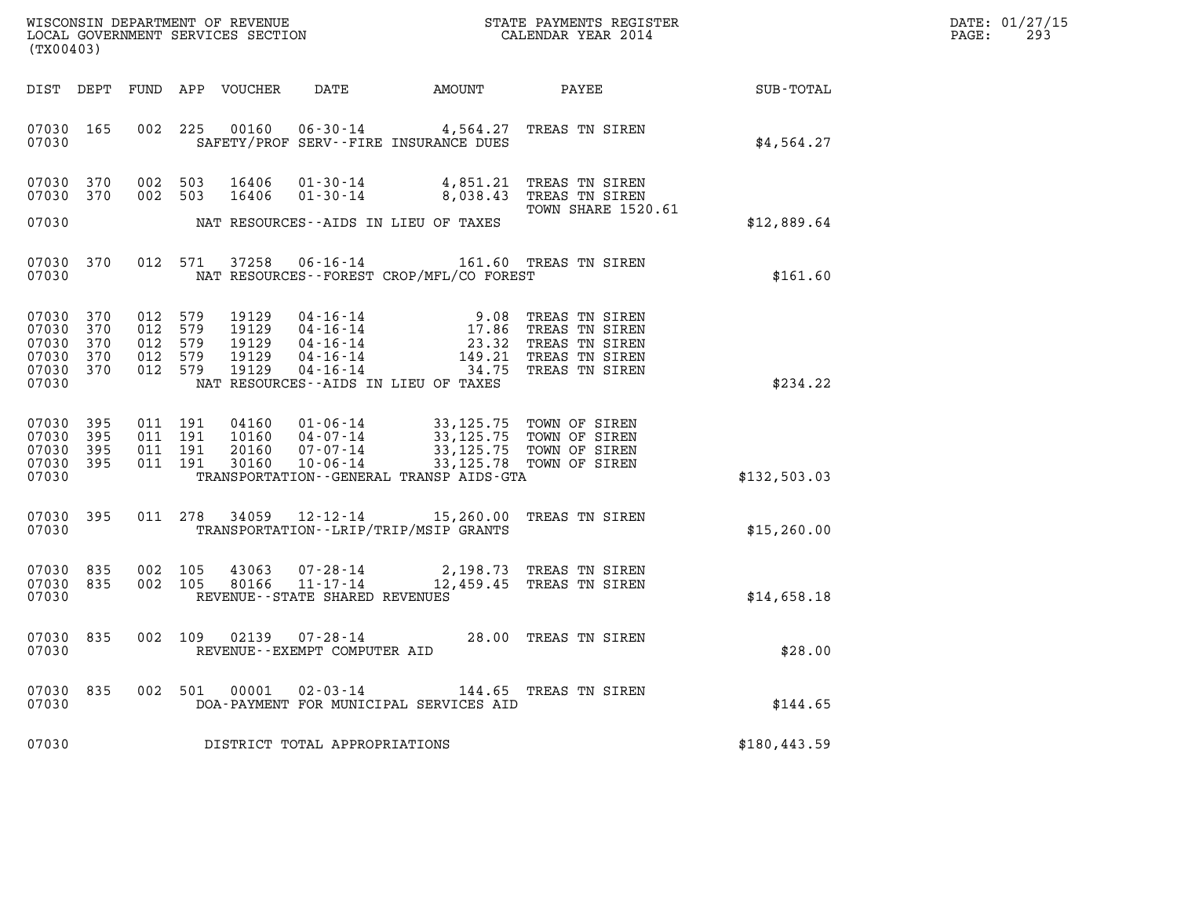| DATE: | 01/27/15 |
|-------|----------|
| PAGE: | 293      |

| (TX00403)                                                  |                   |                                                 |     |                                           |                                   |                                                                                                                                                                                                     |                                                                                                                                                                                                                                  | DATE: 01/27/15<br>PAGE:<br>293 |  |
|------------------------------------------------------------|-------------------|-------------------------------------------------|-----|-------------------------------------------|-----------------------------------|-----------------------------------------------------------------------------------------------------------------------------------------------------------------------------------------------------|----------------------------------------------------------------------------------------------------------------------------------------------------------------------------------------------------------------------------------|--------------------------------|--|
|                                                            |                   |                                                 |     | DIST DEPT FUND APP VOUCHER                | DATE                              |                                                                                                                                                                                                     | AMOUNT PAYEE SUB-TOTAL                                                                                                                                                                                                           |                                |  |
| 07030 165<br>07030                                         |                   |                                                 |     |                                           |                                   | SAFETY/PROF SERV--FIRE INSURANCE DUES                                                                                                                                                               | 002 225 00160 06-30-14 4,564.27 TREAS TN SIREN                                                                                                                                                                                   | \$4,564.27                     |  |
| 07030 370<br>07030 370                                     |                   | 002 503<br>002 503                              |     | 16406<br>16406                            |                                   |                                                                                                                                                                                                     | 01-30-14 4,851.21 TREAS TN SIREN<br>01-30-14 8,038.43 TREAS TN SIREN<br>TOWN SHARE 1520.61                                                                                                                                       |                                |  |
| 07030                                                      |                   |                                                 |     |                                           |                                   | NAT RESOURCES -- AIDS IN LIEU OF TAXES                                                                                                                                                              |                                                                                                                                                                                                                                  | \$12,889.64                    |  |
| 07030 370<br>07030                                         |                   |                                                 |     |                                           |                                   | NAT RESOURCES--FOREST CROP/MFL/CO FOREST                                                                                                                                                            | 012 571 37258 06-16-14 161.60 TREAS TN SIREN                                                                                                                                                                                     | \$161.60                       |  |
| 07030 370<br>07030<br>07030<br>07030<br>07030 370<br>07030 | 370<br>370<br>370 | 012 579<br>012<br>012 579<br>012 579<br>012 579 | 579 | 19129<br>19129<br>19129<br>19129<br>19129 |                                   | NAT RESOURCES--AIDS IN LIEU OF TAXES                                                                                                                                                                | 04-16-14<br>04-16-14<br>04-16-14<br>04-16-14<br>04-16-14<br>04-16-14<br>04-16-14<br>04-16-14<br>04-16-14<br>04-16-14<br>04-16-14<br>04-16-14<br>04-16-14<br>04-16-14<br>04-16-14<br>04-16-14<br>04-16-14<br>04-16-14<br>04-16-14 | \$234.22                       |  |
| 07030 395<br>07030<br>07030 395<br>07030 395<br>07030      | 395               | 011 191<br>011 191<br>011 191<br>011 191        |     | 20160<br>30160                            |                                   | 04160 01-06-14 33,125.75 TOWN OF SIREN<br>10160 04-07-14 33,125.75 TOWN OF SIREN<br>07-07-14 33,125.75 TOWN OF SIREN<br>10-06-14 33,125.78 TOWN OF SIREN<br>TRANSPORTATION--GENERAL TRANSP AIDS-GTA |                                                                                                                                                                                                                                  | \$132,503.03                   |  |
| 07030 395<br>07030                                         |                   |                                                 |     |                                           |                                   | TRANSPORTATION - - LRIP/TRIP/MSIP GRANTS                                                                                                                                                            | 011 278 34059 12-12-14 15,260.00 TREAS TN SIREN                                                                                                                                                                                  | \$15, 260.00                   |  |
| 07030 835<br>07030 835<br>07030                            |                   | 002 105<br>002 105                              |     | 43063<br>80166                            | REVENUE - - STATE SHARED REVENUES |                                                                                                                                                                                                     | 07-28-14 2,198.73 TREAS TN SIREN<br>11-17-14 12,459.45 TREAS TN SIREN                                                                                                                                                            | \$14,658.18                    |  |
| 07030 835<br>07030                                         |                   |                                                 |     |                                           | REVENUE - - EXEMPT COMPUTER AID   |                                                                                                                                                                                                     | 002 109 02139 07-28-14 28.00 TREAS TN SIREN                                                                                                                                                                                      | \$28.00                        |  |
| 07030 835<br>07030                                         |                   |                                                 |     | 002 501 00001                             | $02 - 03 - 14$                    | DOA-PAYMENT FOR MUNICIPAL SERVICES AID                                                                                                                                                              | 144.65 TREAS TN SIREN                                                                                                                                                                                                            | \$144.65                       |  |
| 07030                                                      |                   |                                                 |     |                                           | DISTRICT TOTAL APPROPRIATIONS     |                                                                                                                                                                                                     |                                                                                                                                                                                                                                  | \$180, 443.59                  |  |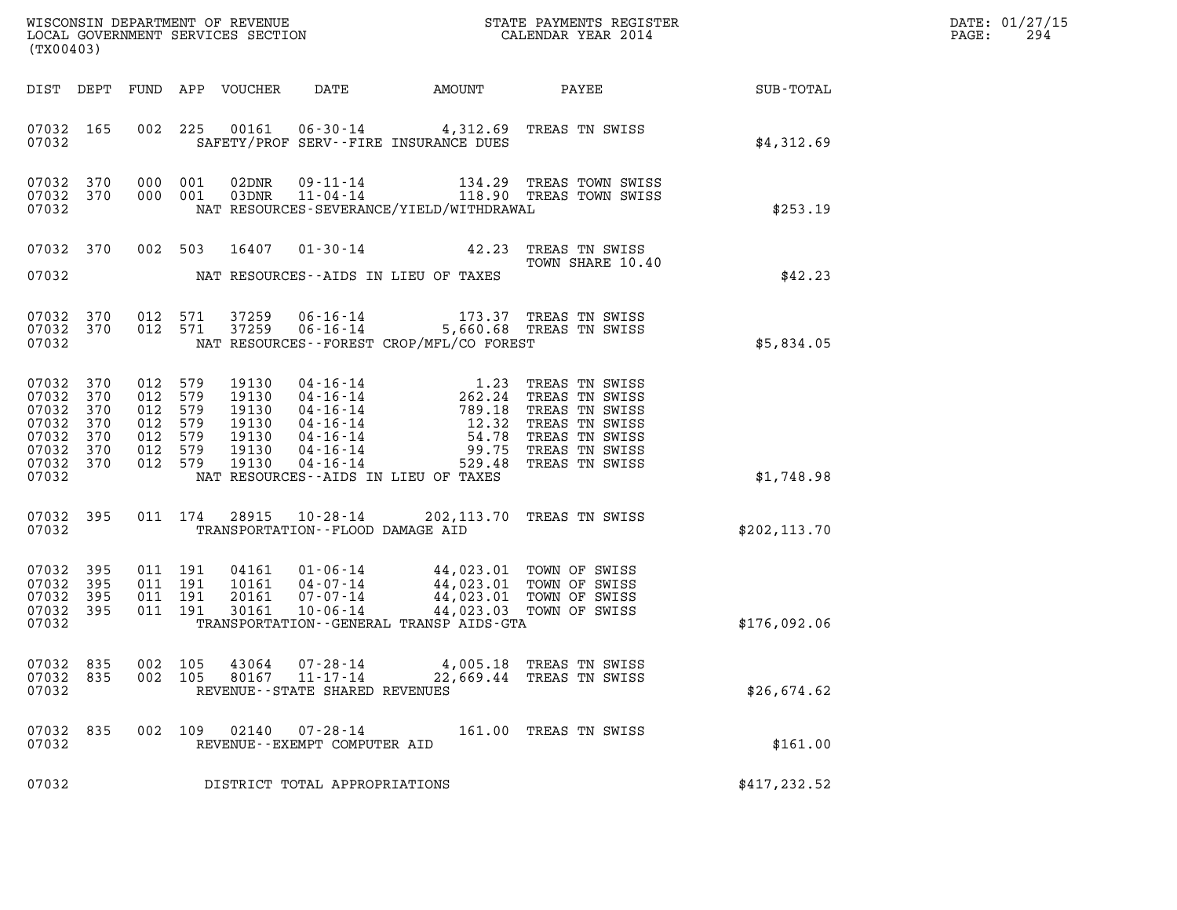| $\mathtt{DATE}$ : | 01/27/15 |
|-------------------|----------|
| PAGE:             | 294      |

| (TX00403)                                                                    |                                 |                                                                       |                    |                                                             |                                                           |                                                                                                                                                                                                                                                                                                                    |                                                                                      |                        | DATE: 01/27/15<br>PAGE:<br>294 |
|------------------------------------------------------------------------------|---------------------------------|-----------------------------------------------------------------------|--------------------|-------------------------------------------------------------|-----------------------------------------------------------|--------------------------------------------------------------------------------------------------------------------------------------------------------------------------------------------------------------------------------------------------------------------------------------------------------------------|--------------------------------------------------------------------------------------|------------------------|--------------------------------|
|                                                                              |                                 |                                                                       |                    | DIST DEPT FUND APP VOUCHER                                  | DATE                                                      |                                                                                                                                                                                                                                                                                                                    |                                                                                      | AMOUNT PAYEE SUB-TOTAL |                                |
| 07032 165<br>07032                                                           |                                 |                                                                       | 002 225            |                                                             |                                                           | 00161  06-30-14  4,312.69  TREAS TN SWISS<br>SAFETY/PROF SERV--FIRE INSURANCE DUES                                                                                                                                                                                                                                 |                                                                                      | \$4,312.69             |                                |
| 07032 370<br>07032 370<br>07032                                              |                                 | 000 001<br>000 001                                                    |                    |                                                             |                                                           | NAT RESOURCES-SEVERANCE/YIELD/WITHDRAWAL                                                                                                                                                                                                                                                                           | 02DNR  09-11-14  134.29 TREAS TOWN SWISS<br>03DNR  11-04-14  118.90 TREAS TOWN SWISS | \$253.19               |                                |
| 07032 370                                                                    |                                 |                                                                       | 002 503            | 16407                                                       |                                                           | 01-30-14 42.23 TREAS TN SWISS                                                                                                                                                                                                                                                                                      | TOWN SHARE 10.40                                                                     |                        |                                |
| 07032                                                                        |                                 |                                                                       |                    |                                                             |                                                           | NAT RESOURCES--AIDS IN LIEU OF TAXES                                                                                                                                                                                                                                                                               |                                                                                      | \$42.23                |                                |
| 07032 370<br>07032 370<br>07032                                              |                                 |                                                                       | 012 571<br>012 571 | 37259<br>37259                                              |                                                           | 06-16-14 173.37 TREAS TN SWISS<br>06-16-14 5,660.68 TREAS TN SWISS<br>NAT RESOURCES - - FOREST CROP/MFL/CO FOREST                                                                                                                                                                                                  |                                                                                      | \$5,834.05             |                                |
| 07032<br>07032<br>07032<br>07032<br>07032<br>07032 370<br>07032 370<br>07032 | 370<br>370<br>370<br>370<br>370 | 012 579<br>012 579<br>012<br>012 579<br>012 579<br>012 579<br>012 579 | 579                | 19130<br>19130<br>19130<br>19130<br>19130<br>19130<br>19130 |                                                           | 04-16-14<br>04-16-14<br>04-16-14<br>04-16-14<br>04-16-14<br>04-16-14<br>04-16-14<br>04-16-14<br>04-16-14<br>04-16-14<br>04-16-14<br>04-16-14<br>04-16-14<br>04-16-14<br>04-16-14<br>04-16-14<br>04-16-14<br>04-16-14<br>04-16-14<br>04-16-14<br>04-16-14<br>04-16-14<br>04<br>NAT RESOURCES--AIDS IN LIEU OF TAXES |                                                                                      | \$1,748.98             |                                |
| 07032                                                                        | 395                             |                                                                       | 011 174            | 28915                                                       |                                                           | 10-28-14 202, 113.70 TREAS TN SWISS                                                                                                                                                                                                                                                                                |                                                                                      |                        |                                |
| 07032                                                                        |                                 |                                                                       |                    |                                                             |                                                           | TRANSPORTATION--FLOOD DAMAGE AID                                                                                                                                                                                                                                                                                   |                                                                                      | \$202, 113.70          |                                |
| 07032<br>07032<br>07032<br>07032 395<br>07032                                | 395<br>395<br>395               | 011 191<br>011 191<br>011 191<br>011 191                              |                    | 04161<br>10161<br>20161<br>30161                            | $10 - 06 - 14$                                            | 01-06-14 44,023.01 TOWN OF SWISS<br>04-07-14 44,023.01 TOWN OF SWISS<br>07-07-14 44,023.01 TOWN OF SWISS<br>TRANSPORTATION--GENERAL TRANSP AIDS-GTA                                                                                                                                                                | 44,023.03 TOWN OF SWISS                                                              | \$176,092.06           |                                |
| 07032 835<br>07032<br>07032                                                  | 835                             | 002<br>002 105                                                        | 105                | 43064<br>80167                                              | 07-28-14<br>11-17-14<br>REVENUE - - STATE SHARED REVENUES | 22,669.44                                                                                                                                                                                                                                                                                                          | 4,005.18 TREAS TN SWISS<br>TREAS TN SWISS                                            | \$26,674.62            |                                |
| 07032<br>07032                                                               | 835                             | 002 109                                                               |                    |                                                             | $02140$ $07 - 28 - 14$<br>REVENUE--EXEMPT COMPUTER AID    |                                                                                                                                                                                                                                                                                                                    | 161.00 TREAS TN SWISS                                                                | \$161.00               |                                |
| 07032                                                                        |                                 |                                                                       |                    |                                                             | DISTRICT TOTAL APPROPRIATIONS                             |                                                                                                                                                                                                                                                                                                                    |                                                                                      | \$417, 232.52          |                                |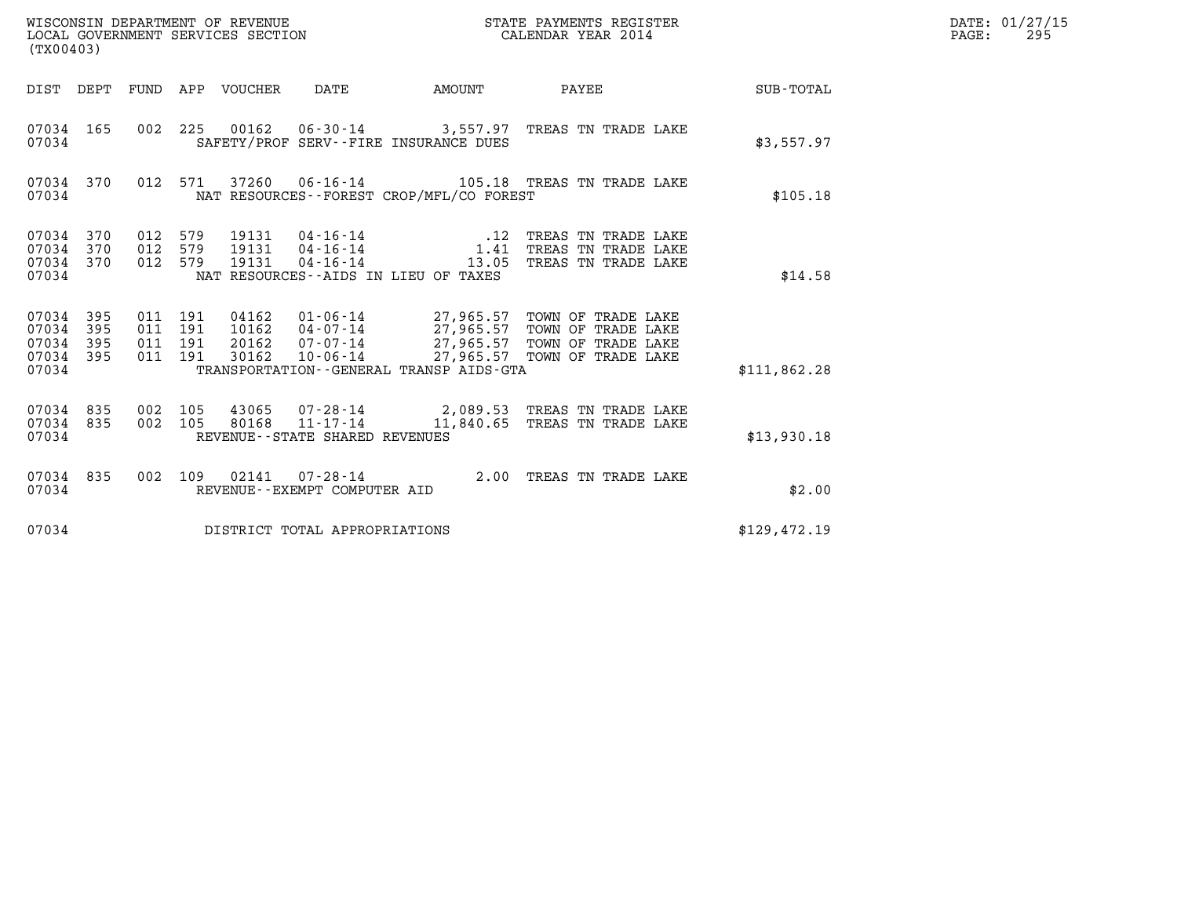| WISCONSIN DEPARTMENT OF REVENUE<br>LOCAL GOVERNMENT SERVICES SECTION<br>(TX00403) |            |                                          |  |                            |                                   |                                             | STATE PAYMENTS REGISTER<br>CALENDAR YEAR 2014                                                                                                                                                                                                                                               |                 | DATE: 01/27/15<br>PAGE:<br>295 |
|-----------------------------------------------------------------------------------|------------|------------------------------------------|--|----------------------------|-----------------------------------|---------------------------------------------|---------------------------------------------------------------------------------------------------------------------------------------------------------------------------------------------------------------------------------------------------------------------------------------------|-----------------|--------------------------------|
|                                                                                   |            |                                          |  | DIST DEPT FUND APP VOUCHER | DATE                              | AMOUNT                                      |                                                                                                                                                                                                                                                                                             | PAYEE SUB-TOTAL |                                |
| 07034 165<br>07034                                                                |            |                                          |  |                            |                                   | SAFETY/PROF SERV--FIRE INSURANCE DUES       | 002 225 00162 06-30-14 3,557.97 TREAS TN TRADE LAKE                                                                                                                                                                                                                                         | \$3,557.97      |                                |
| 07034                                                                             | 07034 370  |                                          |  |                            |                                   | NAT RESOURCES - - FOREST CROP/MFL/CO FOREST | 012 571 37260 06-16-14 105.18 TREAS TN TRADE LAKE                                                                                                                                                                                                                                           | \$105.18        |                                |
| 07034 370<br>07034<br>07034 370<br>07034                                          | 370        | 012 579<br>012 579<br>012 579            |  | 19131                      | $04 - 16 - 14$                    | NAT RESOURCES--AIDS IN LIEU OF TAXES        | $19131 \qquad 04 \cdot 16 \cdot 14 \qquad \qquad 12 \qquad \text{TREAS} \quad \text{TN} \quad \text{TRADE} \quad \text{LAKE} \\ 19131 \qquad 04 \cdot 16 \cdot 14 \qquad \qquad 1.41 \qquad \text{TREAS} \quad \text{TN} \quad \text{TRADE} \quad \text{LAKE}$<br>13.05 TREAS TN TRADE LAKE | \$14.58         |                                |
| 07034 395<br>07034<br>07034<br>07034 395<br>07034                                 | 395<br>395 | 011 191<br>011 191<br>011 191<br>011 191 |  |                            |                                   | TRANSPORTATION--GENERAL TRANSP AIDS-GTA     | 04162  01-06-14  27,965.57  TOWN OF TRADE LAKE<br>10162  04-07-14  27,965.57  TOWN OF TRADE LAKE<br>20162  07-07-14  27,965.57  TOWN OF TRADE LAKE<br>30162  10-06-14  27,965.57  TOWN OF TRADE LAKE                                                                                        | \$111,862.28    |                                |
| 07034 835<br>07034 835<br>07034                                                   |            | 002 105<br>002 105                       |  |                            | REVENUE - - STATE SHARED REVENUES |                                             | 43065  07-28-14  2,089.53  TREAS TN TRADE LAKE<br>80168  11-17-14   11,840.65  TREAS TN TRADE LAKE                                                                                                                                                                                          | \$13,930.18     |                                |
| 07034                                                                             | 07034 835  |                                          |  |                            | REVENUE--EXEMPT COMPUTER AID      |                                             | 002 109 02141 07-28-14 2.00 TREAS TN TRADE LAKE                                                                                                                                                                                                                                             | \$2.00          |                                |
| 07034                                                                             |            |                                          |  |                            | DISTRICT TOTAL APPROPRIATIONS     |                                             |                                                                                                                                                                                                                                                                                             | \$129,472.19    |                                |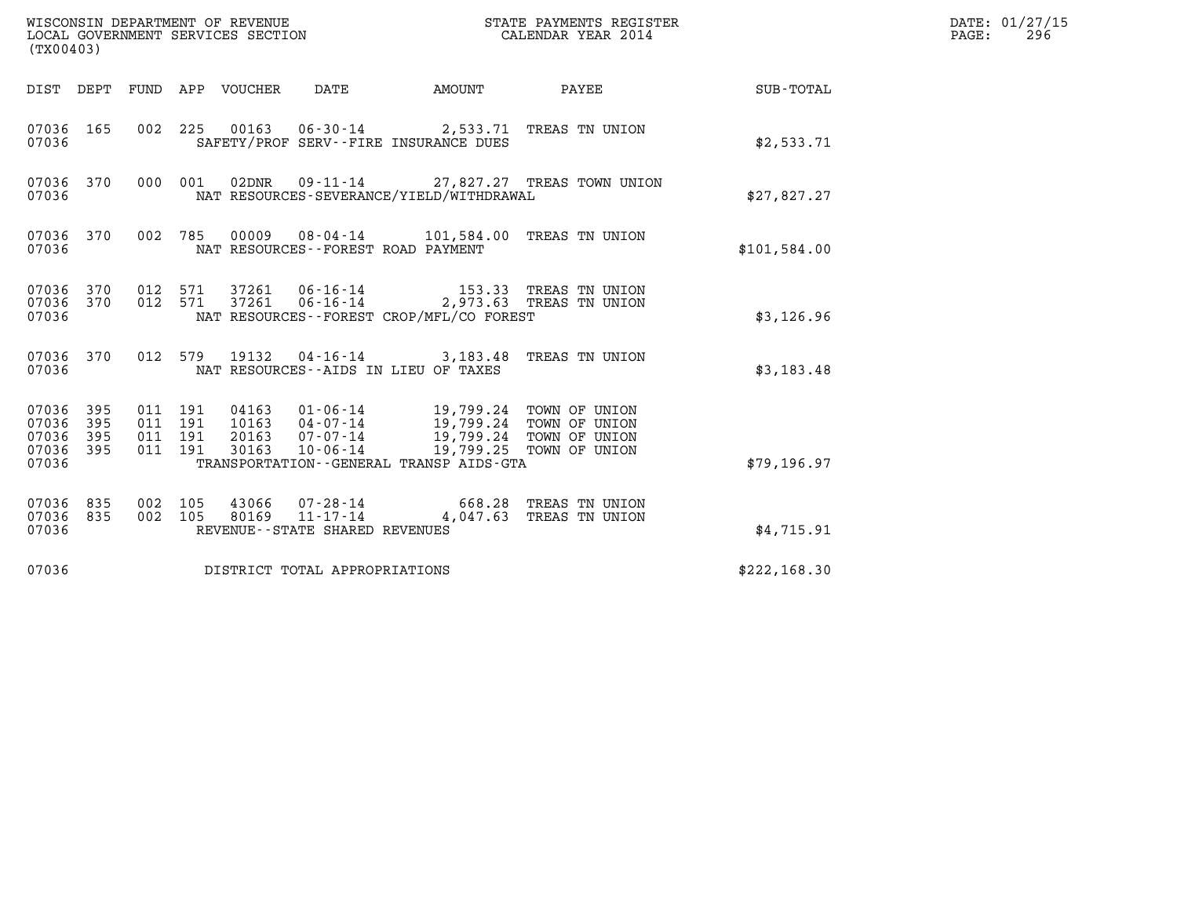| WISCONSIN DEPARTMENT OF REVENUE<br>LOCAL GOVERNMENT SERVICES SECTION<br>(TX00403) |     |                    |                                          |                            |                                                     |                                                                                                                                                                            | STATE PAYMENTS REGISTER<br>CALENDAR YEAR 2014 |                  | DATE: 01/27/15<br>$\mathtt{PAGE}$ :<br>296 |
|-----------------------------------------------------------------------------------|-----|--------------------|------------------------------------------|----------------------------|-----------------------------------------------------|----------------------------------------------------------------------------------------------------------------------------------------------------------------------------|-----------------------------------------------|------------------|--------------------------------------------|
|                                                                                   |     |                    |                                          | DIST DEPT FUND APP VOUCHER | DATE                                                | AMOUNT                                                                                                                                                                     | PAYEE                                         | <b>SUB-TOTAL</b> |                                            |
| 07036 165<br>07036                                                                |     |                    |                                          |                            |                                                     | 002 225 00163 06-30-14 2,533.71 TREAS TN UNION<br>SAFETY/PROF SERV--FIRE INSURANCE DUES                                                                                    |                                               | \$2,533.71       |                                            |
| 07036 370<br>07036                                                                |     |                    | 000 001                                  |                            |                                                     | NAT RESOURCES-SEVERANCE/YIELD/WITHDRAWAL                                                                                                                                   | 02DNR  09-11-14  27,827.27 TREAS TOWN UNION   | \$27,827.27      |                                            |
| 07036 370<br>07036                                                                |     |                    | 002 785                                  |                            |                                                     | 00009  08-04-14  101,584.00  TREAS TN UNION<br>NAT RESOURCES - - FOREST ROAD PAYMENT                                                                                       |                                               | \$101,584.00     |                                            |
| 07036 370<br>07036 370<br>07036                                                   |     |                    | 012 571<br>012 571                       |                            |                                                     | 37261  06-16-14  153.33 TREAS TN UNION<br>37261  06-16-14  2,973.63 TREAS TN UNION<br>NAT RESOURCES - - FOREST CROP/MFL/CO FOREST                                          |                                               | \$3,126.96       |                                            |
| 07036 370<br>07036                                                                |     |                    |                                          |                            |                                                     | 012 579 19132 04-16-14 3,183.48 TREAS TN UNION<br>NAT RESOURCES -- AIDS IN LIEU OF TAXES                                                                                   |                                               | \$3,183.48       |                                            |
| 07036 395<br>07036 395<br>07036<br>07036 395<br>07036                             | 395 |                    | 011 191<br>011 191<br>011 191<br>011 191 |                            | 30163 10-06-14                                      | 04163 01-06-14 19,799.24 TOWN OF UNION<br>10163 04-07-14 19,799.24 TOWN OF UNION<br>20163 07-07-14 19,799.24 TOWN OF UNION<br>TRANSPORTATION - - GENERAL TRANSP AIDS - GTA | 19,799.25 TOWN OF UNION                       | \$79,196.97      |                                            |
| 07036 835<br>07036 835<br>07036                                                   |     | 002 105<br>002 105 |                                          |                            | 80169 11-17-14<br>REVENUE - - STATE SHARED REVENUES | 43066  07-28-14  668.28  TREAS TN UNION                                                                                                                                    | 4,047.63 TREAS TN UNION                       | \$4,715.91       |                                            |
| 07036                                                                             |     |                    |                                          |                            | DISTRICT TOTAL APPROPRIATIONS                       |                                                                                                                                                                            |                                               | \$222,168.30     |                                            |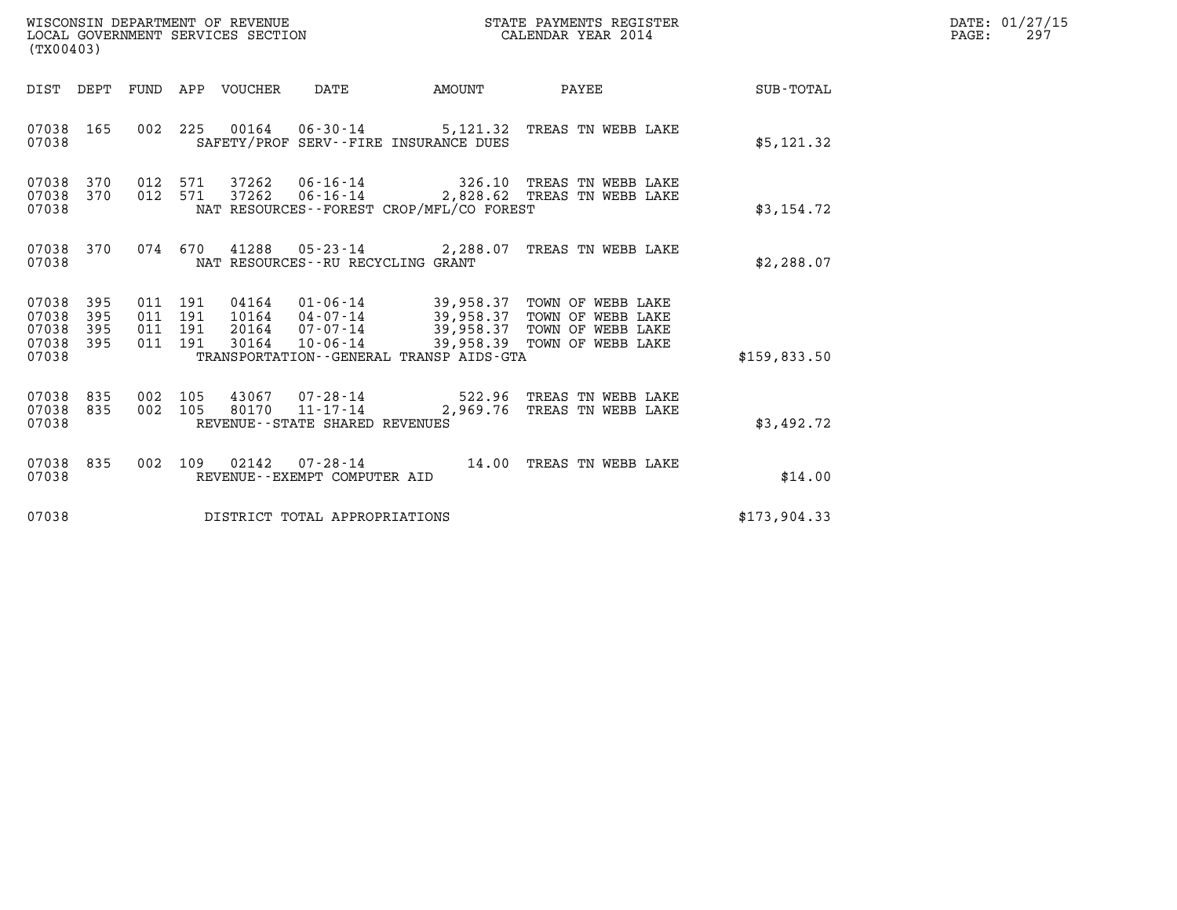| WISCONSIN DEPARTMENT OF REVENUE   | STATE PAYMENTS REGISTER | DATE: 01/27/15 |
|-----------------------------------|-------------------------|----------------|
| LOCAL GOVERNMENT SERVICES SECTION | CALENDAR YEAR 2014      | 297<br>PAGE:   |

| (TX00403)                                 |                          |                          |                          | WISCONSIN DEPARTMENT OF REVENUE<br>LOCAL GOVERNMENT SERVICES SECTION |                                                   | STATE PAYMENTS REGISTER<br>CALENDAR YEAR 2014        |                                                                                                                                           |              |
|-------------------------------------------|--------------------------|--------------------------|--------------------------|----------------------------------------------------------------------|---------------------------------------------------|------------------------------------------------------|-------------------------------------------------------------------------------------------------------------------------------------------|--------------|
| DIST                                      | DEPT                     | FUND APP                 |                          | VOUCHER DATE                                                         |                                                   | <b>EXAMPLE THE PROPERTY OF A STATE</b>               | <b>PAYEE</b>                                                                                                                              | SUB-TOTAL    |
| 07038<br>07038                            | 165                      | 002                      |                          |                                                                      |                                                   | SAFETY/PROF SERV--FIRE INSURANCE DUES                | 225 00164 06-30-14 5,121.32 TREAS TN WEBB LAKE                                                                                            | \$5,121.32   |
| 07038<br>07038<br>07038                   | 370<br>370               | 012<br>012               | 571<br>571               |                                                                      |                                                   | NAT RESOURCES - - FOREST CROP/MFL/CO FOREST          | 37262   06-16-14   326.10 TREAS TN WEBB LAKE<br>37262  06-16-14  2,828.62  TREAS TN WEBB LAKE                                             | \$3,154.72   |
| 07038<br>07038                            | 370                      |                          |                          |                                                                      | NAT RESOURCES - - RU RECYCLING GRANT              | 074 670 41288 05-23-14 2,288.07                      | TREAS TN WEBB LAKE                                                                                                                        | \$2,288.07   |
| 07038<br>07038<br>07038<br>07038<br>07038 | 395<br>395<br>395<br>395 | 011<br>011<br>011<br>011 | 191<br>191<br>191<br>191 | 04164<br>30164                                                       | 20164  07-07-14<br>10-06-14                       | 39,958.39<br>TRANSPORTATION--GENERAL TRANSP AIDS-GTA | 01-06-14 39,958.37 TOWN OF WEBB LAKE<br>10164  04-07-14  39,958.37  TOWN OF WEBB LAKE<br>39,958.37 TOWN OF WEBB LAKE<br>TOWN OF WEBB LAKE | \$159,833.50 |
| 07038<br>07038<br>07038                   | 835<br>835               | 002<br>002               | 105<br>105               |                                                                      | REVENUE - - STATE SHARED REVENUES                 |                                                      | 43067  07-28-14  522.96 TREAS TN WEBB LAKE<br>80170  11-17-14  2,969.76 TREAS TN WEBB LAKE                                                | \$3,492.72   |
| 07038<br>07038                            | 835                      | 002                      | 109                      | 02142                                                                | $07 - 28 - 14$<br>REVENUE - - EXEMPT COMPUTER AID |                                                      | 14.00 TREAS TN WEBB LAKE                                                                                                                  | \$14.00      |
| 07038                                     |                          |                          |                          |                                                                      | DISTRICT TOTAL APPROPRIATIONS                     |                                                      |                                                                                                                                           | \$173,904.33 |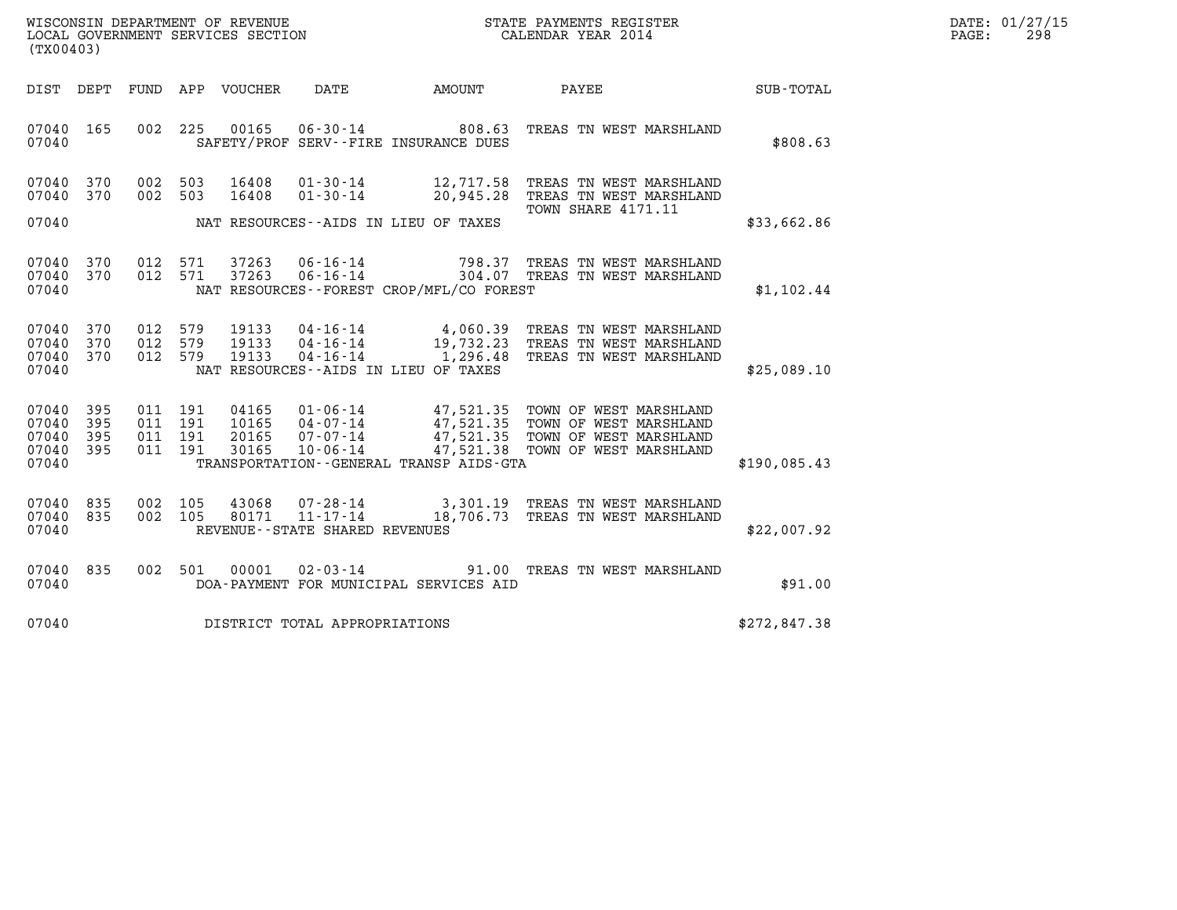| WISCONSIN DEPARTMENT OF REVENUE   | STATE PAYMENTS REGISTER | DATE: 01/27/15 |
|-----------------------------------|-------------------------|----------------|
| LOCAL GOVERNMENT SERVICES SECTION | CALENDAR YEAR 2014      | 298<br>PAGE:   |

| (TX00403)                                                             |                          |                                                              |                                                                                                                      |                        |                                                                                                                          |              |  |
|-----------------------------------------------------------------------|--------------------------|--------------------------------------------------------------|----------------------------------------------------------------------------------------------------------------------|------------------------|--------------------------------------------------------------------------------------------------------------------------|--------------|--|
| DIST DEPT                                                             | FUND APP                 | VOUCHER                                                      | DATE<br><b>EXAMPLE THE AMOUNT</b>                                                                                    |                        | <b>PAYEE</b>                                                                                                             | SUB-TOTAL    |  |
| 165<br>07040<br>07040                                                 | 002                      | 225<br>00165                                                 | $06 - 30 - 14$ 808.63<br>SAFETY/PROF SERV--FIRE INSURANCE DUES                                                       |                        | TREAS TN WEST MARSHLAND                                                                                                  | \$808.63     |  |
| 07040<br>370<br>370<br>07040<br>07040                                 | 002<br>002               | 503<br>16408<br>503<br>16408                                 | $01 - 30 - 14$<br>$01 - 30 - 14$<br>NAT RESOURCES--AIDS IN LIEU OF TAXES                                             | 12,717.58<br>20,945.28 | TREAS TN WEST MARSHLAND<br>TREAS TN WEST MARSHLAND<br>TOWN SHARE 4171.11                                                 | \$33,662.86  |  |
| 370<br>07040<br>370<br>07040<br>07040                                 | 012<br>012               | 37263<br>571<br>571<br>37263                                 | $06 - 16 - 14$<br>NAT RESOURCES - - FOREST CROP/MFL/CO FOREST                                                        |                        | 798.37 TREAS TN WEST MARSHLAND<br>06-16-14 798.37 TREAS TN WEST MARSHLAND<br>06-16-14 304.07 TREAS TN WEST MARSHLAND     | \$1,102.44   |  |
| 370<br>07040<br>370<br>07040<br>370<br>07040<br>07040                 | 012<br>012<br>012        | 579<br>19133<br>579<br>19133<br>579<br>19133                 | $04 - 16 - 14$ 4,060.39<br>$04 - 16 - 14$<br>$04 - 16 - 14$<br>NAT RESOURCES -- AIDS IN LIEU OF TAXES                | 19,732.23<br>1,296.48  | TREAS TN WEST MARSHLAND<br>TREAS TN WEST MARSHLAND<br>TREAS TN WEST MARSHLAND                                            | \$25,089.10  |  |
| 07040<br>395<br>07040<br>395<br>395<br>07040<br>395<br>07040<br>07040 | 011<br>011<br>011<br>011 | 191<br>04165<br>191<br>10165<br>191<br>20165<br>191<br>30165 | $01 - 06 - 14$<br>$04 - 07 - 14$<br>$07 - 07 - 14$<br>$10 - 06 - 14$<br>TRANSPORTATION - - GENERAL TRANSP AIDS - GTA | 47,521.35<br>47,521.38 | 47,521.35 TOWN OF WEST MARSHLAND<br>47,521.35 TOWN OF WEST MARSHLAND<br>TOWN OF WEST MARSHLAND<br>TOWN OF WEST MARSHLAND | \$190,085.43 |  |
| 835<br>07040<br>835<br>07040<br>07040                                 | 002<br>002               | 105<br>43068<br>105<br>80171                                 | $11 - 17 - 14$<br>REVENUE--STATE SHARED REVENUES                                                                     | 18,706.73              | 07-28-14 3,301.19 TREAS TN WEST MARSHLAND<br>TREAS TN WEST MARSHLAND                                                     | \$22,007.92  |  |
| 07040<br>835<br>07040                                                 | 002                      | 501<br>00001                                                 | DOA-PAYMENT FOR MUNICIPAL SERVICES AID                                                                               |                        | 02-03-14 91.00 TREAS TN WEST MARSHLAND                                                                                   | \$91.00      |  |
| 07040                                                                 |                          |                                                              | DISTRICT TOTAL APPROPRIATIONS                                                                                        |                        |                                                                                                                          | \$272,847.38 |  |
|                                                                       |                          |                                                              |                                                                                                                      |                        |                                                                                                                          |              |  |

LOCAL GOVERNMENT SERVICES SECTION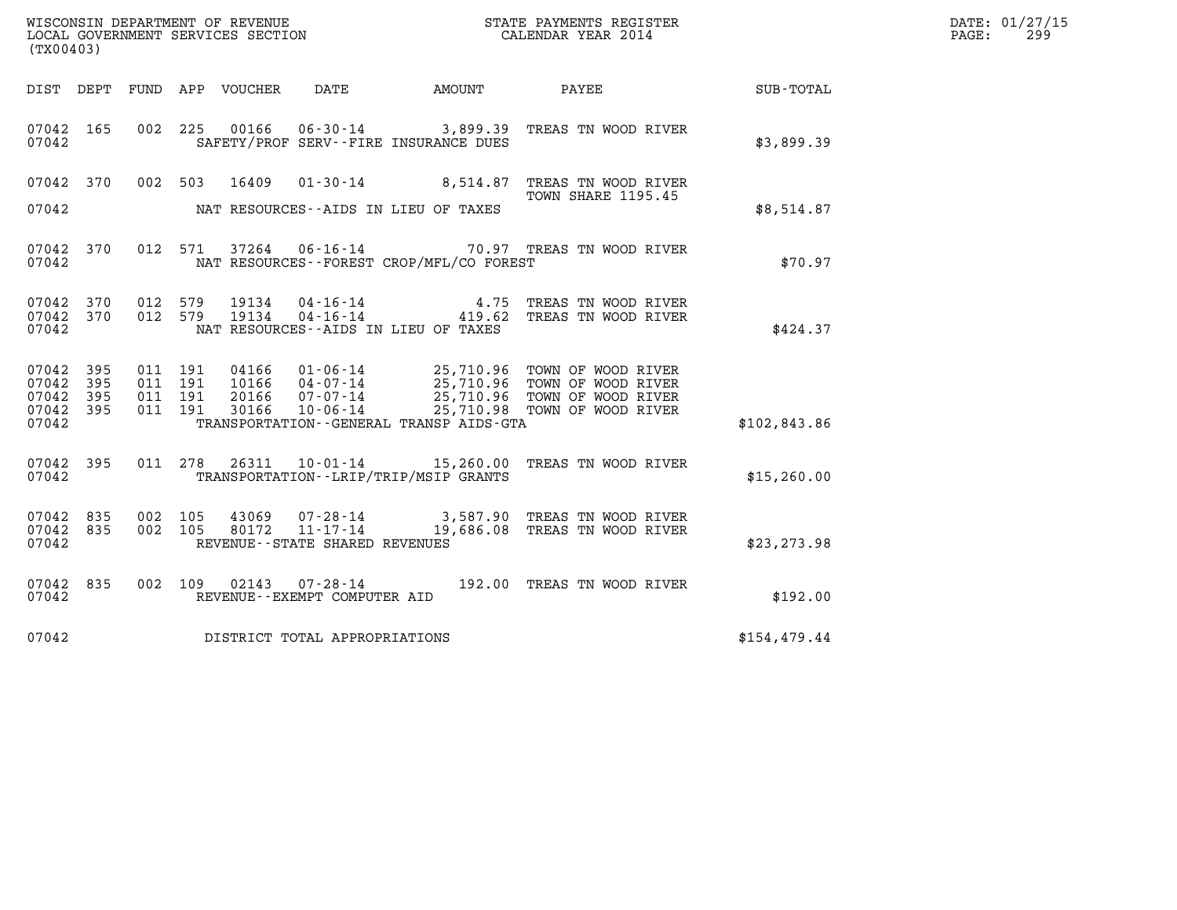| (TX00403)                                     |                     |                                          |         |                            |                                                        |                                              |                                                                                                                                                                           |               | DATE: 01/27/15<br>$\mathtt{PAGE}$ :<br>299 |
|-----------------------------------------------|---------------------|------------------------------------------|---------|----------------------------|--------------------------------------------------------|----------------------------------------------|---------------------------------------------------------------------------------------------------------------------------------------------------------------------------|---------------|--------------------------------------------|
|                                               |                     |                                          |         | DIST DEPT FUND APP VOUCHER | DATE                                                   | AMOUNT                                       | PAYEE                                                                                                                                                                     | SUB-TOTAL     |                                            |
| 07042 165<br>07042                            |                     |                                          | 002 225 |                            |                                                        | SAFETY/PROF SERV--FIRE INSURANCE DUES        | 00166  06-30-14  3,899.39  TREAS TN WOOD RIVER                                                                                                                            | \$3,899.39    |                                            |
| 07042 370<br>07042                            |                     | 002 503                                  |         | 16409                      |                                                        | NAT RESOURCES--AIDS IN LIEU OF TAXES         | 01-30-14 8,514.87 TREAS TN WOOD RIVER<br>TOWN SHARE 1195.45                                                                                                               | \$8,514.87    |                                            |
| 07042 370<br>07042                            |                     |                                          | 012 571 |                            |                                                        | NAT RESOURCES - - FOREST CROP/MFL/CO FOREST  | 37264  06-16-14  70.97  TREAS TN WOOD RIVER                                                                                                                               | \$70.97       |                                            |
| 07042 370<br>07042 370<br>07042               |                     | 012 579<br>012 579                       |         | 19134<br>19134             | 04-16-14                                               | NAT RESOURCES -- AIDS IN LIEU OF TAXES       | 4.75 TREAS TN WOOD RIVER<br>04-16-14 419.62 TREAS TN WOOD RIVER                                                                                                           | \$424.37      |                                            |
| 07042<br>07042<br>07042<br>07042 395<br>07042 | 395<br>- 395<br>395 | 011 191<br>011 191<br>011 191<br>011 191 |         | 30166                      | 10-06-14                                               | TRANSPORTATION - - GENERAL TRANSP AIDS - GTA | 04166 01-06-14 25,710.96 TOWN OF WOOD RIVER<br>10166 04-07-14 25,710.96 TOWN OF WOOD RIVER<br>20166 07-07-14 25,710.96 TOWN OF WOOD RIVER<br>25,710.98 TOWN OF WOOD RIVER | \$102,843.86  |                                            |
| 07042 395<br>07042                            |                     |                                          |         |                            |                                                        | TRANSPORTATION - - LRIP/TRIP/MSIP GRANTS     | 011 278 26311 10-01-14 15,260.00 TREAS TN WOOD RIVER                                                                                                                      | \$15, 260.00  |                                            |
| 07042 835<br>07042 835<br>07042               |                     | 002 105<br>002 105                       |         | 43069<br>80172             | $11 - 17 - 14$<br>REVENUE - - STATE SHARED REVENUES    |                                              | 07-28-14 3,587.90 TREAS TN WOOD RIVER<br>19,686.08 TREAS TN WOOD RIVER                                                                                                    | \$23, 273.98  |                                            |
| 07042 835<br>07042                            |                     |                                          | 002 109 |                            | $02143$ $07 - 28 - 14$<br>REVENUE--EXEMPT COMPUTER AID |                                              | 192.00 TREAS TN WOOD RIVER                                                                                                                                                | \$192.00      |                                            |
| 07042                                         |                     |                                          |         |                            | DISTRICT TOTAL APPROPRIATIONS                          |                                              |                                                                                                                                                                           | \$154, 479.44 |                                            |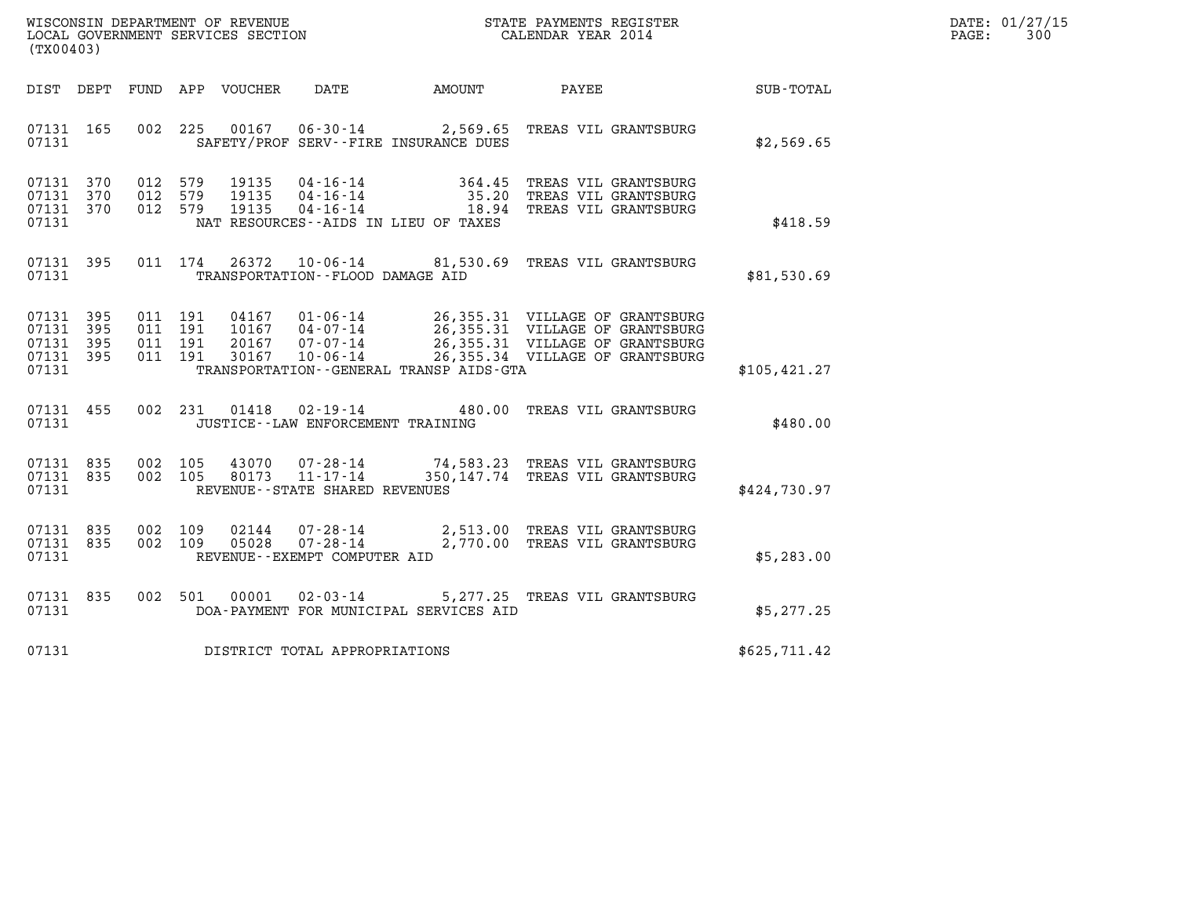| WISCONSIN DEPARTMENT OF REVENUE   | STATE PAYMENTS REGISTER | DATE: 01/27/15 |
|-----------------------------------|-------------------------|----------------|
| LOCAL GOVERNMENT SERVICES SECTION | CALENDAR YEAR 2014      | 300<br>PAGE:   |

| (TX00403)                                                             |                          |                                              |                                       |                                         |                                                                                                                                                                                                                  |               |  |
|-----------------------------------------------------------------------|--------------------------|----------------------------------------------|---------------------------------------|-----------------------------------------|------------------------------------------------------------------------------------------------------------------------------------------------------------------------------------------------------------------|---------------|--|
| DIST DEPT                                                             |                          | FUND APP VOUCHER                             | DATE AMOUNT                           |                                         | <b>PAYEE</b>                                                                                                                                                                                                     | SUB-TOTAL     |  |
| 07131 165<br>07131                                                    | 002                      | 225                                          | SAFETY/PROF SERV--FIRE INSURANCE DUES |                                         | 00167  06-30-14  2,569.65  TREAS VIL GRANTSBURG                                                                                                                                                                  | \$2,569.65    |  |
| 370<br>07131<br>07131<br>370<br>07131<br>07131                        | 012<br>012<br>370<br>012 |                                              | NAT RESOURCES--AIDS IN LIEU OF TAXES  |                                         | 579   19135   04-16-14   364.45   TREAS   VIL GRANTSBURG<br>579   19135   04-16-14   35.20   TREAS   VIL GRANTSBURG<br>579   19135   04-16-14   18.94   TREAS   VIL GRANTSBURG                                   | \$418.59      |  |
| 07131 395<br>07131                                                    | 011                      | 174                                          | TRANSPORTATION--FLOOD DAMAGE AID      |                                         | 26372  10-06-14  81,530.69  TREAS VIL GRANTSBURG                                                                                                                                                                 | \$81,530.69   |  |
| 07131<br>395<br>07131<br>395<br>07131<br>395<br>07131<br>395<br>07131 | 011<br>011<br>011<br>011 | 191<br>191<br>191<br>191                     |                                       | TRANSPORTATION--GENERAL TRANSP AIDS-GTA | 04167  01-06-14  26,355.31  VILLAGE OF GRANTSBURG<br>10167  04-07-14  26,355.31  VILLAGE OF GRANTSBURG<br>20167  07-07-14  26,355.31  VILLAGE OF GRANTSBURG<br>30167  10-06-14  26,355.34  VILLAGE OF GRANTSBURG | \$105, 421.27 |  |
| 07131<br>455<br>07131                                                 | 002                      | 231 01418 02-19-14 480.00                    | JUSTICE - - LAW ENFORCEMENT TRAINING  |                                         | TREAS VIL GRANTSBURG                                                                                                                                                                                             | \$480.00      |  |
| 07131<br>835<br>835<br>07131<br>07131                                 | 002<br>002               | 105<br>105<br>REVENUE--STATE SHARED REVENUES |                                       |                                         | 43070  07-28-14  74,583.23 TREAS VIL GRANTSBURG<br>80173  11-17-14  350,147.74 TREAS VIL GRANTSBURG                                                                                                              | \$424,730.97  |  |
| 07131<br>835<br>07131<br>835<br>07131                                 | 002<br>002               | 109<br>109<br>REVENUE--EXEMPT COMPUTER AID   | 05028 07-28-14                        |                                         | 02144  07-28-14  2,513.00 TREAS VIL GRANTSBURG<br>2,770.00 TREAS VIL GRANTSBURG                                                                                                                                  | \$5,283.00    |  |
| 07131<br>07131                                                        | 835<br>002               | 501<br>00001                                 |                                       | DOA-PAYMENT FOR MUNICIPAL SERVICES AID  | 02-03-14 5,277.25 TREAS VIL GRANTSBURG                                                                                                                                                                           | \$5,277.25    |  |
| 07131                                                                 |                          | DISTRICT TOTAL APPROPRIATIONS                |                                       |                                         |                                                                                                                                                                                                                  | \$625,711.42  |  |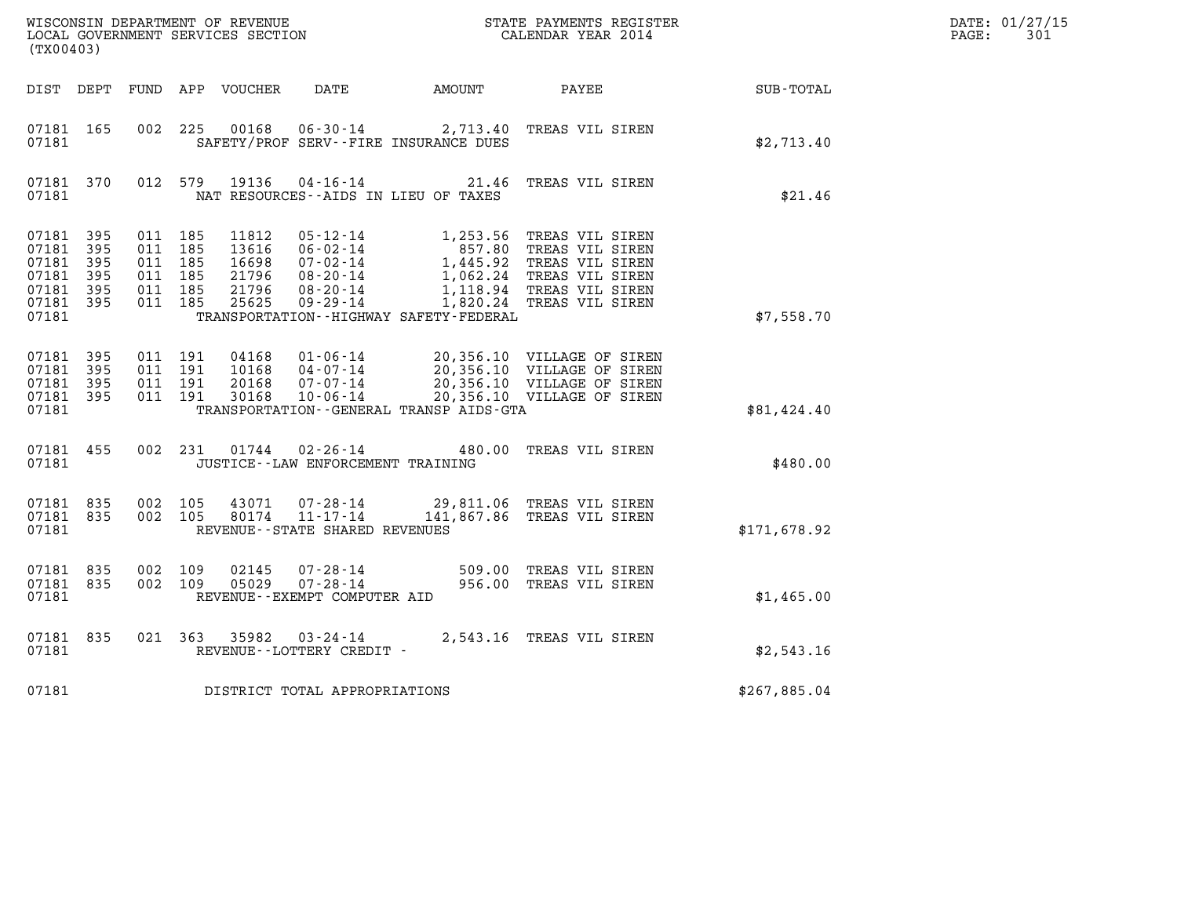| (TX00403)                                                                   |                |                                                     |         |                                                    |                                                              |                                              |                                                                                                                                                                                                                                                          |              | DATE: 01/27/15<br>PAGE:<br>301 |
|-----------------------------------------------------------------------------|----------------|-----------------------------------------------------|---------|----------------------------------------------------|--------------------------------------------------------------|----------------------------------------------|----------------------------------------------------------------------------------------------------------------------------------------------------------------------------------------------------------------------------------------------------------|--------------|--------------------------------|
|                                                                             |                |                                                     |         |                                                    |                                                              | DIST DEPT FUND APP VOUCHER DATE AMOUNT PAYEE |                                                                                                                                                                                                                                                          | SUB-TOTAL    |                                |
| 07181 165<br>07181                                                          |                | 002 225                                             |         | 00168                                              |                                                              | SAFETY/PROF SERV--FIRE INSURANCE DUES        | 06-30-14 2,713.40 TREAS VIL SIREN                                                                                                                                                                                                                        | \$2,713.40   |                                |
| 07181                                                                       | 07181 370      |                                                     | 012 579 |                                                    |                                                              | NAT RESOURCES - AIDS IN LIEU OF TAXES        | 19136 04-16-14 21.46 TREAS VIL SIREN                                                                                                                                                                                                                     | \$21.46      |                                |
| 07181 395<br>07181 395<br>07181<br>07181<br>07181 395<br>07181 395<br>07181 | - 395<br>- 395 | 011 185<br>011 185<br>011 185<br>011 185<br>011 185 | 011 185 | 11812<br>13616<br>16698<br>21796<br>21796<br>25625 |                                                              | TRANSPORTATION - - HIGHWAY SAFETY - FEDERAL  | 05-12-14<br>06-02-14<br>07-02-14<br>07-02-14<br>08-20-14<br>08-20-14<br>09-29-14<br>09-29-14<br>09-29-14<br>09-29-14<br>09-29-14<br>09-29-14<br>09-29-14<br>09-20-14<br>09-29-14<br>09-29-14<br>09-29-14<br>09-29-14<br>09-29-14<br>09-29-14<br>09-29-14 | \$7,558.70   |                                |
| 07181 395<br>07181<br>07181 395<br>07181 395<br>07181                       | - 395          | 011 191<br>011 191<br>011 191                       | 011 191 | 04168<br>10168<br>20168<br>30168                   | 10-06-14                                                     | TRANSPORTATION--GENERAL TRANSP AIDS-GTA      | 01-06-14 20,356.10 VILLAGE OF SIREN<br>04-07-14 20,356.10 VILLAGE OF SIREN<br>07-07-14 20,356.10 VILLAGE OF SIREN<br>20,356.10 VILLAGE OF SIREN                                                                                                          | \$81,424.40  |                                |
| 07181 455<br>07181                                                          |                |                                                     |         |                                                    | JUSTICE -- LAW ENFORCEMENT TRAINING                          |                                              | 002 231 01744 02-26-14 480.00 TREAS VIL SIREN                                                                                                                                                                                                            | \$480.00     |                                |
| 07181 835<br>07181 835<br>07181                                             |                | 002 105<br>002 105                                  |         | 43071                                              | 07-28-14<br>80174 11-17-14<br>REVENUE--STATE SHARED REVENUES |                                              | 29,811.06 TREAS VIL SIREN<br>141,867.86 TREAS VIL SIREN                                                                                                                                                                                                  | \$171,678.92 |                                |
| 07181 835<br>07181 835<br>07181                                             |                | 002 109<br>002 109                                  |         | 02145<br>05029                                     | REVENUE--EXEMPT COMPUTER AID                                 |                                              | 07-28-14 509.00 TREAS VIL SIREN<br>07-28-14 956.00 TREAS VIL SIREN                                                                                                                                                                                       | \$1,465.00   |                                |
| 07181 835<br>07181                                                          |                |                                                     |         |                                                    | REVENUE--LOTTERY CREDIT -                                    |                                              | 021 363 35982 03-24-14 2,543.16 TREAS VIL SIREN                                                                                                                                                                                                          | \$2,543.16   |                                |
| 07181                                                                       |                |                                                     |         |                                                    | DISTRICT TOTAL APPROPRIATIONS                                |                                              |                                                                                                                                                                                                                                                          | \$267,885.04 |                                |